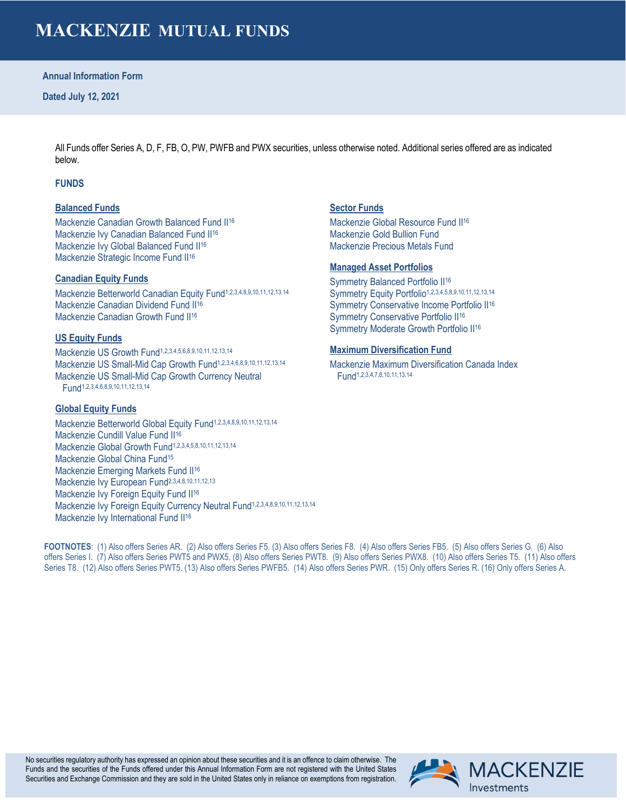# **MACKENZIE MUTUAL FUNDS**

### **Annual Information Form**

All Funds offer Series A, D, F, FB, O, PW, PWFB and PWX securities, unless otherwise noted. Additional series offered are as indicated below.

# **FUNDS**

### **Balanced Funds**

Mackenzie Canadian Growth Balanced Fund II<sup>16</sup> Mackenzie Ivy Canadian Balanced Fund II<sup>16</sup> Mackenzie Ivy Global Balanced Fund II<sup>16</sup> Mackenzie Strategic Income Fund II<sup>16</sup>

### **Canadian Equity Funds**

Mackenzie Betterworld Canadian Equity Fund1,2,3,4,8,9,10,11,12,13,14 Mackenzie Canadian Dividend Fund II16 Mackenzie Canadian Growth Fund II<sup>16</sup>

# **US Equity Funds**

Mackenzie US Growth Fund1,2,3,4,5,6,8,9,10,11,12,13,14 Mackenzie US Small-Mid Cap Growth Fund1,2,3,4,6,8,9,10,11,12,13,14 Mackenzie US Small-Mid Cap Growth Currency Neutral Fund1,2,3,4,6,8,9,10,11,12,13,14

### **Global Equity Funds**

Mackenzie Betterworld Global Equity Fund1,2,3,4,8,9,10,11,12,13,14 Mackenzie Cundill Value Fund II<sup>16</sup> Mackenzie Global Growth Fund<sup>1,2,3,4,5,8,10,11,12,13,14</sup> Mackenzie Global China Fund15 Mackenzie Emerging Markets Fund II<sup>16</sup> Mackenzie Ivy European Fund<sup>2,3,4,8,10,11,12,13</sup> Mackenzie Ivy Foreign Equity Fund II<sup>16</sup> Mackenzie Ivy Foreign Equity Currency Neutral Fund1,2,3,4,8,9,10,11,12,13,14 Mackenzie Ivy International Fund II<sup>16</sup>

# **Sector Funds**

Mackenzie Global Resource Fund II<sup>16</sup> Mackenzie Gold Bullion Fund Mackenzie Precious Metals Fund

### **Managed Asset Portfolios**

Symmetry Balanced Portfolio II<sup>16</sup> Symmetry Equity Portfolio<sup>1,2,3,4,5,8,9,10,11,12,13,14</sup> Symmetry Conservative Income Portfolio II<sup>16</sup> Symmetry Conservative Portfolio II<sup>16</sup> Symmetry Moderate Growth Portfolio II16

### **Maximum Diversification Fund**

Mackenzie Maximum Diversification Canada Index Fund1,2,3,4,7,8,10,11,13,14

**FOOTNOTES**: (1) Also offers Series AR. (2) Also offers Series F5. (3) Also offers Series F8. (4) Also offers Series FB5. (5) Also offers Series G. (6) Also offers Series I. (7) Also offers Series PWT5 and PWX5. (8) Also offers Series PWT8. (9) Also offers Series PWX8. (10) Also offers Series T5. (11) Also offers Series T8. (12) Also offers Series PWT5. (13) Also offers Series PWFB5. (14) Also offers Series PWR. (15) Only offers Series R. (16) Only offers Series A.

No securities regulatory authority has expressed an opinion about these securities and it is an offence to claim otherwise. The Funds and the securities of the Funds offered under this Annual Information Form are not registered with the United States Securities and Exchange Commission and they are sold in the United States only in reliance on exemptions from registration.

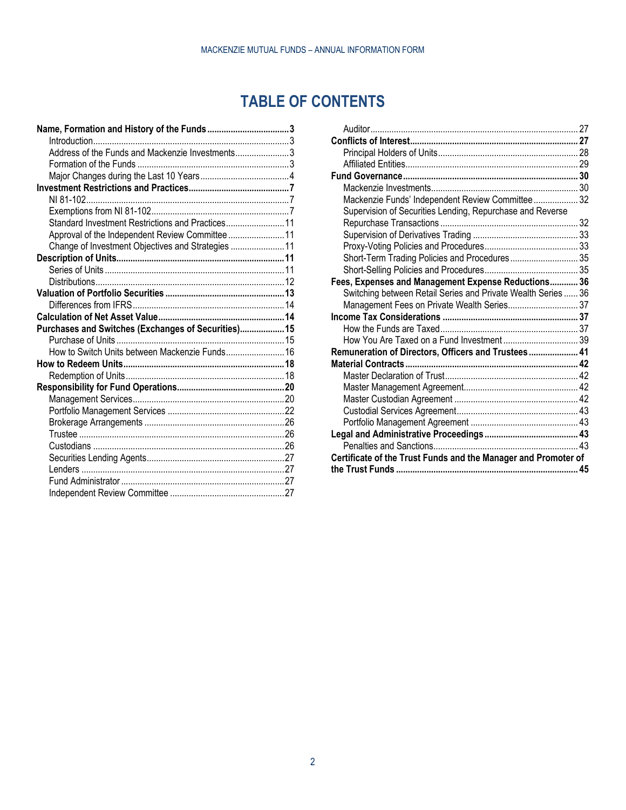# **TABLE OF CONTENTS**

| Address of the Funds and Mackenzie Investments3     |  |
|-----------------------------------------------------|--|
|                                                     |  |
|                                                     |  |
|                                                     |  |
|                                                     |  |
|                                                     |  |
| Standard Investment Restrictions and Practices 11   |  |
| Approval of the Independent Review Committee  11    |  |
| Change of Investment Objectives and Strategies  11  |  |
|                                                     |  |
|                                                     |  |
|                                                     |  |
|                                                     |  |
|                                                     |  |
|                                                     |  |
| Purchases and Switches (Exchanges of Securities) 15 |  |
|                                                     |  |
| How to Switch Units between Mackenzie Funds 16      |  |
|                                                     |  |
|                                                     |  |
|                                                     |  |
|                                                     |  |
|                                                     |  |
|                                                     |  |
|                                                     |  |
|                                                     |  |
|                                                     |  |
|                                                     |  |
|                                                     |  |
|                                                     |  |
|                                                     |  |

| Mackenzie Funds' Independent Review Committee 32               |  |
|----------------------------------------------------------------|--|
| Supervision of Securities Lending, Repurchase and Reverse      |  |
|                                                                |  |
|                                                                |  |
|                                                                |  |
| Short-Term Trading Policies and Procedures 35                  |  |
|                                                                |  |
| Fees, Expenses and Management Expense Reductions 36            |  |
| Switching between Retail Series and Private Wealth Series  36  |  |
| Management Fees on Private Wealth Series 37                    |  |
|                                                                |  |
|                                                                |  |
|                                                                |  |
| Remuneration of Directors, Officers and Trustees 41            |  |
|                                                                |  |
|                                                                |  |
|                                                                |  |
|                                                                |  |
|                                                                |  |
|                                                                |  |
|                                                                |  |
|                                                                |  |
| Certificate of the Trust Funds and the Manager and Promoter of |  |
|                                                                |  |
|                                                                |  |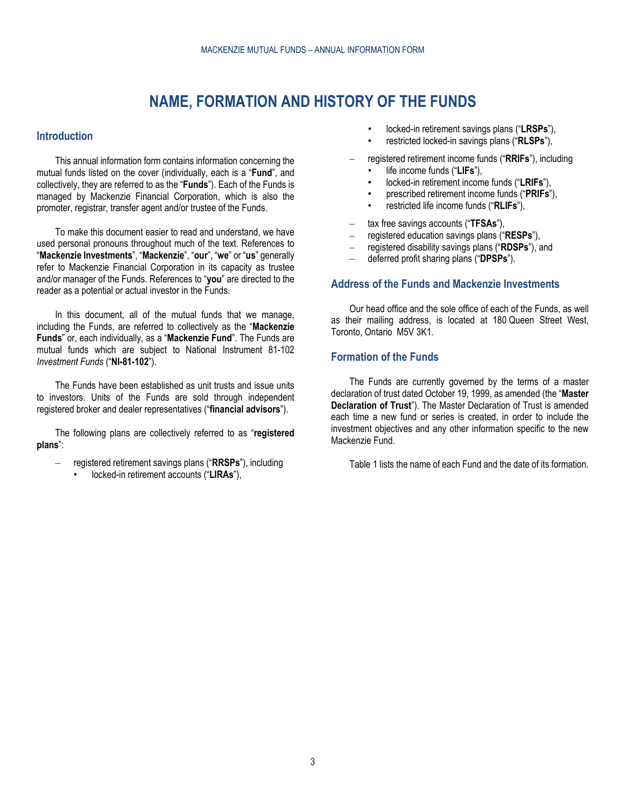# **NAME, FORMATION AND HISTORY OF THE FUNDS**

# <span id="page-2-1"></span><span id="page-2-0"></span>**Introduction**

This annual information form contains information concerning the mutual funds listed on the cover (individually, each is a "**Fund**", and collectively, they are referred to as the "**Funds**"). Each of the Funds is managed by Mackenzie Financial Corporation, which is also the promoter, registrar, transfer agent and/or trustee of the Funds.

To make this document easier to read and understand, we have used personal pronouns throughout much of the text. References to "**Mackenzie Investments**", "**Mackenzie**", "**our**", "**we**" or "**us**" generally refer to Mackenzie Financial Corporation in its capacity as trustee and/or manager of the Funds. References to "**you**" are directed to the reader as a potential or actual investor in the Funds.

In this document, all of the mutual funds that we manage, including the Funds, are referred to collectively as the "**Mackenzie Funds**" or, each individually, as a "**Mackenzie Fund**". The Funds are mutual funds which are subject to National Instrument 81-102 *Investment Funds* ("**NI-81-102**").

The Funds have been established as unit trusts and issue units to investors. Units of the Funds are sold through independent registered broker and dealer representatives ("**financial advisors**").

The following plans are collectively referred to as "**registered plans**":

- registered retirement savings plans ("**RRSPs**"), including
	- locked-in retirement accounts ("**LIRAs**"),
- locked-in retirement savings plans ("**LRSPs**"),
- restricted locked-in savings plans ("**RLSPs**"),
- registered retirement income funds ("**RRIFs**"), including
	- life income funds ("**LIFs**"),
	- locked-in retirement income funds ("**LRIFs**"),
	- prescribed retirement income funds ("**PRIFs**"),
	- restricted life income funds ("**RLIFs**"),
- tax free savings accounts ("**TFSAs**"),
- registered education savings plans ("**RESPs**"),
- registered disability savings plans ("**RDSPs**"), and
- deferred profit sharing plans ("**DPSPs**").

# <span id="page-2-2"></span>**Address of the Funds and Mackenzie Investments**

Our head office and the sole office of each of the Funds, as well as their mailing address, is located at 180 Queen Street West, Toronto, Ontario M5V 3K1.

# <span id="page-2-3"></span>**Formation of the Funds**

The Funds are currently governed by the terms of a master declaration of trust dated October 19, 1999, as amended (the "**Master Declaration of Trust**"). The Master Declaration of Trust is amended each time a new fund or series is created, in order to include the investment objectives and any other information specific to the new Mackenzie Fund.

[Table](#page-3-1) 1 lists the name of each Fund and the date of its formation.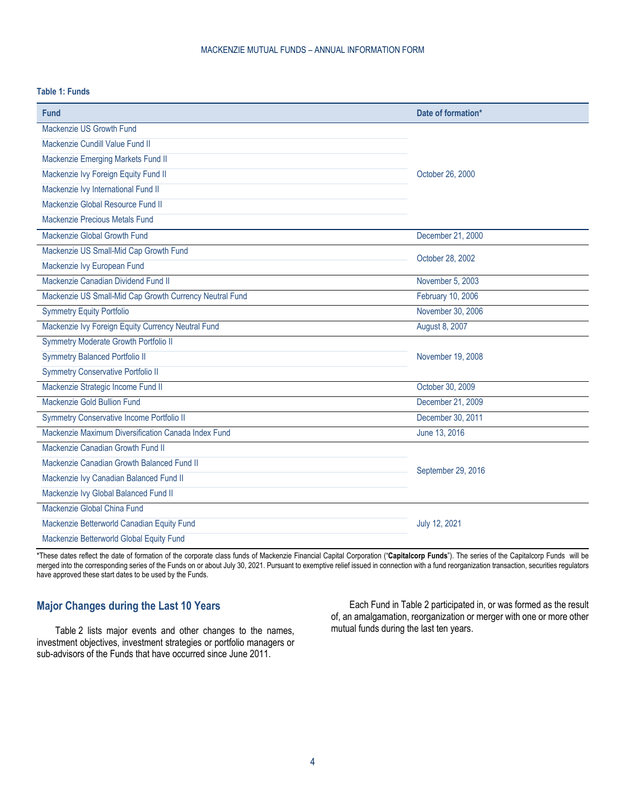# <span id="page-3-1"></span>**Table 1: Funds**

| Fund                                                    | Date of formation* |
|---------------------------------------------------------|--------------------|
| Mackenzie US Growth Fund                                |                    |
| Mackenzie Cundill Value Fund II                         |                    |
| Mackenzie Emerging Markets Fund II                      |                    |
| Mackenzie Ivy Foreign Equity Fund II                    | October 26, 2000   |
| Mackenzie Ivy International Fund II                     |                    |
| Mackenzie Global Resource Fund II                       |                    |
| Mackenzie Precious Metals Fund                          |                    |
| Mackenzie Global Growth Fund                            | December 21, 2000  |
| Mackenzie US Small-Mid Cap Growth Fund                  | October 28, 2002   |
| Mackenzie Ivy European Fund                             |                    |
| Mackenzie Canadian Dividend Fund II                     | November 5, 2003   |
| Mackenzie US Small-Mid Cap Growth Currency Neutral Fund | February 10, 2006  |
| <b>Symmetry Equity Portfolio</b>                        | November 30, 2006  |
| Mackenzie Ivy Foreign Equity Currency Neutral Fund      | August 8, 2007     |
| Symmetry Moderate Growth Portfolio II                   |                    |
| <b>Symmetry Balanced Portfolio II</b>                   | November 19, 2008  |
| <b>Symmetry Conservative Portfolio II</b>               |                    |
| Mackenzie Strategic Income Fund II                      | October 30, 2009   |
| Mackenzie Gold Bullion Fund                             | December 21, 2009  |
| Symmetry Conservative Income Portfolio II               | December 30, 2011  |
| Mackenzie Maximum Diversification Canada Index Fund     | June 13, 2016      |
| Mackenzie Canadian Growth Fund II                       |                    |
| Mackenzie Canadian Growth Balanced Fund II              | September 29, 2016 |
| Mackenzie Ivy Canadian Balanced Fund II                 |                    |
| Mackenzie Ivy Global Balanced Fund II                   |                    |
| Mackenzie Global China Fund                             |                    |
| Mackenzie Betterworld Canadian Equity Fund              | July 12, 2021      |
| Mackenzie Betterworld Global Equity Fund                |                    |

\*These dates reflect the date of formation of the corporate class funds of Mackenzie Financial Capital Corporation ("**Capitalcorp Funds**"). The series of the Capitalcorp Funds will be merged into the corresponding series of the Funds on or about July 30, 2021. Pursuant to exemptive relief issued in connection with a fund reorganization transaction, securities regulators have approved these start dates to be used by the Funds.

# <span id="page-3-0"></span>**Major Changes during the Last 10 Years**

[Table](#page-4-0) 2 lists major events and other changes to the names, investment objectives, investment strategies or portfolio managers or sub-advisors of the Funds that have occurred since June 2011.

Each Fund i[n Table](#page-4-0) 2 participated in, or was formed as the result of, an amalgamation, reorganization or merger with one or more other mutual funds during the last ten years.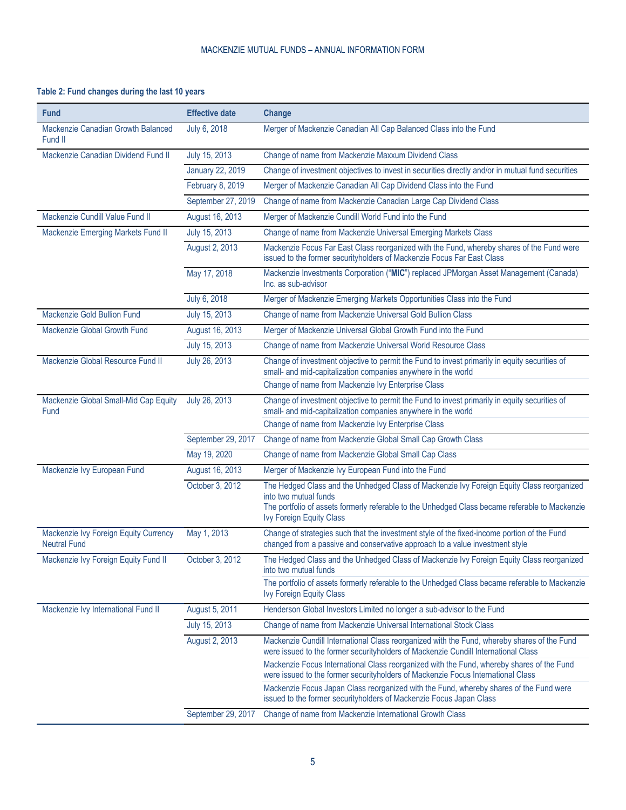# <span id="page-4-0"></span>**Table 2: Fund changes during the last 10 years**

| Fund                                                         | <b>Effective date</b> | Change                                                                                                                                                                                                                                                                                                                                                             |
|--------------------------------------------------------------|-----------------------|--------------------------------------------------------------------------------------------------------------------------------------------------------------------------------------------------------------------------------------------------------------------------------------------------------------------------------------------------------------------|
| Mackenzie Canadian Growth Balanced<br>Fund II                | July 6, 2018          | Merger of Mackenzie Canadian All Cap Balanced Class into the Fund                                                                                                                                                                                                                                                                                                  |
| Mackenzie Canadian Dividend Fund II                          | July 15, 2013         | Change of name from Mackenzie Maxxum Dividend Class                                                                                                                                                                                                                                                                                                                |
|                                                              | January 22, 2019      | Change of investment objectives to invest in securities directly and/or in mutual fund securities                                                                                                                                                                                                                                                                  |
|                                                              | February 8, 2019      | Merger of Mackenzie Canadian All Cap Dividend Class into the Fund                                                                                                                                                                                                                                                                                                  |
|                                                              | September 27, 2019    | Change of name from Mackenzie Canadian Large Cap Dividend Class                                                                                                                                                                                                                                                                                                    |
| Mackenzie Cundill Value Fund II                              | August 16, 2013       | Merger of Mackenzie Cundill World Fund into the Fund                                                                                                                                                                                                                                                                                                               |
| Mackenzie Emerging Markets Fund II                           | July 15, 2013         | Change of name from Mackenzie Universal Emerging Markets Class                                                                                                                                                                                                                                                                                                     |
|                                                              | August 2, 2013        | Mackenzie Focus Far East Class reorganized with the Fund, whereby shares of the Fund were<br>issued to the former securityholders of Mackenzie Focus Far East Class                                                                                                                                                                                                |
|                                                              | May 17, 2018          | Mackenzie Investments Corporation ("MIC") replaced JPMorgan Asset Management (Canada)<br>Inc. as sub-advisor                                                                                                                                                                                                                                                       |
|                                                              | July 6, 2018          | Merger of Mackenzie Emerging Markets Opportunities Class into the Fund                                                                                                                                                                                                                                                                                             |
| Mackenzie Gold Bullion Fund                                  | July 15, 2013         | Change of name from Mackenzie Universal Gold Bullion Class                                                                                                                                                                                                                                                                                                         |
| Mackenzie Global Growth Fund                                 | August 16, 2013       | Merger of Mackenzie Universal Global Growth Fund into the Fund                                                                                                                                                                                                                                                                                                     |
|                                                              | July 15, 2013         | Change of name from Mackenzie Universal World Resource Class                                                                                                                                                                                                                                                                                                       |
| Mackenzie Global Resource Fund II                            | July 26, 2013         | Change of investment objective to permit the Fund to invest primarily in equity securities of<br>small- and mid-capitalization companies anywhere in the world                                                                                                                                                                                                     |
|                                                              |                       | Change of name from Mackenzie Ivy Enterprise Class                                                                                                                                                                                                                                                                                                                 |
| Mackenzie Global Small-Mid Cap Equity<br>Fund                | July 26, 2013         | Change of investment objective to permit the Fund to invest primarily in equity securities of<br>small- and mid-capitalization companies anywhere in the world                                                                                                                                                                                                     |
|                                                              |                       | Change of name from Mackenzie Ivy Enterprise Class                                                                                                                                                                                                                                                                                                                 |
|                                                              | September 29, 2017    | Change of name from Mackenzie Global Small Cap Growth Class                                                                                                                                                                                                                                                                                                        |
|                                                              | May 19, 2020          | Change of name from Mackenzie Global Small Cap Class                                                                                                                                                                                                                                                                                                               |
| Mackenzie Ivy European Fund                                  | August 16, 2013       | Merger of Mackenzie Ivy European Fund into the Fund                                                                                                                                                                                                                                                                                                                |
|                                                              | October 3, 2012       | The Hedged Class and the Unhedged Class of Mackenzie Ivy Foreign Equity Class reorganized<br>into two mutual funds<br>The portfolio of assets formerly referable to the Unhedged Class became referable to Mackenzie<br>Ivy Foreign Equity Class                                                                                                                   |
| Mackenzie Ivy Foreign Equity Currency<br><b>Neutral Fund</b> | May 1, 2013           | Change of strategies such that the investment style of the fixed-income portion of the Fund<br>changed from a passive and conservative approach to a value investment style                                                                                                                                                                                        |
| Mackenzie Ivy Foreign Equity Fund II                         | October 3, 2012       | The Hedged Class and the Unhedged Class of Mackenzie Ivy Foreign Equity Class reorganized<br>into two mutual funds                                                                                                                                                                                                                                                 |
|                                                              |                       | The portfolio of assets formerly referable to the Unhedged Class became referable to Mackenzie<br><b>Ivy Foreign Equity Class</b>                                                                                                                                                                                                                                  |
| Mackenzie Ivy International Fund II                          | August 5, 2011        | Henderson Global Investors Limited no longer a sub-advisor to the Fund                                                                                                                                                                                                                                                                                             |
|                                                              | July 15, 2013         | Change of name from Mackenzie Universal International Stock Class                                                                                                                                                                                                                                                                                                  |
|                                                              | August 2, 2013        | Mackenzie Cundill International Class reorganized with the Fund, whereby shares of the Fund<br>were issued to the former securityholders of Mackenzie Cundill International Class<br>Mackenzie Focus International Class reorganized with the Fund, whereby shares of the Fund<br>were issued to the former securityholders of Mackenzie Focus International Class |
|                                                              |                       | Mackenzie Focus Japan Class reorganized with the Fund, whereby shares of the Fund were<br>issued to the former securityholders of Mackenzie Focus Japan Class                                                                                                                                                                                                      |
|                                                              | September 29, 2017    | Change of name from Mackenzie International Growth Class                                                                                                                                                                                                                                                                                                           |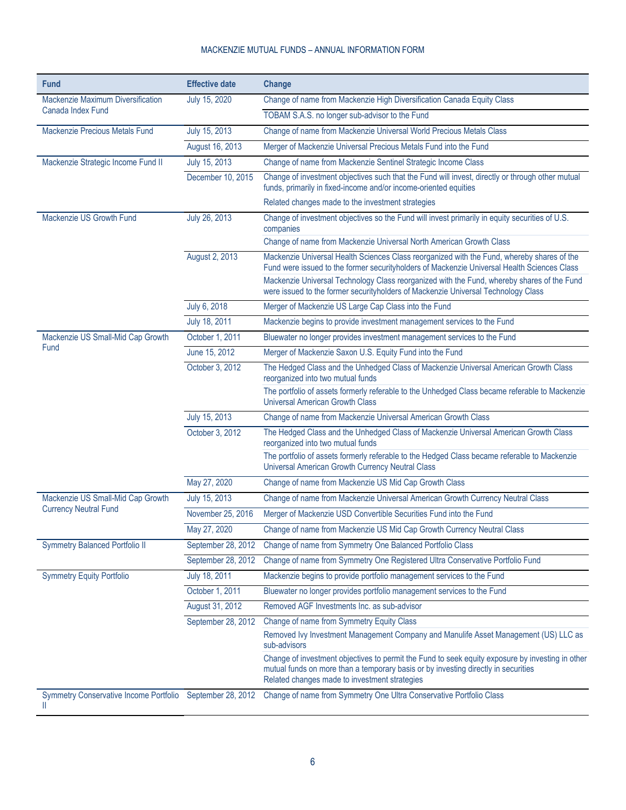| <b>Fund</b>                                            | <b>Effective date</b> | Change                                                                                                                                                                                                                                                                                                                                                                       |
|--------------------------------------------------------|-----------------------|------------------------------------------------------------------------------------------------------------------------------------------------------------------------------------------------------------------------------------------------------------------------------------------------------------------------------------------------------------------------------|
| Mackenzie Maximum Diversification<br>Canada Index Fund | July 15, 2020         | Change of name from Mackenzie High Diversification Canada Equity Class                                                                                                                                                                                                                                                                                                       |
|                                                        |                       | TOBAM S.A.S. no longer sub-advisor to the Fund                                                                                                                                                                                                                                                                                                                               |
| Mackenzie Precious Metals Fund                         | July 15, 2013         | Change of name from Mackenzie Universal World Precious Metals Class                                                                                                                                                                                                                                                                                                          |
|                                                        | August 16, 2013       | Merger of Mackenzie Universal Precious Metals Fund into the Fund                                                                                                                                                                                                                                                                                                             |
| Mackenzie Strategic Income Fund II                     | July 15, 2013         | Change of name from Mackenzie Sentinel Strategic Income Class                                                                                                                                                                                                                                                                                                                |
|                                                        | December 10, 2015     | Change of investment objectives such that the Fund will invest, directly or through other mutual<br>funds, primarily in fixed-income and/or income-oriented equities                                                                                                                                                                                                         |
|                                                        |                       | Related changes made to the investment strategies                                                                                                                                                                                                                                                                                                                            |
| Mackenzie US Growth Fund                               | July 26, 2013         | Change of investment objectives so the Fund will invest primarily in equity securities of U.S.<br>companies                                                                                                                                                                                                                                                                  |
|                                                        |                       | Change of name from Mackenzie Universal North American Growth Class                                                                                                                                                                                                                                                                                                          |
|                                                        | August 2, 2013        | Mackenzie Universal Health Sciences Class reorganized with the Fund, whereby shares of the<br>Fund were issued to the former securityholders of Mackenzie Universal Health Sciences Class<br>Mackenzie Universal Technology Class reorganized with the Fund, whereby shares of the Fund<br>were issued to the former securityholders of Mackenzie Universal Technology Class |
|                                                        | July 6, 2018          | Merger of Mackenzie US Large Cap Class into the Fund                                                                                                                                                                                                                                                                                                                         |
|                                                        | July 18, 2011         | Mackenzie begins to provide investment management services to the Fund                                                                                                                                                                                                                                                                                                       |
| Mackenzie US Small-Mid Cap Growth                      | October 1, 2011       | Bluewater no longer provides investment management services to the Fund                                                                                                                                                                                                                                                                                                      |
| Fund                                                   | June 15, 2012         | Merger of Mackenzie Saxon U.S. Equity Fund into the Fund                                                                                                                                                                                                                                                                                                                     |
|                                                        | October 3, 2012       | The Hedged Class and the Unhedged Class of Mackenzie Universal American Growth Class<br>reorganized into two mutual funds                                                                                                                                                                                                                                                    |
|                                                        |                       | The portfolio of assets formerly referable to the Unhedged Class became referable to Mackenzie<br><b>Universal American Growth Class</b>                                                                                                                                                                                                                                     |
|                                                        | July 15, 2013         | Change of name from Mackenzie Universal American Growth Class                                                                                                                                                                                                                                                                                                                |
|                                                        | October 3, 2012       | The Hedged Class and the Unhedged Class of Mackenzie Universal American Growth Class<br>reorganized into two mutual funds                                                                                                                                                                                                                                                    |
|                                                        |                       | The portfolio of assets formerly referable to the Hedged Class became referable to Mackenzie<br>Universal American Growth Currency Neutral Class                                                                                                                                                                                                                             |
|                                                        | May 27, 2020          | Change of name from Mackenzie US Mid Cap Growth Class                                                                                                                                                                                                                                                                                                                        |
| Mackenzie US Small-Mid Cap Growth                      | July 15, 2013         | Change of name from Mackenzie Universal American Growth Currency Neutral Class                                                                                                                                                                                                                                                                                               |
| <b>Currency Neutral Fund</b>                           | November 25, 2016     | Merger of Mackenzie USD Convertible Securities Fund into the Fund                                                                                                                                                                                                                                                                                                            |
|                                                        | May 27, 2020          | Change of name from Mackenzie US Mid Cap Growth Currency Neutral Class                                                                                                                                                                                                                                                                                                       |
| <b>Symmetry Balanced Portfolio II</b>                  | September 28, 2012    | Change of name from Symmetry One Balanced Portfolio Class                                                                                                                                                                                                                                                                                                                    |
|                                                        | September 28, 2012    | Change of name from Symmetry One Registered Ultra Conservative Portfolio Fund                                                                                                                                                                                                                                                                                                |
| <b>Symmetry Equity Portfolio</b>                       | July 18, 2011         | Mackenzie begins to provide portfolio management services to the Fund                                                                                                                                                                                                                                                                                                        |
|                                                        | October 1, 2011       | Bluewater no longer provides portfolio management services to the Fund                                                                                                                                                                                                                                                                                                       |
|                                                        | August 31, 2012       | Removed AGF Investments Inc. as sub-advisor                                                                                                                                                                                                                                                                                                                                  |
|                                                        | September 28, 2012    | Change of name from Symmetry Equity Class                                                                                                                                                                                                                                                                                                                                    |
|                                                        |                       | Removed Ivy Investment Management Company and Manulife Asset Management (US) LLC as<br>sub-advisors                                                                                                                                                                                                                                                                          |
|                                                        |                       | Change of investment objectives to permit the Fund to seek equity exposure by investing in other<br>mutual funds on more than a temporary basis or by investing directly in securities<br>Related changes made to investment strategies                                                                                                                                      |
| Ш                                                      |                       | Symmetry Conservative Income Portfolio September 28, 2012 Change of name from Symmetry One Ultra Conservative Portfolio Class                                                                                                                                                                                                                                                |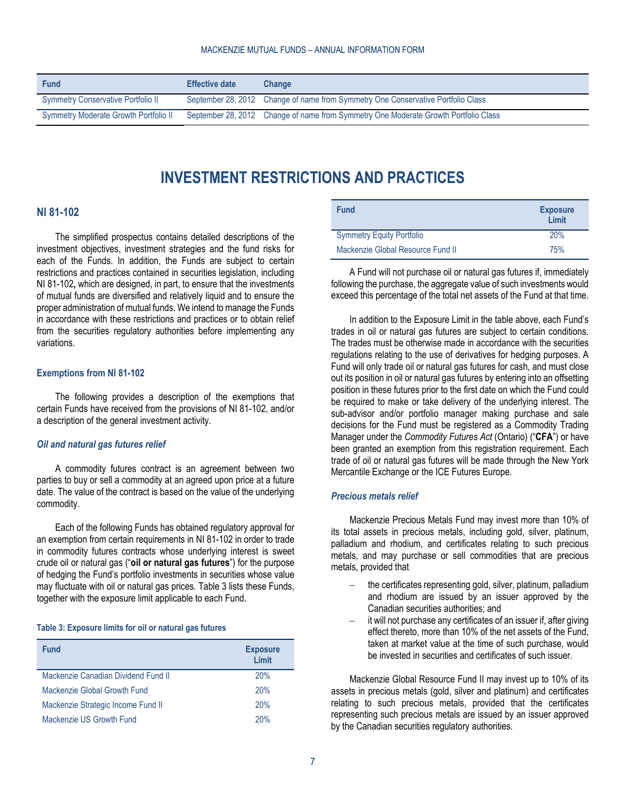<span id="page-6-0"></span>

| <b>Fund</b>                               | <b>Effective date</b> | <b>Change</b>                                                                       |
|-------------------------------------------|-----------------------|-------------------------------------------------------------------------------------|
| <b>Symmetry Conservative Portfolio II</b> |                       | September 28, 2012 Change of name from Symmetry One Conservative Portfolio Class    |
| Symmetry Moderate Growth Portfolio II     |                       | September 28, 2012 Change of name from Symmetry One Moderate Growth Portfolio Class |

# **INVESTMENT RESTRICTIONS AND PRACTICES**

#### <span id="page-6-1"></span>**NI 81-102**

The simplified prospectus contains detailed descriptions of the investment objectives, investment strategies and the fund risks for each of the Funds. In addition, the Funds are subject to certain restrictions and practices contained in securities legislation, including NI 81-102**,** which are designed, in part, to ensure that the investments of mutual funds are diversified and relatively liquid and to ensure the proper administration of mutual funds. We intend to manage the Funds in accordance with these restrictions and practices or to obtain relief from the securities regulatory authorities before implementing any variations.

#### <span id="page-6-2"></span>**Exemptions from NI 81-102**

The following provides a description of the exemptions that certain Funds have received from the provisions of NI 81-102, and/or a description of the general investment activity.

#### *Oil and natural gas futures relief*

A commodity futures contract is an agreement between two parties to buy or sell a commodity at an agreed upon price at a future date. The value of the contract is based on the value of the underlying commodity.

Each of the following Funds has obtained regulatory approval for an exemption from certain requirements in NI 81-102 in order to trade in commodity futures contracts whose underlying interest is sweet crude oil or natural gas ("**oil or natural gas futures**") for the purpose of hedging the Fund's portfolio investments in securities whose value may fluctuate with oil or natural gas prices. [Table](#page-6-3) 3 lists these Funds, together with the exposure limit applicable to each Fund.

#### <span id="page-6-3"></span>**Table 3: Exposure limits for oil or natural gas futures**

| <b>Fund</b>                         | <b>Exposure</b><br>I imit |
|-------------------------------------|---------------------------|
| Mackenzie Canadian Dividend Fund II | 20%                       |
| Mackenzie Global Growth Fund        | 20%                       |
| Mackenzie Strategic Income Fund II  | 20%                       |
| Mackenzie US Growth Fund            | 20%                       |

| <b>Fund</b>                       | <b>Exposure</b><br>Limit |
|-----------------------------------|--------------------------|
| <b>Symmetry Equity Portfolio</b>  | 20%                      |
| Mackenzie Global Resource Fund II | 75%                      |

A Fund will not purchase oil or natural gas futures if, immediately following the purchase, the aggregate value of such investments would exceed this percentage of the total net assets of the Fund at that time.

In addition to the Exposure Limit in the table above, each Fund's trades in oil or natural gas futures are subject to certain conditions. The trades must be otherwise made in accordance with the securities regulations relating to the use of derivatives for hedging purposes. A Fund will only trade oil or natural gas futures for cash, and must close out its position in oil or natural gas futures by entering into an offsetting position in these futures prior to the first date on which the Fund could be required to make or take delivery of the underlying interest. The sub-advisor and/or portfolio manager making purchase and sale decisions for the Fund must be registered as a Commodity Trading Manager under the *Commodity Futures Act* (Ontario) ("**CFA**") or have been granted an exemption from this registration requirement. Each trade of oil or natural gas futures will be made through the New York Mercantile Exchange or the ICE Futures Europe.

#### *Precious metals relief*

Mackenzie Precious Metals Fund may invest more than 10% of its total assets in precious metals, including gold, silver, platinum, palladium and rhodium, and certificates relating to such precious metals, and may purchase or sell commodities that are precious metals, provided that

- the certificates representing gold, silver, platinum, palladium and rhodium are issued by an issuer approved by the Canadian securities authorities; and
- it will not purchase any certificates of an issuer if, after giving effect thereto, more than 10% of the net assets of the Fund, taken at market value at the time of such purchase, would be invested in securities and certificates of such issuer.

Mackenzie Global Resource Fund II may invest up to 10% of its assets in precious metals (gold, silver and platinum) and certificates relating to such precious metals, provided that the certificates representing such precious metals are issued by an issuer approved by the Canadian securities regulatory authorities.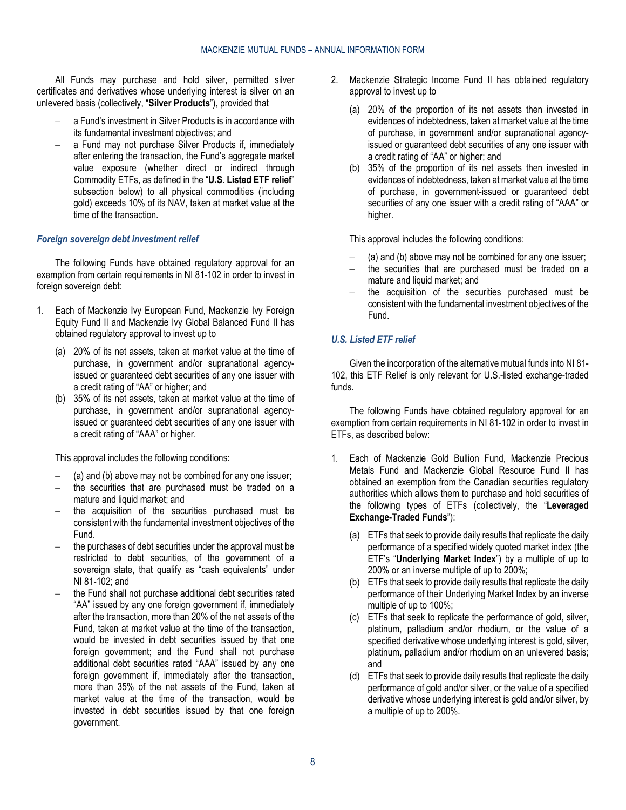All Funds may purchase and hold silver, permitted silver certificates and derivatives whose underlying interest is silver on an unlevered basis (collectively, "**Silver Products**"), provided that

- a Fund's investment in Silver Products is in accordance with its fundamental investment objectives; and
- a Fund may not purchase Silver Products if, immediately after entering the transaction, the Fund's aggregate market value exposure (whether direct or indirect through Commodity ETFs, as defined in the "**U.S**. **[Listed ETF relief](#page-7-0)**" subsection below) to all physical commodities (including gold) exceeds 10% of its NAV, taken at market value at the time of the transaction.

#### *Foreign sovereign debt investment relief*

The following Funds have obtained regulatory approval for an exemption from certain requirements in NI 81-102 in order to invest in foreign sovereign debt:

- <span id="page-7-1"></span>1. Each of Mackenzie Ivy European Fund, Mackenzie Ivy Foreign Equity Fund II and Mackenzie Ivy Global Balanced Fund II has obtained regulatory approval to invest up to
	- (a) 20% of its net assets, taken at market value at the time of purchase, in government and/or supranational agencyissued or guaranteed debt securities of any one issuer with a credit rating of "AA" or higher; and
	- (b) 35% of its net assets, taken at market value at the time of purchase, in government and/or supranational agencyissued or guaranteed debt securities of any one issuer with a credit rating of "AAA" or higher.

<span id="page-7-2"></span>This approval includes the following conditions:

- [\(a\)](#page-7-1) an[d \(b\)](#page-7-2) above may not be combined for any one issuer;
- the securities that are purchased must be traded on a mature and liquid market; and
- the acquisition of the securities purchased must be consistent with the fundamental investment objectives of the Fund.
- the purchases of debt securities under the approval must be restricted to debt securities, of the government of a sovereign state, that qualify as "cash equivalents" under NI 81-102; and
- the Fund shall not purchase additional debt securities rated "AA" issued by any one foreign government if, immediately after the transaction, more than 20% of the net assets of the Fund, taken at market value at the time of the transaction, would be invested in debt securities issued by that one foreign government; and the Fund shall not purchase additional debt securities rated "AAA" issued by any one foreign government if, immediately after the transaction, more than 35% of the net assets of the Fund, taken at market value at the time of the transaction, would be invested in debt securities issued by that one foreign government.
- <span id="page-7-3"></span>2. Mackenzie Strategic Income Fund II has obtained regulatory approval to invest up to
	- (a) 20% of the proportion of its net assets then invested in evidences of indebtedness, taken at market value at the time of purchase, in government and/or supranational agencyissued or guaranteed debt securities of any one issuer with a credit rating of "AA" or higher; and
	- (b) 35% of the proportion of its net assets then invested in evidences of indebtedness, taken at market value at the time of purchase, in government-issued or guaranteed debt securities of any one issuer with a credit rating of "AAA" or higher.

<span id="page-7-4"></span>This approval includes the following conditions:

- [\(a\)](#page-7-3) an[d \(b\)](#page-7-4) above may not be combined for any one issuer;
- the securities that are purchased must be traded on a mature and liquid market; and
- the acquisition of the securities purchased must be consistent with the fundamental investment objectives of the Fund.

# <span id="page-7-0"></span>*U.S. Listed ETF relief*

Given the incorporation of the alternative mutual funds into NI 81- 102, this ETF Relief is only relevant for U.S.-listed exchange-traded funds.

The following Funds have obtained regulatory approval for an exemption from certain requirements in NI 81-102 in order to invest in ETFs, as described below:

- 1. Each of Mackenzie Gold Bullion Fund, Mackenzie Precious Metals Fund and Mackenzie Global Resource Fund II has obtained an exemption from the Canadian securities regulatory authorities which allows them to purchase and hold securities of the following types of ETFs (collectively, the "**Leveraged Exchange-Traded Funds**"):
	- (a) ETFs that seek to provide daily results that replicate the daily performance of a specified widely quoted market index (the ETF's "**Underlying Market Index**") by a multiple of up to 200% or an inverse multiple of up to 200%;
	- (b) ETFs that seek to provide daily results that replicate the daily performance of their Underlying Market Index by an inverse multiple of up to 100%;
	- (c) ETFs that seek to replicate the performance of gold, silver, platinum, palladium and/or rhodium, or the value of a specified derivative whose underlying interest is gold, silver, platinum, palladium and/or rhodium on an unlevered basis; and
	- (d) ETFs that seek to provide daily results that replicate the daily performance of gold and/or silver, or the value of a specified derivative whose underlying interest is gold and/or silver, by a multiple of up to 200%.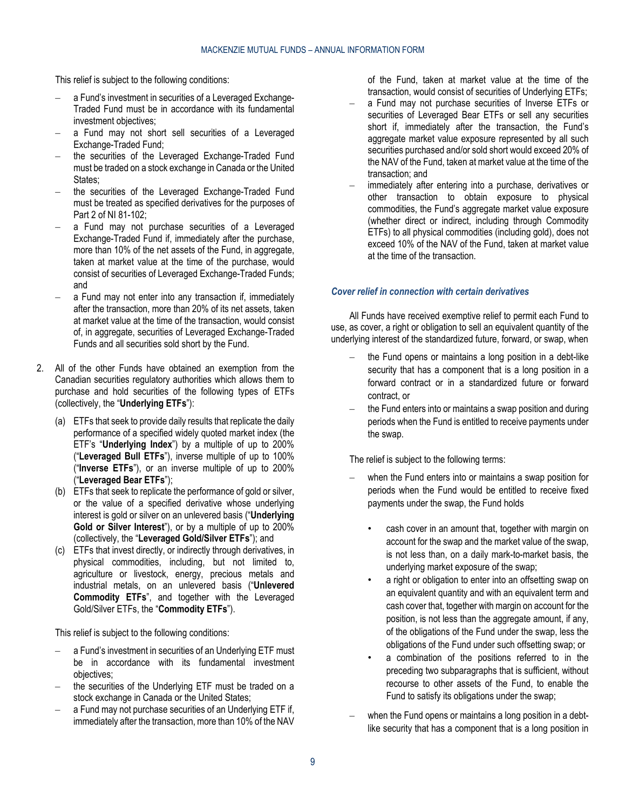This relief is subject to the following conditions:

- a Fund's investment in securities of a Leveraged Exchange-Traded Fund must be in accordance with its fundamental investment objectives:
- a Fund may not short sell securities of a Leveraged Exchange-Traded Fund;
- the securities of the Leveraged Exchange-Traded Fund must be traded on a stock exchange in Canada or the United States;
- the securities of the Leveraged Exchange-Traded Fund must be treated as specified derivatives for the purposes of Part 2 of NI 81-102;
- a Fund may not purchase securities of a Leveraged Exchange-Traded Fund if, immediately after the purchase, more than 10% of the net assets of the Fund, in aggregate, taken at market value at the time of the purchase, would consist of securities of Leveraged Exchange-Traded Funds; and
- a Fund may not enter into any transaction if, immediately after the transaction, more than 20% of its net assets, taken at market value at the time of the transaction, would consist of, in aggregate, securities of Leveraged Exchange-Traded Funds and all securities sold short by the Fund.
- 2. All of the other Funds have obtained an exemption from the Canadian securities regulatory authorities which allows them to purchase and hold securities of the following types of ETFs (collectively, the "**Underlying ETFs**"):
	- (a) ETFs that seek to provide daily results that replicate the daily performance of a specified widely quoted market index (the ETF's "**Underlying Index**") by a multiple of up to 200% ("**Leveraged Bull ETFs**"), inverse multiple of up to 100% ("**Inverse ETFs**"), or an inverse multiple of up to 200% ("**Leveraged Bear ETFs**");
	- (b) ETFs that seek to replicate the performance of gold or silver, or the value of a specified derivative whose underlying interest is gold or silver on an unlevered basis ("**Underlying Gold or Silver Interest**"), or by a multiple of up to 200% (collectively, the "**Leveraged Gold/Silver ETFs**"); and
	- (c) ETFs that invest directly, or indirectly through derivatives, in physical commodities, including, but not limited to, agriculture or livestock, energy, precious metals and industrial metals, on an unlevered basis ("**Unlevered Commodity ETFs**", and together with the Leveraged Gold/Silver ETFs, the "**Commodity ETFs**").

This relief is subject to the following conditions:

- a Fund's investment in securities of an Underlying ETF must be in accordance with its fundamental investment objectives;
- the securities of the Underlying ETF must be traded on a stock exchange in Canada or the United States;
- a Fund may not purchase securities of an Underlying ETF if, immediately after the transaction, more than 10% of the NAV

of the Fund, taken at market value at the time of the transaction, would consist of securities of Underlying ETFs;

- a Fund may not purchase securities of Inverse ETFs or securities of Leveraged Bear ETFs or sell any securities short if, immediately after the transaction, the Fund's aggregate market value exposure represented by all such securities purchased and/or sold short would exceed 20% of the NAV of the Fund, taken at market value at the time of the transaction; and
- immediately after entering into a purchase, derivatives or other transaction to obtain exposure to physical commodities, the Fund's aggregate market value exposure (whether direct or indirect, including through Commodity ETFs) to all physical commodities (including gold), does not exceed 10% of the NAV of the Fund, taken at market value at the time of the transaction.

#### *Cover relief in connection with certain derivatives*

All Funds have received exemptive relief to permit each Fund to use, as cover, a right or obligation to sell an equivalent quantity of the underlying interest of the standardized future, forward, or swap, when

- the Fund opens or maintains a long position in a debt-like security that has a component that is a long position in a forward contract or in a standardized future or forward contract, or
- the Fund enters into or maintains a swap position and during periods when the Fund is entitled to receive payments under the swap.

The relief is subject to the following terms:

- when the Fund enters into or maintains a swap position for periods when the Fund would be entitled to receive fixed payments under the swap, the Fund holds
	- cash cover in an amount that, together with margin on account for the swap and the market value of the swap, is not less than, on a daily mark-to-market basis, the underlying market exposure of the swap;
	- a right or obligation to enter into an offsetting swap on an equivalent quantity and with an equivalent term and cash cover that, together with margin on account for the position, is not less than the aggregate amount, if any, of the obligations of the Fund under the swap, less the obligations of the Fund under such offsetting swap; or
	- a combination of the positions referred to in the preceding two subparagraphs that is sufficient, without recourse to other assets of the Fund, to enable the Fund to satisfy its obligations under the swap;
- when the Fund opens or maintains a long position in a debtlike security that has a component that is a long position in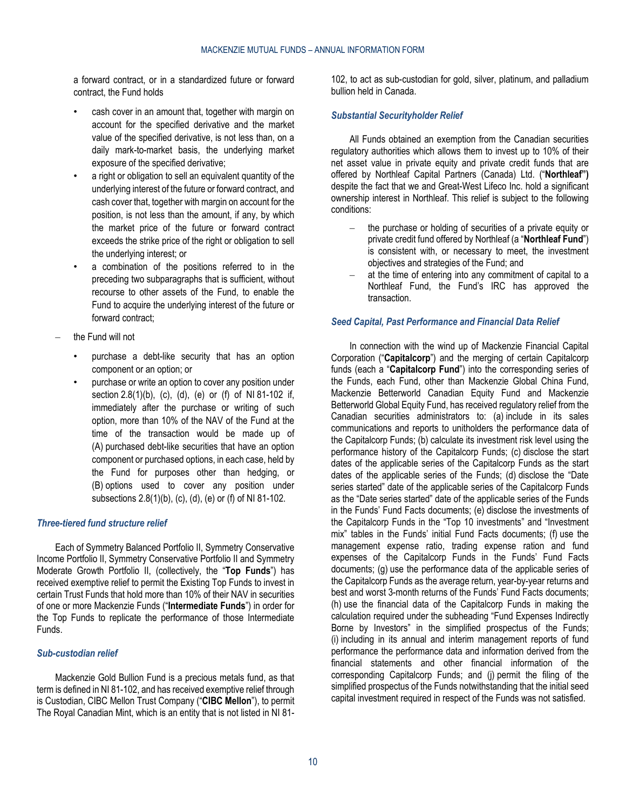a forward contract, or in a standardized future or forward contract, the Fund holds

- cash cover in an amount that, together with margin on account for the specified derivative and the market value of the specified derivative, is not less than, on a daily mark-to-market basis, the underlying market exposure of the specified derivative;
- a right or obligation to sell an equivalent quantity of the underlying interest of the future or forward contract, and cash cover that, together with margin on account for the position, is not less than the amount, if any, by which the market price of the future or forward contract exceeds the strike price of the right or obligation to sell the underlying interest; or
- a combination of the positions referred to in the preceding two subparagraphs that is sufficient, without recourse to other assets of the Fund, to enable the Fund to acquire the underlying interest of the future or forward contract;
- the Fund will not
	- purchase a debt-like security that has an option component or an option; or
	- purchase or write an option to cover any position under section 2.8(1)(b), (c), (d), (e) or (f) of NI 81-102 if, immediately after the purchase or writing of such option, more than 10% of the NAV of the Fund at the time of the transaction would be made up of (A) purchased debt-like securities that have an option component or purchased options, in each case, held by the Fund for purposes other than hedging, or (B) options used to cover any position under subsections 2.8(1)(b), (c), (d), (e) or (f) of NI 81-102.

### *Three-tiered fund structure relief*

Each of Symmetry Balanced Portfolio II, Symmetry Conservative Income Portfolio II, Symmetry Conservative Portfolio II and Symmetry Moderate Growth Portfolio II, (collectively, the "**Top Funds**") has received exemptive relief to permit the Existing Top Funds to invest in certain Trust Funds that hold more than 10% of their NAV in securities of one or more Mackenzie Funds ("**Intermediate Funds**") in order for the Top Funds to replicate the performance of those Intermediate Funds.

#### *Sub-custodian relief*

Mackenzie Gold Bullion Fund is a precious metals fund, as that term is defined in NI 81-102, and has received exemptive relief through is Custodian, CIBC Mellon Trust Company ("**CIBC Mellon**"), to permit The Royal Canadian Mint, which is an entity that is not listed in NI 81102, to act as sub-custodian for gold, silver, platinum, and palladium bullion held in Canada.

#### *Substantial Securityholder Relief*

All Funds obtained an exemption from the Canadian securities regulatory authorities which allows them to invest up to 10% of their net asset value in private equity and private credit funds that are offered by Northleaf Capital Partners (Canada) Ltd. ("**Northleaf")**  despite the fact that we and Great-West Lifeco Inc. hold a significant ownership interest in Northleaf. This relief is subject to the following conditions:

- the purchase or holding of securities of a private equity or private credit fund offered by Northleaf (a "**Northleaf Fund**") is consistent with, or necessary to meet, the investment objectives and strategies of the Fund; and
- at the time of entering into any commitment of capital to a Northleaf Fund, the Fund's IRC has approved the transaction.

#### <span id="page-9-0"></span>*Seed Capital, Past Performance and Financial Data Relief*

In connection with the wind up of Mackenzie Financial Capital Corporation ("**Capitalcorp**") and the merging of certain Capitalcorp funds (each a "**Capitalcorp Fund**") into the corresponding series of the Funds, each Fund, other than Mackenzie Global China Fund, Mackenzie Betterworld Canadian Equity Fund and Mackenzie Betterworld Global Equity Fund, has received regulatory relief from the Canadian securities administrators to: (a) include in its sales communications and reports to unitholders the performance data of the Capitalcorp Funds; (b) calculate its investment risk level using the performance history of the Capitalcorp Funds; (c) disclose the start dates of the applicable series of the Capitalcorp Funds as the start dates of the applicable series of the Funds; (d) disclose the "Date series started" date of the applicable series of the Capitalcorp Funds as the "Date series started" date of the applicable series of the Funds in the Funds' Fund Facts documents; (e) disclose the investments of the Capitalcorp Funds in the "Top 10 investments" and "Investment mix" tables in the Funds' initial Fund Facts documents; (f) use the management expense ratio, trading expense ration and fund expenses of the Capitalcorp Funds in the Funds' Fund Facts documents; (g) use the performance data of the applicable series of the Capitalcorp Funds as the average return, year-by-year returns and best and worst 3-month returns of the Funds' Fund Facts documents; (h) use the financial data of the Capitalcorp Funds in making the calculation required under the subheading "Fund Expenses Indirectly Borne by Investors" in the simplified prospectus of the Funds; (i) including in its annual and interim management reports of fund performance the performance data and information derived from the financial statements and other financial information of the corresponding Capitalcorp Funds; and (j) permit the filing of the simplified prospectus of the Funds notwithstanding that the initial seed capital investment required in respect of the Funds was not satisfied.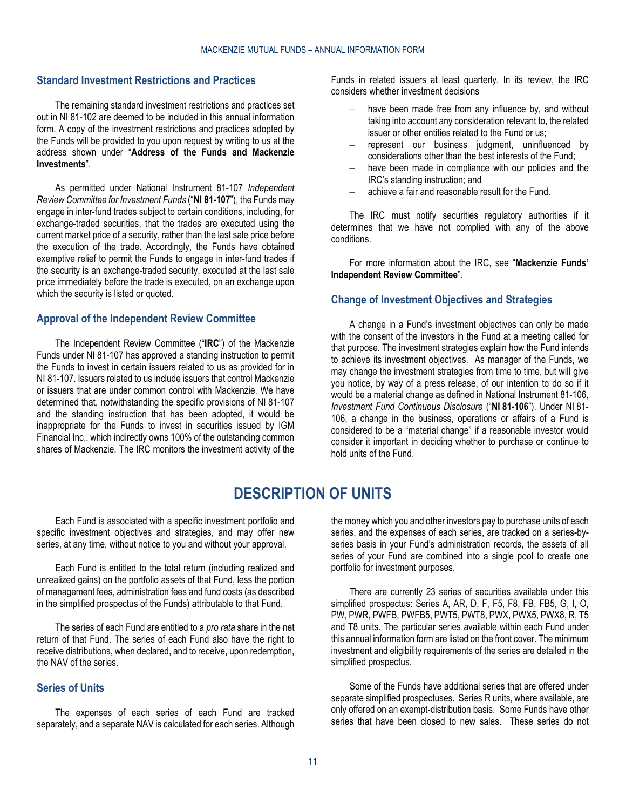# <span id="page-10-0"></span>**Standard Investment Restrictions and Practices**

The remaining standard investment restrictions and practices set out in NI 81-102 are deemed to be included in this annual information form. A copy of the investment restrictions and practices adopted by the Funds will be provided to you upon request by writing to us at the address shown under "**[Address of the Funds and Mackenzie](#page-2-2)  [Investments](#page-2-2)**".

As permitted under National Instrument 81-107 *Independent Review Committee for Investment Funds* ("**NI 81-107**"), the Funds may engage in inter-fund trades subject to certain conditions, including, for exchange-traded securities, that the trades are executed using the current market price of a security, rather than the last sale price before the execution of the trade. Accordingly, the Funds have obtained exemptive relief to permit the Funds to engage in inter-fund trades if the security is an exchange-traded security, executed at the last sale price immediately before the trade is executed, on an exchange upon which the security is listed or quoted.

#### <span id="page-10-1"></span>**Approval of the Independent Review Committee**

The Independent Review Committee ("**IRC**") of the Mackenzie Funds under NI 81-107 has approved a standing instruction to permit the Funds to invest in certain issuers related to us as provided for in NI 81-107. Issuers related to us include issuers that control Mackenzie or issuers that are under common control with Mackenzie. We have determined that, notwithstanding the specific provisions of NI 81-107 and the standing instruction that has been adopted, it would be inappropriate for the Funds to invest in securities issued by IGM Financial Inc., which indirectly owns 100% of the outstanding common shares of Mackenzie. The IRC monitors the investment activity of the Funds in related issuers at least quarterly. In its review, the IRC considers whether investment decisions

- have been made free from any influence by, and without taking into account any consideration relevant to, the related issuer or other entities related to the Fund or us;
- represent our business judgment, uninfluenced by considerations other than the best interests of the Fund;
- have been made in compliance with our policies and the IRC's standing instruction; and
- achieve a fair and reasonable result for the Fund.

The IRC must notify securities regulatory authorities if it determines that we have not complied with any of the above conditions.

For more information about the IRC, see "**[Mackenzie Funds'](#page-31-0)  [Independent Review Committee](#page-31-0)**".

# <span id="page-10-2"></span>**Change of Investment Objectives and Strategies**

A change in a Fund's investment objectives can only be made with the consent of the investors in the Fund at a meeting called for that purpose. The investment strategies explain how the Fund intends to achieve its investment objectives. As manager of the Funds, we may change the investment strategies from time to time, but will give you notice, by way of a press release, of our intention to do so if it would be a material change as defined in National Instrument 81-106, *Investment Fund Continuous Disclosure* ("**NI 81-106**"). Under NI 81- 106, a change in the business, operations or affairs of a Fund is considered to be a "material change" if a reasonable investor would consider it important in deciding whether to purchase or continue to hold units of the Fund.

# **DESCRIPTION OF UNITS**

<span id="page-10-3"></span>Each Fund is associated with a specific investment portfolio and specific investment objectives and strategies, and may offer new series, at any time, without notice to you and without your approval.

Each Fund is entitled to the total return (including realized and unrealized gains) on the portfolio assets of that Fund, less the portion of management fees, administration fees and fund costs (as described in the simplified prospectus of the Funds) attributable to that Fund.

The series of each Fund are entitled to a *pro rata* share in the net return of that Fund. The series of each Fund also have the right to receive distributions, when declared, and to receive, upon redemption, the NAV of the series.

# <span id="page-10-4"></span>**Series of Units**

The expenses of each series of each Fund are tracked separately, and a separate NAV is calculated for each series. Although the money which you and other investors pay to purchase units of each series, and the expenses of each series, are tracked on a series-byseries basis in your Fund's administration records, the assets of all series of your Fund are combined into a single pool to create one portfolio for investment purposes.

There are currently 23 series of securities available under this simplified prospectus: Series A, AR, D, F, F5, F8, FB, FB5, G, I, O, PW, PWR, PWFB, PWFB5, PWT5, PWT8, PWX, PWX5, PWX8, R, T5 and T8 units. The particular series available within each Fund under this annual information form are listed on the front cover. The minimum investment and eligibility requirements of the series are detailed in the simplified prospectus.

Some of the Funds have additional series that are offered under separate simplified prospectuses. Series R units, where available, are only offered on an exempt-distribution basis. Some Funds have other series that have been closed to new sales. These series do not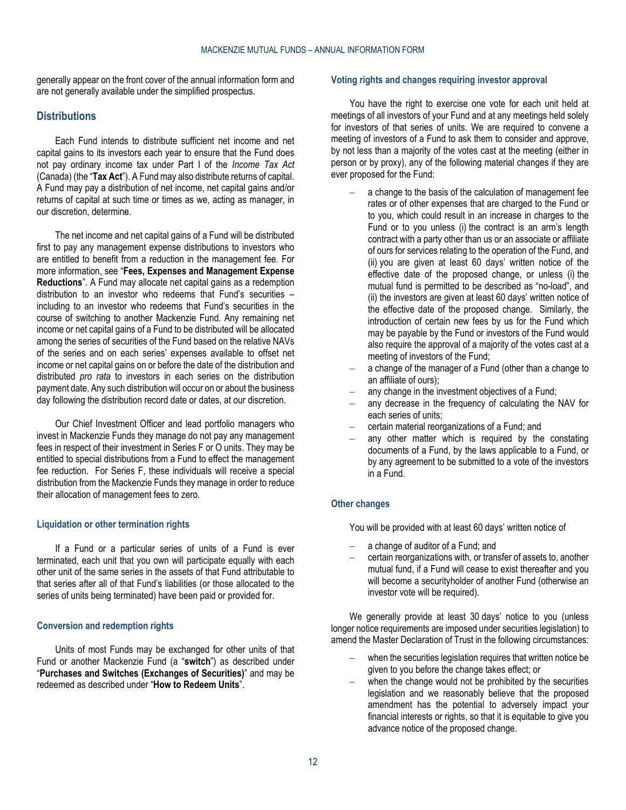generally appear on the front cover of the annual information form and are not generally available under the simplified prospectus.

### <span id="page-11-0"></span>**Distributions**

Each Fund intends to distribute sufficient net income and net capital gains to its investors each year to ensure that the Fund does not pay ordinary income tax under Part I of the *Income Tax Act*  (Canada) (the "**Tax Act**"). A Fund may also distribute returns of capital. A Fund may pay a distribution of net income, net capital gains and/or returns of capital at such time or times as we, acting as manager, in our discretion, determine.

The net income and net capital gains of a Fund will be distributed first to pay any management expense distributions to investors who are entitled to benefit from a reduction in the management fee. For more information, see "**[Fees, Expenses and Management Expense](#page-35-0)  [Reductions](#page-35-0)**". A Fund may allocate net capital gains as a redemption distribution to an investor who redeems that Fund's securities – including to an investor who redeems that Fund's securities in the course of switching to another Mackenzie Fund. Any remaining net income or net capital gains of a Fund to be distributed will be allocated among the series of securities of the Fund based on the relative NAVs of the series and on each series' expenses available to offset net income or net capital gains on or before the date of the distribution and distributed *pro rata* to investors in each series on the distribution payment date. Any such distribution will occur on or about the business day following the distribution record date or dates, at our discretion.

Our Chief Investment Officer and lead portfolio managers who invest in Mackenzie Funds they manage do not pay any management fees in respect of their investment in Series F or O units. They may be entitled to special distributions from a Fund to effect the management fee reduction. For Series F, these individuals will receive a special distribution from the Mackenzie Funds they manage in order to reduce their allocation of management fees to zero.

#### **Liquidation or other termination rights**

If a Fund or a particular series of units of a Fund is ever terminated, each unit that you own will participate equally with each other unit of the same series in the assets of that Fund attributable to that series after all of that Fund's liabilities (or those allocated to the series of units being terminated) have been paid or provided for.

#### **Conversion and redemption rights**

Units of most Funds may be exchanged for other units of that Fund or another Mackenzie Fund (a "**switch**") as described under "**[Purchases and Switches \(Exchanges of Securities\)](#page-14-0)**" and may be redeemed as described under "**[How to Redeem Units](#page-17-0)**".

#### <span id="page-11-1"></span>**Voting rights and changes requiring investor approval**

You have the right to exercise one vote for each unit held at meetings of all investors of your Fund and at any meetings held solely for investors of that series of units. We are required to convene a meeting of investors of a Fund to ask them to consider and approve, by not less than a majority of the votes cast at the meeting (either in person or by proxy), any of the following material changes if they are ever proposed for the Fund:

- a change to the basis of the calculation of management fee rates or of other expenses that are charged to the Fund or to you, which could result in an increase in charges to the Fund or to you unless (i) the contract is an arm's length contract with a party other than us or an associate or affiliate of ours for services relating to the operation of the Fund, and (ii) you are given at least 60 days' written notice of the effective date of the proposed change, or unless (i) the mutual fund is permitted to be described as "no-load", and (ii) the investors are given at least 60 days' written notice of the effective date of the proposed change. Similarly, the introduction of certain new fees by us for the Fund which may be payable by the Fund or investors of the Fund would also require the approval of a majority of the votes cast at a meeting of investors of the Fund;
- a change of the manager of a Fund (other than a change to an affiliate of ours);
- any change in the investment objectives of a Fund;
- any decrease in the frequency of calculating the NAV for each series of units;
- certain material reorganizations of a Fund; and
- any other matter which is required by the constating documents of a Fund, by the laws applicable to a Fund, or by any agreement to be submitted to a vote of the investors in a Fund.

# **Other changes**

You will be provided with at least 60 days' written notice of

- a change of auditor of a Fund; and
- certain reorganizations with, or transfer of assets to, another mutual fund, if a Fund will cease to exist thereafter and you will become a securityholder of another Fund (otherwise an investor vote will be required).

We generally provide at least 30 days' notice to you (unless longer notice requirements are imposed under securities legislation) to amend the Master Declaration of Trust in the following circumstances:

- when the securities legislation requires that written notice be given to you before the change takes effect; or
- when the change would not be prohibited by the securities legislation and we reasonably believe that the proposed amendment has the potential to adversely impact your financial interests or rights, so that it is equitable to give you advance notice of the proposed change.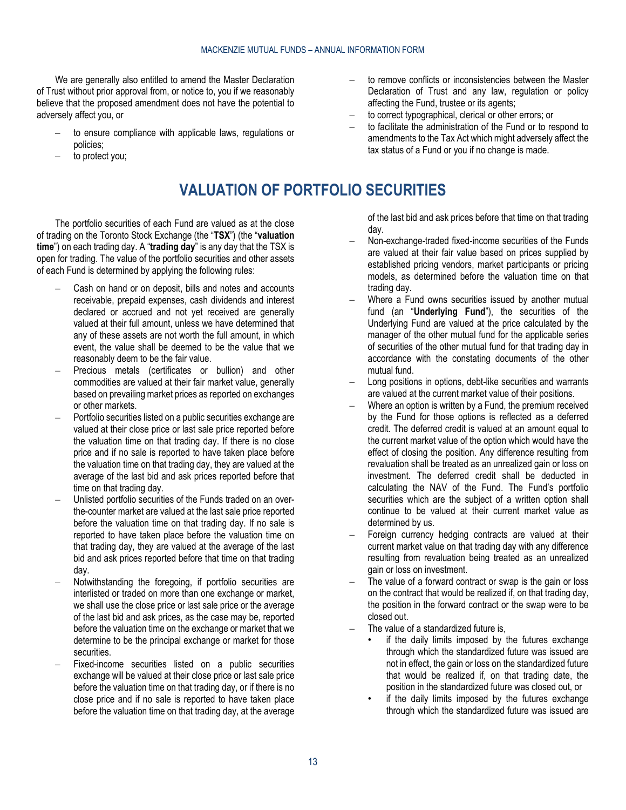We are generally also entitled to amend the Master Declaration of Trust without prior approval from, or notice to, you if we reasonably believe that the proposed amendment does not have the potential to adversely affect you, or

- to ensure compliance with applicable laws, regulations or policies;
- <span id="page-12-0"></span>to protect you;

# **VALUATION OF PORTFOLIO SECURITIES**

The portfolio securities of each Fund are valued as at the close of trading on the Toronto Stock Exchange (the "**TSX**") (the "**valuation time**") on each trading day. A "**trading day**" is any day that the TSX is open for trading. The value of the portfolio securities and other assets of each Fund is determined by applying the following rules:

- Cash on hand or on deposit, bills and notes and accounts receivable, prepaid expenses, cash dividends and interest declared or accrued and not yet received are generally valued at their full amount, unless we have determined that any of these assets are not worth the full amount, in which event, the value shall be deemed to be the value that we reasonably deem to be the fair value.
- Precious metals (certificates or bullion) and other commodities are valued at their fair market value, generally based on prevailing market prices as reported on exchanges or other markets.
- Portfolio securities listed on a public securities exchange are valued at their close price or last sale price reported before the valuation time on that trading day. If there is no close price and if no sale is reported to have taken place before the valuation time on that trading day, they are valued at the average of the last bid and ask prices reported before that time on that trading day.
- Unlisted portfolio securities of the Funds traded on an overthe-counter market are valued at the last sale price reported before the valuation time on that trading day. If no sale is reported to have taken place before the valuation time on that trading day, they are valued at the average of the last bid and ask prices reported before that time on that trading day.
- Notwithstanding the foregoing, if portfolio securities are interlisted or traded on more than one exchange or market, we shall use the close price or last sale price or the average of the last bid and ask prices, as the case may be, reported before the valuation time on the exchange or market that we determine to be the principal exchange or market for those securities.
- Fixed-income securities listed on a public securities exchange will be valued at their close price or last sale price before the valuation time on that trading day, or if there is no close price and if no sale is reported to have taken place before the valuation time on that trading day, at the average
- to remove conflicts or inconsistencies between the Master Declaration of Trust and any law, regulation or policy affecting the Fund, trustee or its agents;
- to correct typographical, clerical or other errors; or
- to facilitate the administration of the Fund or to respond to amendments to the Tax Act which might adversely affect the tax status of a Fund or you if no change is made.
	- of the last bid and ask prices before that time on that trading day.
- Non-exchange-traded fixed-income securities of the Funds are valued at their fair value based on prices supplied by established pricing vendors, market participants or pricing models, as determined before the valuation time on that trading day.
- Where a Fund owns securities issued by another mutual fund (an "**Underlying Fund**"), the securities of the Underlying Fund are valued at the price calculated by the manager of the other mutual fund for the applicable series of securities of the other mutual fund for that trading day in accordance with the constating documents of the other mutual fund.
- Long positions in options, debt-like securities and warrants are valued at the current market value of their positions.
- Where an option is written by a Fund, the premium received by the Fund for those options is reflected as a deferred credit. The deferred credit is valued at an amount equal to the current market value of the option which would have the effect of closing the position. Any difference resulting from revaluation shall be treated as an unrealized gain or loss on investment. The deferred credit shall be deducted in calculating the NAV of the Fund. The Fund's portfolio securities which are the subject of a written option shall continue to be valued at their current market value as determined by us.
- Foreign currency hedging contracts are valued at their current market value on that trading day with any difference resulting from revaluation being treated as an unrealized gain or loss on investment.
- The value of a forward contract or swap is the gain or loss on the contract that would be realized if, on that trading day, the position in the forward contract or the swap were to be closed out.
- The value of a standardized future is,
	- if the daily limits imposed by the futures exchange through which the standardized future was issued are not in effect, the gain or loss on the standardized future that would be realized if, on that trading date, the position in the standardized future was closed out, or
	- if the daily limits imposed by the futures exchange through which the standardized future was issued are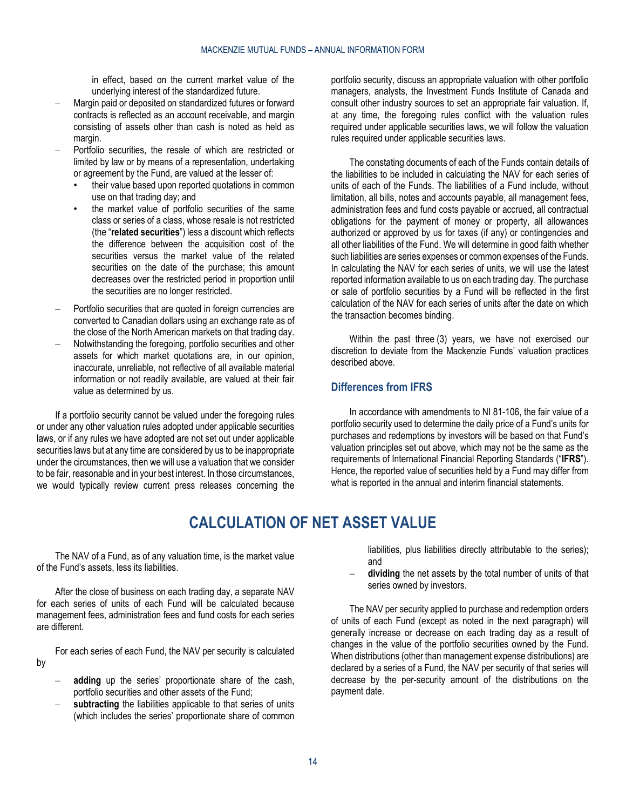in effect, based on the current market value of the underlying interest of the standardized future.

- Margin paid or deposited on standardized futures or forward contracts is reflected as an account receivable, and margin consisting of assets other than cash is noted as held as margin.
- Portfolio securities, the resale of which are restricted or limited by law or by means of a representation, undertaking or agreement by the Fund, are valued at the lesser of:
	- their value based upon reported quotations in common use on that trading day; and
	- the market value of portfolio securities of the same class or series of a class, whose resale is not restricted (the "**related securities**") less a discount which reflects the difference between the acquisition cost of the securities versus the market value of the related securities on the date of the purchase; this amount decreases over the restricted period in proportion until the securities are no longer restricted.
- Portfolio securities that are quoted in foreign currencies are converted to Canadian dollars using an exchange rate as of the close of the North American markets on that trading day.
- Notwithstanding the foregoing, portfolio securities and other assets for which market quotations are, in our opinion, inaccurate, unreliable, not reflective of all available material information or not readily available, are valued at their fair value as determined by us.

If a portfolio security cannot be valued under the foregoing rules or under any other valuation rules adopted under applicable securities laws, or if any rules we have adopted are not set out under applicable securities laws but at any time are considered by us to be inappropriate under the circumstances, then we will use a valuation that we consider to be fair, reasonable and in your best interest. In those circumstances, we would typically review current press releases concerning the

portfolio security, discuss an appropriate valuation with other portfolio managers, analysts, the Investment Funds Institute of Canada and consult other industry sources to set an appropriate fair valuation. If, at any time, the foregoing rules conflict with the valuation rules required under applicable securities laws, we will follow the valuation rules required under applicable securities laws.

The constating documents of each of the Funds contain details of the liabilities to be included in calculating the NAV for each series of units of each of the Funds. The liabilities of a Fund include, without limitation, all bills, notes and accounts payable, all management fees, administration fees and fund costs payable or accrued, all contractual obligations for the payment of money or property, all allowances authorized or approved by us for taxes (if any) or contingencies and all other liabilities of the Fund. We will determine in good faith whether such liabilities are series expenses or common expenses of the Funds. In calculating the NAV for each series of units, we will use the latest reported information available to us on each trading day. The purchase or sale of portfolio securities by a Fund will be reflected in the first calculation of the NAV for each series of units after the date on which the transaction becomes binding.

Within the past three (3) years, we have not exercised our discretion to deviate from the Mackenzie Funds' valuation practices described above.

# <span id="page-13-0"></span>**Differences from IFRS**

In accordance with amendments to NI 81-106, the fair value of a portfolio security used to determine the daily price of a Fund's units for purchases and redemptions by investors will be based on that Fund's valuation principles set out above, which may not be the same as the requirements of International Financial Reporting Standards ("**IFRS**"). Hence, the reported value of securities held by a Fund may differ from what is reported in the annual and interim financial statements.

# **CALCULATION OF NET ASSET VALUE**

<span id="page-13-1"></span>The NAV of a Fund, as of any valuation time, is the market value of the Fund's assets, less its liabilities.

After the close of business on each trading day, a separate NAV for each series of units of each Fund will be calculated because management fees, administration fees and fund costs for each series are different.

For each series of each Fund, the NAV per security is calculated by

- **adding** up the series' proportionate share of the cash, portfolio securities and other assets of the Fund;
- subtracting the liabilities applicable to that series of units (which includes the series' proportionate share of common

liabilities, plus liabilities directly attributable to the series); and

dividing the net assets by the total number of units of that series owned by investors.

The NAV per security applied to purchase and redemption orders of units of each Fund (except as noted in the next paragraph) will generally increase or decrease on each trading day as a result of changes in the value of the portfolio securities owned by the Fund. When distributions (other than management expense distributions) are declared by a series of a Fund, the NAV per security of that series will decrease by the per-security amount of the distributions on the payment date.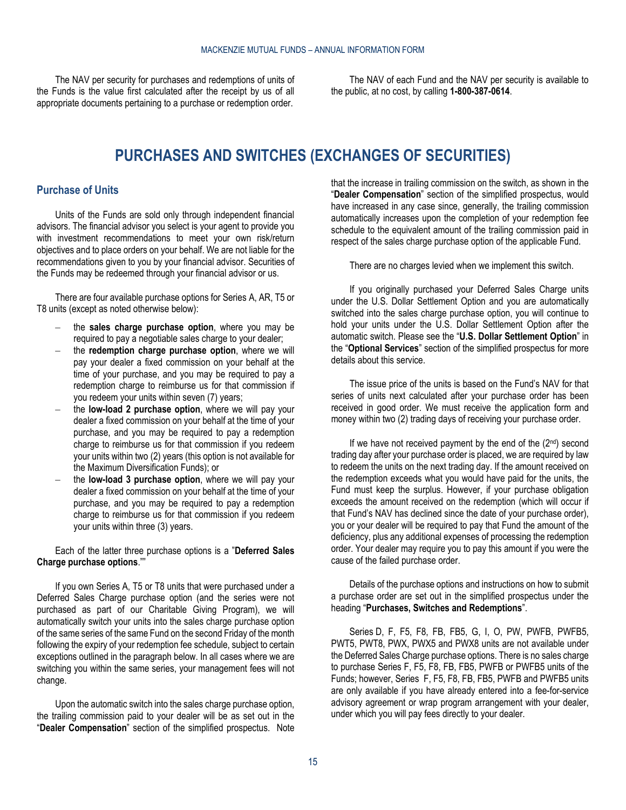<span id="page-14-0"></span>The NAV per security for purchases and redemptions of units of the Funds is the value first calculated after the receipt by us of all appropriate documents pertaining to a purchase or redemption order.

The NAV of each Fund and the NAV per security is available to the public, at no cost, by calling **1-800-387-0614**.

# **PURCHASES AND SWITCHES (EXCHANGES OF SECURITIES)**

#### <span id="page-14-1"></span>**Purchase of Units**

Units of the Funds are sold only through independent financial advisors. The financial advisor you select is your agent to provide you with investment recommendations to meet your own risk/return objectives and to place orders on your behalf. We are not liable for the recommendations given to you by your financial advisor. Securities of the Funds may be redeemed through your financial advisor or us.

There are four available purchase options for Series A, AR, T5 or T8 units (except as noted otherwise below):

- the **sales charge purchase option**, where you may be required to pay a negotiable sales charge to your dealer;
- the **redemption charge purchase option**, where we will pay your dealer a fixed commission on your behalf at the time of your purchase, and you may be required to pay a redemption charge to reimburse us for that commission if you redeem your units within seven (7) years;
- the **low-load 2 purchase option**, where we will pay your dealer a fixed commission on your behalf at the time of your purchase, and you may be required to pay a redemption charge to reimburse us for that commission if you redeem your units within two (2) years (this option is not available for the Maximum Diversification Funds); or
- the **low-load 3 purchase option**, where we will pay your dealer a fixed commission on your behalf at the time of your purchase, and you may be required to pay a redemption charge to reimburse us for that commission if you redeem your units within three (3) years.

Each of the latter three purchase options is a "**[Deferred Sales](#page-17-2)  [Charge purchase options](#page-17-2)**.""

If you own Series A, T5 or T8 units that were purchased under a Deferred Sales Charge purchase option (and the series were not purchased as part of our Charitable Giving Program), we will automatically switch your units into the sales charge purchase option of the same series of the same Fund on the second Friday of the month following the expiry of your redemption fee schedule, subject to certain exceptions outlined in the paragraph below. In all cases where we are switching you within the same series, your management fees will not change.

Upon the automatic switch into the sales charge purchase option, the trailing commission paid to your dealer will be as set out in the "**Dealer Compensation**" section of the simplified prospectus. Note that the increase in trailing commission on the switch, as shown in the "**Dealer Compensation**" section of the simplified prospectus, would have increased in any case since, generally, the trailing commission automatically increases upon the completion of your redemption fee schedule to the equivalent amount of the trailing commission paid in respect of the sales charge purchase option of the applicable Fund.

There are no charges levied when we implement this switch.

If you originally purchased your Deferred Sales Charge units under the U.S. Dollar Settlement Option and you are automatically switched into the sales charge purchase option, you will continue to hold your units under the U.S. Dollar Settlement Option after the automatic switch. Please see the "**U.S. Dollar Settlement Option**" in the "**Optional Services**" section of the simplified prospectus for more details about this service.

The issue price of the units is based on the Fund's NAV for that series of units next calculated after your purchase order has been received in good order. We must receive the application form and money within two (2) trading days of receiving your purchase order.

If we have not received payment by the end of the  $(2<sup>nd</sup>)$  second trading day after your purchase order is placed, we are required by law to redeem the units on the next trading day. If the amount received on the redemption exceeds what you would have paid for the units, the Fund must keep the surplus. However, if your purchase obligation exceeds the amount received on the redemption (which will occur if that Fund's NAV has declined since the date of your purchase order), you or your dealer will be required to pay that Fund the amount of the deficiency, plus any additional expenses of processing the redemption order. Your dealer may require you to pay this amount if you were the cause of the failed purchase order.

Details of the purchase options and instructions on how to submit a purchase order are set out in the simplified prospectus under the heading "**Purchases, Switches and Redemptions**".

Series D, F, F5, F8, FB, FB5, G, I, O, PW, PWFB, PWFB5, PWT5, PWT8, PWX, PWX5 and PWX8 units are not available under the Deferred Sales Charge purchase options. There is no sales charge to purchase Series F, F5, F8, FB, FB5, PWFB or PWFB5 units of the Funds; however, Series F, F5, F8, FB, FB5, PWFB and PWFB5 units are only available if you have already entered into a fee-for-service advisory agreement or wrap program arrangement with your dealer, under which you will pay fees directly to your dealer.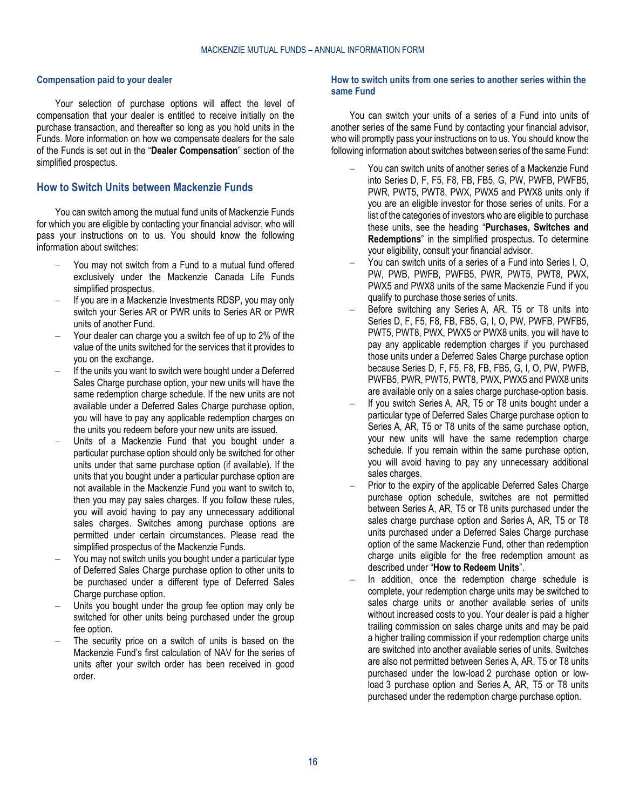#### **Compensation paid to your dealer**

Your selection of purchase options will affect the level of compensation that your dealer is entitled to receive initially on the purchase transaction, and thereafter so long as you hold units in the Funds. More information on how we compensate dealers for the sale of the Funds is set out in the "**Dealer Compensation**" section of the simplified prospectus.

# <span id="page-15-0"></span>**How to Switch Units between Mackenzie Funds**

You can switch among the mutual fund units of Mackenzie Funds for which you are eligible by contacting your financial advisor, who will pass your instructions on to us. You should know the following information about switches:

- You may not switch from a Fund to a mutual fund offered exclusively under the Mackenzie Canada Life Funds simplified prospectus.
- If you are in a Mackenzie Investments RDSP, you may only switch your Series AR or PWR units to Series AR or PWR units of another Fund.
- Your dealer can charge you a switch fee of up to 2% of the value of the units switched for the services that it provides to you on the exchange.
- If the units you want to switch were bought under a Deferred Sales Charge purchase option, your new units will have the same redemption charge schedule. If the new units are not available under a Deferred Sales Charge purchase option, you will have to pay any applicable redemption charges on the units you redeem before your new units are issued.
- Units of a Mackenzie Fund that you bought under a particular purchase option should only be switched for other units under that same purchase option (if available). If the units that you bought under a particular purchase option are not available in the Mackenzie Fund you want to switch to, then you may pay sales charges. If you follow these rules, you will avoid having to pay any unnecessary additional sales charges. Switches among purchase options are permitted under certain circumstances. Please read the simplified prospectus of the Mackenzie Funds.
- You may not switch units you bought under a particular type of Deferred Sales Charge purchase option to other units to be purchased under a different type of Deferred Sales Charge purchase option.
- Units you bought under the group fee option may only be switched for other units being purchased under the group fee option.
- The security price on a switch of units is based on the Mackenzie Fund's first calculation of NAV for the series of units after your switch order has been received in good order.

#### **How to switch units from one series to another series within the same Fund**

You can switch your units of a series of a Fund into units of another series of the same Fund by contacting your financial advisor, who will promptly pass your instructions on to us. You should know the following information about switches between series of the same Fund:

- You can switch units of another series of a Mackenzie Fund into Series D, F, F5, F8, FB, FB5, G, PW, PWFB, PWFB5, PWR, PWT5, PWT8, PWX, PWX5 and PWX8 units only if you are an eligible investor for those series of units. For a list of the categories of investors who are eligible to purchase these units, see the heading "**Purchases, Switches and Redemptions**" in the simplified prospectus. To determine your eligibility, consult your financial advisor.
- You can switch units of a series of a Fund into Series I, O, PW, PWB, PWFB, PWFB5, PWR, PWT5, PWT8, PWX, PWX5 and PWX8 units of the same Mackenzie Fund if you qualify to purchase those series of units.
- Before switching any Series A, AR, T5 or T8 units into Series D, F, F5, F8, FB, FB5, G, I, O, PW, PWFB, PWFB5, PWT5, PWT8, PWX, PWX5 or PWX8 units, you will have to pay any applicable redemption charges if you purchased those units under a Deferred Sales Charge purchase option because Series D, F, F5, F8, FB, FB5, G, I, O, PW, PWFB, PWFB5, PWR, PWT5, PWT8, PWX, PWX5 and PWX8 units are available only on a sales charge purchase-option basis.
- If you switch Series A, AR, T5 or T8 units bought under a particular type of Deferred Sales Charge purchase option to Series A, AR, T5 or T8 units of the same purchase option, your new units will have the same redemption charge schedule. If you remain within the same purchase option, you will avoid having to pay any unnecessary additional sales charges.
- Prior to the expiry of the applicable Deferred Sales Charge purchase option schedule, switches are not permitted between Series A, AR, T5 or T8 units purchased under the sales charge purchase option and Series A, AR, T5 or T8 units purchased under a Deferred Sales Charge purchase option of the same Mackenzie Fund, other than redemption charge units eligible for the free redemption amount as described under "**[How to Redeem Units](#page-17-0)**".
- In addition, once the redemption charge schedule is complete, your redemption charge units may be switched to sales charge units or another available series of units without increased costs to you. Your dealer is paid a higher trailing commission on sales charge units and may be paid a higher trailing commission if your redemption charge units are switched into another available series of units. Switches are also not permitted between Series A, AR, T5 or T8 units purchased under the low-load 2 purchase option or lowload 3 purchase option and Series A, AR, T5 or T8 units purchased under the redemption charge purchase option.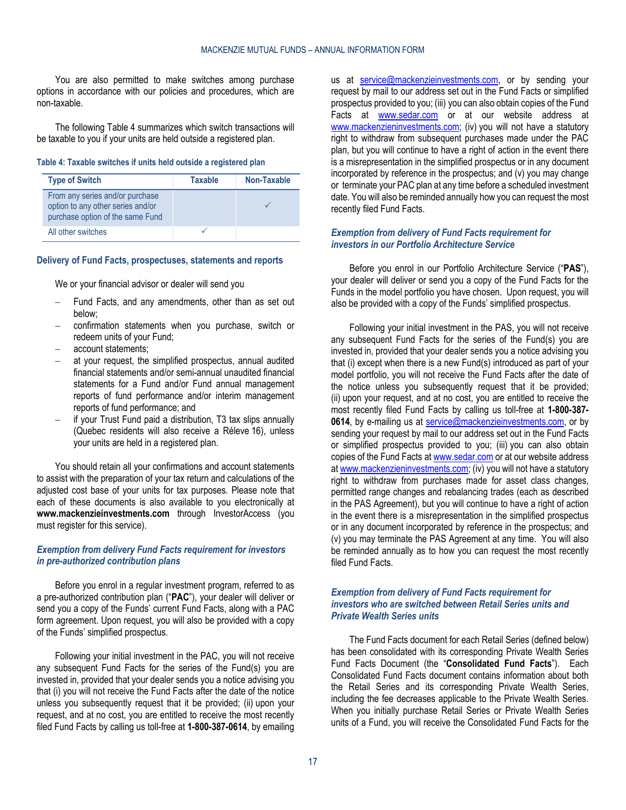You are also permitted to make switches among purchase options in accordance with our policies and procedures, which are non-taxable.

The following [Table](#page-16-0) 4 summarizes which switch transactions will be taxable to you if your units are held outside a registered plan.

#### <span id="page-16-0"></span>**Table 4: Taxable switches if units held outside a registered plan**

| <b>Type of Switch</b>                                                                                    | <b>Taxable</b> | Non-Taxable |
|----------------------------------------------------------------------------------------------------------|----------------|-------------|
| From any series and/or purchase<br>option to any other series and/or<br>purchase option of the same Fund |                |             |
| All other switches                                                                                       |                |             |

#### **Delivery of Fund Facts, prospectuses, statements and reports**

We or your financial advisor or dealer will send you

- Fund Facts, and any amendments, other than as set out below;
- confirmation statements when you purchase, switch or redeem units of your Fund;
- account statements;
- at your request, the simplified prospectus, annual audited financial statements and/or semi-annual unaudited financial statements for a Fund and/or Fund annual management reports of fund performance and/or interim management reports of fund performance; and
- if your Trust Fund paid a distribution, T3 tax slips annually (Quebec residents will also receive a Réleve 16), unless your units are held in a registered plan.

You should retain all your confirmations and account statements to assist with the preparation of your tax return and calculations of the adjusted cost base of your units for tax purposes. Please note that each of these documents is also available to you electronically at **[www.mackenzieinvestments.com](http://www.mackenzieinvestments.com/)** through InvestorAccess (you must register for this service).

#### *Exemption from delivery Fund Facts requirement for investors in pre-authorized contribution plans*

Before you enrol in a regular investment program, referred to as a pre-authorized contribution plan ("**PAC**"), your dealer will deliver or send you a copy of the Funds' current Fund Facts, along with a PAC form agreement. Upon request, you will also be provided with a copy of the Funds' simplified prospectus.

Following your initial investment in the PAC, you will not receive any subsequent Fund Facts for the series of the Fund(s) you are invested in, provided that your dealer sends you a notice advising you that (i) you will not receive the Fund Facts after the date of the notice unless you subsequently request that it be provided; (ii) upon your request, and at no cost, you are entitled to receive the most recently filed Fund Facts by calling us toll-free at **1-800-387-0614**, by emailing us at [service@mackenzieinvestments.com,](mailto:service@mackenzieinvestments.com) or by sending your request by mail to our address set out in the Fund Facts or simplified prospectus provided to you; (iii) you can also obtain copies of the Fund Facts at [www.sedar.com](http://www.sedar.com/) or at our website address at [www.mackenzieninvestments.com;](http://www.mackenzieninvestments.com/) (iv) you will not have a statutory right to withdraw from subsequent purchases made under the PAC plan, but you will continue to have a right of action in the event there is a misrepresentation in the simplified prospectus or in any document incorporated by reference in the prospectus; and (v) you may change or terminate your PAC plan at any time before a scheduled investment date. You will also be reminded annually how you can request the most recently filed Fund Facts.

#### *Exemption from delivery of Fund Facts requirement for investors in our Portfolio Architecture Service*

Before you enrol in our Portfolio Architecture Service ("**PAS**"), your dealer will deliver or send you a copy of the Fund Facts for the Funds in the model portfolio you have chosen. Upon request, you will also be provided with a copy of the Funds' simplified prospectus.

Following your initial investment in the PAS, you will not receive any subsequent Fund Facts for the series of the Fund(s) you are invested in, provided that your dealer sends you a notice advising you that (i) except when there is a new Fund(s) introduced as part of your model portfolio, you will not receive the Fund Facts after the date of the notice unless you subsequently request that it be provided; (ii) upon your request, and at no cost, you are entitled to receive the most recently filed Fund Facts by calling us toll-free at **1-800-387-** 0614, by e-mailing us at **service@mackenzieinvestments.com**, or by sending your request by mail to our address set out in the Fund Facts or simplified prospectus provided to you; (iii) you can also obtain copies of the Fund Facts a[t www.sedar.com](http://www.sedar.com/) or at our website address at [www.mackenzieninvestments.com;](http://www.mackenzieninvestments.com/) (iv) you will not have a statutory right to withdraw from purchases made for asset class changes, permitted range changes and rebalancing trades (each as described in the PAS Agreement), but you will continue to have a right of action in the event there is a misrepresentation in the simplified prospectus or in any document incorporated by reference in the prospectus; and (v) you may terminate the PAS Agreement at any time. You will also be reminded annually as to how you can request the most recently filed Fund Facts.

#### *Exemption from delivery of Fund Facts requirement for investors who are switched between Retail Series units and Private Wealth Series units*

The Fund Facts document for each Retail Series (defined below) has been consolidated with its corresponding Private Wealth Series Fund Facts Document (the "**Consolidated Fund Facts**"). Each Consolidated Fund Facts document contains information about both the Retail Series and its corresponding Private Wealth Series, including the fee decreases applicable to the Private Wealth Series. When you initially purchase Retail Series or Private Wealth Series units of a Fund, you will receive the Consolidated Fund Facts for the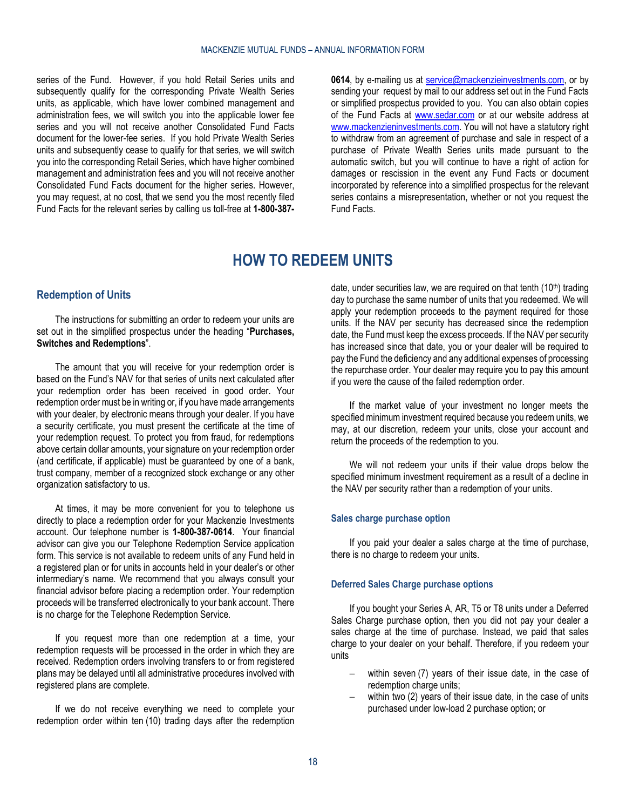series of the Fund. However, if you hold Retail Series units and subsequently qualify for the corresponding Private Wealth Series units, as applicable, which have lower combined management and administration fees, we will switch you into the applicable lower fee series and you will not receive another Consolidated Fund Facts document for the lower-fee series. If you hold Private Wealth Series units and subsequently cease to qualify for that series, we will switch you into the corresponding Retail Series, which have higher combined management and administration fees and you will not receive another Consolidated Fund Facts document for the higher series. However, you may request, at no cost, that we send you the most recently filed Fund Facts for the relevant series by calling us toll-free at **1-800-387-** **0614**, by e-mailing us at [service@mackenzieinvestments.com,](mailto:service@mackenzieinvestments.com) or by sending your request by mail to our address set out in the Fund Facts or simplified prospectus provided to you. You can also obtain copies of the Fund Facts at [www.sedar.com](http://www.sedar.com/) or at our website address at [www.mackenzieninvestments.com.](http://www.mackenzieninvestments.com/) You will not have a statutory right to withdraw from an agreement of purchase and sale in respect of a purchase of Private Wealth Series units made pursuant to the automatic switch, but you will continue to have a right of action for damages or rescission in the event any Fund Facts or document incorporated by reference into a simplified prospectus for the relevant series contains a misrepresentation, whether or not you request the Fund Facts.

# **HOW TO REDEEM UNITS**

### <span id="page-17-1"></span><span id="page-17-0"></span>**Redemption of Units**

The instructions for submitting an order to redeem your units are set out in the simplified prospectus under the heading "**Purchases, Switches and Redemptions**".

The amount that you will receive for your redemption order is based on the Fund's NAV for that series of units next calculated after your redemption order has been received in good order. Your redemption order must be in writing or, if you have made arrangements with your dealer, by electronic means through your dealer. If you have a security certificate, you must present the certificate at the time of your redemption request. To protect you from fraud, for redemptions above certain dollar amounts, your signature on your redemption order (and certificate, if applicable) must be guaranteed by one of a bank, trust company, member of a recognized stock exchange or any other organization satisfactory to us.

At times, it may be more convenient for you to telephone us directly to place a redemption order for your Mackenzie Investments account. Our telephone number is **1-800-387-0614**. Your financial advisor can give you our Telephone Redemption Service application form. This service is not available to redeem units of any Fund held in a registered plan or for units in accounts held in your dealer's or other intermediary's name. We recommend that you always consult your financial advisor before placing a redemption order. Your redemption proceeds will be transferred electronically to your bank account. There is no charge for the Telephone Redemption Service.

If you request more than one redemption at a time, your redemption requests will be processed in the order in which they are received. Redemption orders involving transfers to or from registered plans may be delayed until all administrative procedures involved with registered plans are complete.

If we do not receive everything we need to complete your redemption order within ten (10) trading days after the redemption date, under securities law, we are required on that tenth  $(10<sup>th</sup>)$  trading day to purchase the same number of units that you redeemed. We will apply your redemption proceeds to the payment required for those units. If the NAV per security has decreased since the redemption date, the Fund must keep the excess proceeds. If the NAV per security has increased since that date, you or your dealer will be required to pay the Fund the deficiency and any additional expenses of processing the repurchase order. Your dealer may require you to pay this amount if you were the cause of the failed redemption order.

If the market value of your investment no longer meets the specified minimum investment required because you redeem units, we may, at our discretion, redeem your units, close your account and return the proceeds of the redemption to you.

We will not redeem your units if their value drops below the specified minimum investment requirement as a result of a decline in the NAV per security rather than a redemption of your units.

#### **Sales charge purchase option**

If you paid your dealer a sales charge at the time of purchase, there is no charge to redeem your units.

#### <span id="page-17-2"></span>**Deferred Sales Charge purchase options**

If you bought your Series A, AR, T5 or T8 units under a Deferred Sales Charge purchase option, then you did not pay your dealer a sales charge at the time of purchase. Instead, we paid that sales charge to your dealer on your behalf. Therefore, if you redeem your units

- within seven (7) years of their issue date, in the case of redemption charge units;
- within two (2) years of their issue date, in the case of units purchased under low-load 2 purchase option; or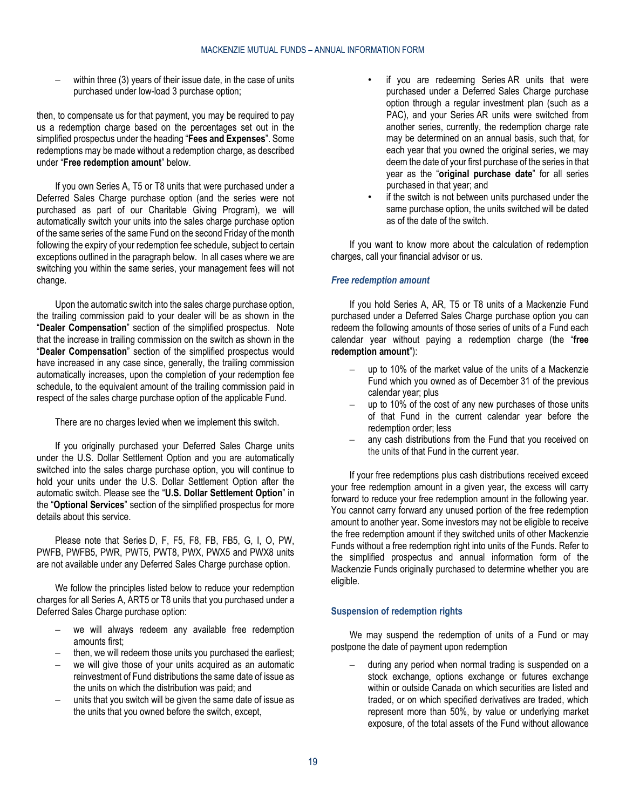within three (3) years of their issue date, in the case of units purchased under low-load 3 purchase option;

then, to compensate us for that payment, you may be required to pay us a redemption charge based on the percentages set out in the simplified prospectus under the heading "**Fees and Expenses**". Some redemptions may be made without a redemption charge, as described under "**[Free redemption amount](#page-18-0)**" below.

If you own Series A, T5 or T8 units that were purchased under a Deferred Sales Charge purchase option (and the series were not purchased as part of our Charitable Giving Program), we will automatically switch your units into the sales charge purchase option of the same series of the same Fund on the second Friday of the month following the expiry of your redemption fee schedule, subject to certain exceptions outlined in the paragraph below. In all cases where we are switching you within the same series, your management fees will not change.

Upon the automatic switch into the sales charge purchase option, the trailing commission paid to your dealer will be as shown in the "**Dealer Compensation**" section of the simplified prospectus. Note that the increase in trailing commission on the switch as shown in the "**Dealer Compensation**" section of the simplified prospectus would have increased in any case since, generally, the trailing commission automatically increases, upon the completion of your redemption fee schedule, to the equivalent amount of the trailing commission paid in respect of the sales charge purchase option of the applicable Fund.

There are no charges levied when we implement this switch.

If you originally purchased your Deferred Sales Charge units under the U.S. Dollar Settlement Option and you are automatically switched into the sales charge purchase option, you will continue to hold your units under the U.S. Dollar Settlement Option after the automatic switch. Please see the "**U.S. Dollar Settlement Option**" in the "**Optional Services**" section of the simplified prospectus for more details about this service.

Please note that Series D, F, F5, F8, FB, FB5, G, I, O, PW, PWFB, PWFB5, PWR, PWT5, PWT8, PWX, PWX5 and PWX8 units are not available under any Deferred Sales Charge purchase option.

We follow the principles listed below to reduce your redemption charges for all Series A, ART5 or T8 units that you purchased under a Deferred Sales Charge purchase option:

- we will always redeem any available free redemption amounts first;
- then, we will redeem those units you purchased the earliest;
- we will give those of your units acquired as an automatic reinvestment of Fund distributions the same date of issue as the units on which the distribution was paid; and
- units that you switch will be given the same date of issue as the units that you owned before the switch, except,
- if you are redeeming Series AR units that were purchased under a Deferred Sales Charge purchase option through a regular investment plan (such as a PAC), and your Series AR units were switched from another series, currently, the redemption charge rate may be determined on an annual basis, such that, for each year that you owned the original series, we may deem the date of your first purchase of the series in that year as the "**original purchase date**" for all series purchased in that year; and
- if the switch is not between units purchased under the same purchase option, the units switched will be dated as of the date of the switch.

If you want to know more about the calculation of redemption charges, call your financial advisor or us.

#### <span id="page-18-0"></span>*Free redemption amount*

If you hold Series A, AR, T5 or T8 units of a Mackenzie Fund purchased under a Deferred Sales Charge purchase option you can redeem the following amounts of those series of units of a Fund each calendar year without paying a redemption charge (the "**free redemption amount**"):

- up to 10% of the market value of the units of a Mackenzie Fund which you owned as of December 31 of the previous calendar year; plus
- up to 10% of the cost of any new purchases of those units of that Fund in the current calendar year before the redemption order; less
- any cash distributions from the Fund that you received on the units of that Fund in the current year.

If your free redemptions plus cash distributions received exceed your free redemption amount in a given year, the excess will carry forward to reduce your free redemption amount in the following year. You cannot carry forward any unused portion of the free redemption amount to another year. Some investors may not be eligible to receive the free redemption amount if they switched units of other Mackenzie Funds without a free redemption right into units of the Funds. Refer to the simplified prospectus and annual information form of the Mackenzie Funds originally purchased to determine whether you are eligible.

### **Suspension of redemption rights**

We may suspend the redemption of units of a Fund or may postpone the date of payment upon redemption

during any period when normal trading is suspended on a stock exchange, options exchange or futures exchange within or outside Canada on which securities are listed and traded, or on which specified derivatives are traded, which represent more than 50%, by value or underlying market exposure, of the total assets of the Fund without allowance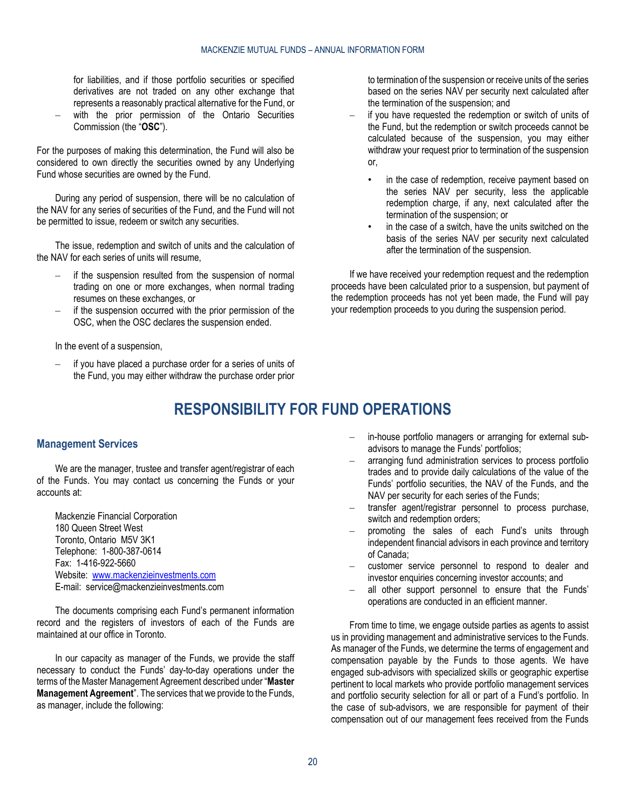for liabilities, and if those portfolio securities or specified derivatives are not traded on any other exchange that represents a reasonably practical alternative for the Fund, or

with the prior permission of the Ontario Securities Commission (the "**OSC**").

For the purposes of making this determination, the Fund will also be considered to own directly the securities owned by any Underlying Fund whose securities are owned by the Fund.

During any period of suspension, there will be no calculation of the NAV for any series of securities of the Fund, and the Fund will not be permitted to issue, redeem or switch any securities.

The issue, redemption and switch of units and the calculation of the NAV for each series of units will resume,

- if the suspension resulted from the suspension of normal trading on one or more exchanges, when normal trading resumes on these exchanges, or
- if the suspension occurred with the prior permission of the OSC, when the OSC declares the suspension ended.

In the event of a suspension,

<span id="page-19-0"></span>– if you have placed a purchase order for a series of units of the Fund, you may either withdraw the purchase order prior to termination of the suspension or receive units of the series based on the series NAV per security next calculated after the termination of the suspension; and

- if you have requested the redemption or switch of units of the Fund, but the redemption or switch proceeds cannot be calculated because of the suspension, you may either withdraw your request prior to termination of the suspension or,
	- in the case of redemption, receive payment based on the series NAV per security, less the applicable redemption charge, if any, next calculated after the termination of the suspension; or
	- in the case of a switch, have the units switched on the basis of the series NAV per security next calculated after the termination of the suspension.

If we have received your redemption request and the redemption proceeds have been calculated prior to a suspension, but payment of the redemption proceeds has not yet been made, the Fund will pay your redemption proceeds to you during the suspension period.

# **RESPONSIBILITY FOR FUND OPERATIONS**

#### <span id="page-19-1"></span>**Management Services**

We are the manager, trustee and transfer agent/registrar of each of the Funds. You may contact us concerning the Funds or your accounts at:

Mackenzie Financial Corporation 180 Queen Street West Toronto, Ontario M5V 3K1 Telephone: 1-800-387-0614 Fax: 1-416-922-5660 Website: [www.mackenzieinvestments.com](http://www.mackenzieinvestments.com/) E-mail: service@mackenzieinvestments.com

The documents comprising each Fund's permanent information record and the registers of investors of each of the Funds are maintained at our office in Toronto.

In our capacity as manager of the Funds, we provide the staff necessary to conduct the Funds' day-to-day operations under the terms of the Master Management Agreement described under "**[Master](#page-41-2)  [Management Agreement](#page-41-2)**". The services that we provide to the Funds, as manager, include the following:

- in-house portfolio managers or arranging for external subadvisors to manage the Funds' portfolios;
- arranging fund administration services to process portfolio trades and to provide daily calculations of the value of the Funds' portfolio securities, the NAV of the Funds, and the NAV per security for each series of the Funds;
- transfer agent/registrar personnel to process purchase, switch and redemption orders;
- promoting the sales of each Fund's units through independent financial advisors in each province and territory of Canada;
- customer service personnel to respond to dealer and investor enquiries concerning investor accounts; and
- all other support personnel to ensure that the Funds' operations are conducted in an efficient manner.

From time to time, we engage outside parties as agents to assist us in providing management and administrative services to the Funds. As manager of the Funds, we determine the terms of engagement and compensation payable by the Funds to those agents. We have engaged sub-advisors with specialized skills or geographic expertise pertinent to local markets who provide portfolio management services and portfolio security selection for all or part of a Fund's portfolio. In the case of sub-advisors, we are responsible for payment of their compensation out of our management fees received from the Funds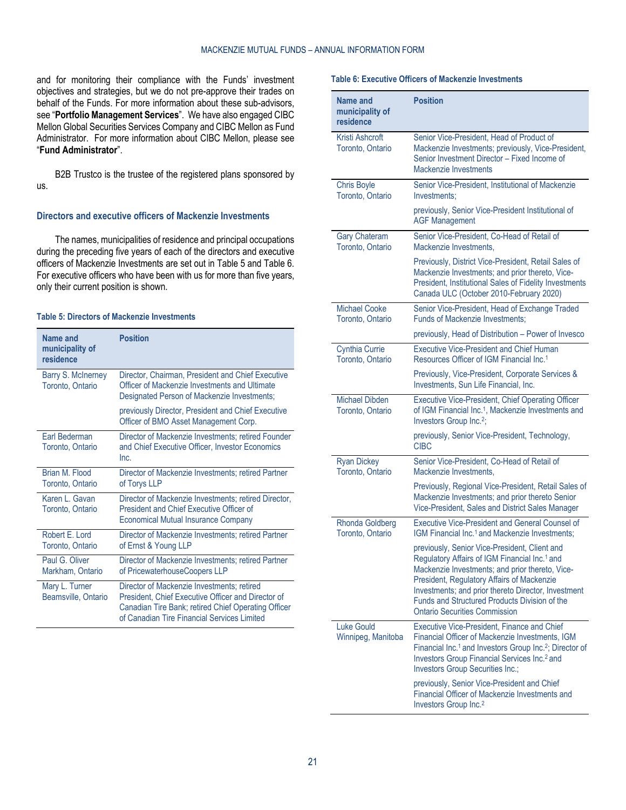and for monitoring their compliance with the Funds' investment objectives and strategies, but we do not pre-approve their trades on behalf of the Funds. For more information about these sub-advisors, see "**Portfolio [Management Services](#page-21-0)**". We have also engaged CIBC Mellon Global Securities Services Company and CIBC Mellon as Fund Administrator. For more information about CIBC Mellon, please see "**[Fund Administrator](#page-26-2)**".

B2B Trustco is the trustee of the registered plans sponsored by us.

#### <span id="page-20-2"></span>**Directors and executive officers of Mackenzie Investments**

The names, municipalities of residence and principal occupations during the preceding five years of each of the directors and executive officers of Mackenzie Investments are set out i[n Table](#page-20-0) 5 and [Table](#page-20-1) 6. For executive officers who have been with us for more than five years, only their current position is shown.

#### <span id="page-20-0"></span>**Table 5: Directors of Mackenzie Investments**

| Name and<br>municipality of<br>residence | <b>Position</b>                                                                                                                                                                                        |
|------------------------------------------|--------------------------------------------------------------------------------------------------------------------------------------------------------------------------------------------------------|
| Barry S. McInerney<br>Toronto, Ontario   | Director, Chairman, President and Chief Executive<br>Officer of Mackenzie Investments and Ultimate<br>Designated Person of Mackenzie Investments;                                                      |
|                                          | previously Director, President and Chief Executive<br>Officer of BMO Asset Management Corp.                                                                                                            |
| Earl Bederman<br>Toronto, Ontario        | Director of Mackenzie Investments; retired Founder<br>and Chief Executive Officer, Investor Economics<br>Inc.                                                                                          |
| Brian M. Flood<br>Toronto, Ontario       | Director of Mackenzie Investments; retired Partner<br>of Torys LLP                                                                                                                                     |
| Karen L. Gavan<br>Toronto, Ontario       | Director of Mackenzie Investments; retired Director,<br>President and Chief Executive Officer of<br><b>Economical Mutual Insurance Company</b>                                                         |
| Robert F. Lord<br>Toronto, Ontario       | Director of Mackenzie Investments; retired Partner<br>of Ernst & Young LLP                                                                                                                             |
| Paul G. Oliver<br>Markham, Ontario       | Director of Mackenzie Investments; retired Partner<br>of PricewaterhouseCoopers LLP                                                                                                                    |
| Mary L. Turner<br>Beamsville, Ontario    | Director of Mackenzie Investments; retired<br>President, Chief Executive Officer and Director of<br>Canadian Tire Bank; retired Chief Operating Officer<br>of Canadian Tire Financial Services Limited |

#### <span id="page-20-1"></span>**Table 6: Executive Officers of Mackenzie Investments**

| Name and<br>municipality of<br>residence   | <b>Position</b>                                                                                                                                                                                                                                                                                                                                             |
|--------------------------------------------|-------------------------------------------------------------------------------------------------------------------------------------------------------------------------------------------------------------------------------------------------------------------------------------------------------------------------------------------------------------|
| Kristi Ashcroft<br>Toronto, Ontario        | Senior Vice-President, Head of Product of<br>Mackenzie Investments; previously, Vice-President,<br>Senior Investment Director - Fixed Income of<br>Mackenzie Investments                                                                                                                                                                                    |
| <b>Chris Boyle</b><br>Toronto, Ontario     | Senior Vice-President, Institutional of Mackenzie<br>Investments:                                                                                                                                                                                                                                                                                           |
|                                            | previously, Senior Vice-President Institutional of<br><b>AGF Management</b>                                                                                                                                                                                                                                                                                 |
| <b>Gary Chateram</b><br>Toronto, Ontario   | Senior Vice-President, Co-Head of Retail of<br>Mackenzie Investments,                                                                                                                                                                                                                                                                                       |
|                                            | Previously, District Vice-President, Retail Sales of<br>Mackenzie Investments; and prior thereto, Vice-<br>President, Institutional Sales of Fidelity Investments<br>Canada ULC (October 2010-February 2020)                                                                                                                                                |
| <b>Michael Cooke</b><br>Toronto, Ontario   | Senior Vice-President, Head of Exchange Traded<br>Funds of Mackenzie Investments:                                                                                                                                                                                                                                                                           |
|                                            | previously, Head of Distribution - Power of Invesco                                                                                                                                                                                                                                                                                                         |
| <b>Cynthia Currie</b><br>Toronto, Ontario  | <b>Executive Vice-President and Chief Human</b><br>Resources Officer of IGM Financial Inc. <sup>1</sup>                                                                                                                                                                                                                                                     |
|                                            | Previously, Vice-President, Corporate Services &<br>Investments, Sun Life Financial, Inc.                                                                                                                                                                                                                                                                   |
| <b>Michael Dibden</b><br>Toronto, Ontario  | <b>Executive Vice-President, Chief Operating Officer</b><br>of IGM Financial Inc. <sup>1</sup> , Mackenzie Investments and<br>Investors Group Inc. <sup>2</sup> ;                                                                                                                                                                                           |
|                                            | previously, Senior Vice-President, Technology,<br><b>CIBC</b>                                                                                                                                                                                                                                                                                               |
| Ryan Dickey<br>Toronto, Ontario            | Senior Vice-President, Co-Head of Retail of<br>Mackenzie Investments,                                                                                                                                                                                                                                                                                       |
|                                            | Previously, Regional Vice-President, Retail Sales of<br>Mackenzie Investments; and prior thereto Senior<br>Vice-President, Sales and District Sales Manager                                                                                                                                                                                                 |
| <b>Rhonda Goldberg</b><br>Toronto, Ontario | <b>Executive Vice-President and General Counsel of</b><br>IGM Financial Inc. <sup>1</sup> and Mackenzie Investments;                                                                                                                                                                                                                                        |
|                                            | previously, Senior Vice-President, Client and<br>Regulatory Affairs of IGM Financial Inc. <sup>1</sup> and<br>Mackenzie Investments; and prior thereto, Vice-<br>President, Regulatory Affairs of Mackenzie<br>Investments; and prior thereto Director, Investment<br>Funds and Structured Products Division of the<br><b>Ontario Securities Commission</b> |
| Luke Gould<br>Winnipeg, Manitoba           | Executive Vice-President, Finance and Chief<br>Financial Officer of Mackenzie Investments, IGM<br>Financial Inc. <sup>1</sup> and Investors Group Inc. <sup>2</sup> ; Director of<br>Investors Group Financial Services Inc. <sup>2</sup> and<br>Investors Group Securities Inc.;                                                                           |
|                                            | previously, Senior Vice-President and Chief<br>Financial Officer of Mackenzie Investments and<br>Investors Group Inc. <sup>2</sup>                                                                                                                                                                                                                          |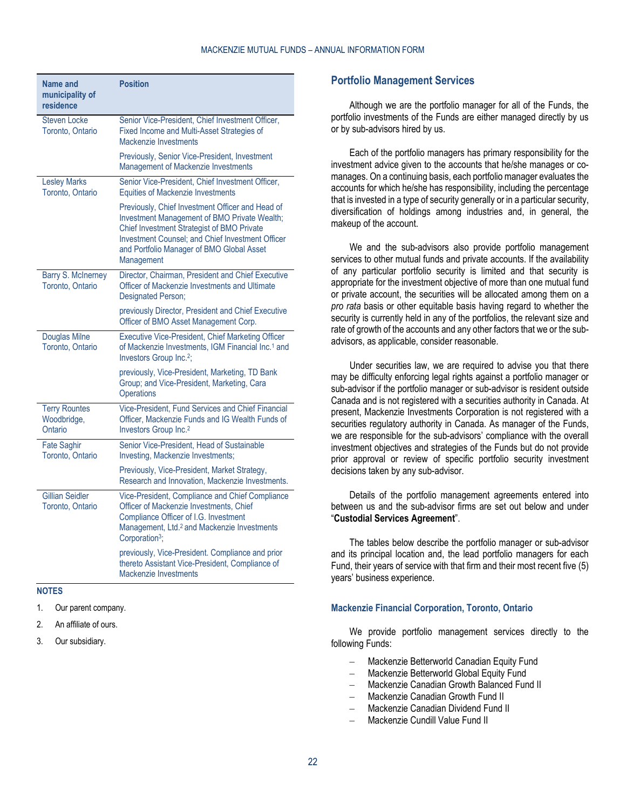| Name and<br>municipality of<br>residence       | <b>Position</b>                                                                                                                                                                                                                                                      |
|------------------------------------------------|----------------------------------------------------------------------------------------------------------------------------------------------------------------------------------------------------------------------------------------------------------------------|
| <b>Steven Locke</b><br>Toronto, Ontario        | Senior Vice-President, Chief Investment Officer,<br>Fixed Income and Multi-Asset Strategies of<br>Mackenzie Investments                                                                                                                                              |
|                                                | Previously, Senior Vice-President, Investment<br>Management of Mackenzie Investments                                                                                                                                                                                 |
| <b>Lesley Marks</b><br>Toronto, Ontario        | Senior Vice-President, Chief Investment Officer,<br><b>Equities of Mackenzie Investments</b>                                                                                                                                                                         |
|                                                | Previously, Chief Investment Officer and Head of<br>Investment Management of BMO Private Wealth;<br><b>Chief Investment Strategist of BMO Private</b><br>Investment Counsel; and Chief Investment Officer<br>and Portfolio Manager of BMO Global Asset<br>Management |
| Barry S. McInerney<br>Toronto, Ontario         | Director, Chairman, President and Chief Executive<br>Officer of Mackenzie Investments and Ultimate<br><b>Designated Person:</b>                                                                                                                                      |
|                                                | previously Director, President and Chief Executive<br>Officer of BMO Asset Management Corp.                                                                                                                                                                          |
| <b>Douglas Milne</b><br>Toronto, Ontario       | Executive Vice-President, Chief Marketing Officer<br>of Mackenzie Investments, IGM Financial Inc. <sup>1</sup> and<br>Investors Group Inc. <sup>2</sup> ;                                                                                                            |
|                                                | previously, Vice-President, Marketing, TD Bank<br>Group; and Vice-President, Marketing, Cara<br>Operations                                                                                                                                                           |
| <b>Terry Rountes</b><br>Woodbridge,<br>Ontario | Vice-President, Fund Services and Chief Financial<br>Officer, Mackenzie Funds and IG Wealth Funds of<br>Investors Group Inc. <sup>2</sup>                                                                                                                            |
| <b>Fate Saghir</b><br>Toronto, Ontario         | Senior Vice-President, Head of Sustainable<br>Investing, Mackenzie Investments;                                                                                                                                                                                      |
|                                                | Previously, Vice-President, Market Strategy,<br>Research and Innovation, Mackenzie Investments.                                                                                                                                                                      |
| <b>Gillian Seidler</b><br>Toronto, Ontario     | Vice-President, Compliance and Chief Compliance<br>Officer of Mackenzie Investments, Chief<br>Compliance Officer of I.G. Investment<br>Management, Ltd. <sup>2</sup> and Mackenzie Investments<br>Corporation <sup>3</sup> ;                                         |
|                                                | previously, Vice-President. Compliance and prior<br>thereto Assistant Vice-President, Compliance of<br>Mackenzie Investments                                                                                                                                         |

#### **NOTES**

- 1. Our parent company.
- 2. An affiliate of ours.
- 3. Our subsidiary.

#### <span id="page-21-0"></span>**Portfolio Management Services**

Although we are the portfolio manager for all of the Funds, the portfolio investments of the Funds are either managed directly by us or by sub-advisors hired by us.

Each of the portfolio managers has primary responsibility for the investment advice given to the accounts that he/she manages or comanages. On a continuing basis, each portfolio manager evaluates the accounts for which he/she has responsibility, including the percentage that is invested in a type of security generally or in a particular security, diversification of holdings among industries and, in general, the makeup of the account.

We and the sub-advisors also provide portfolio management services to other mutual funds and private accounts. If the availability of any particular portfolio security is limited and that security is appropriate for the investment objective of more than one mutual fund or private account, the securities will be allocated among them on a *pro rata* basis or other equitable basis having regard to whether the security is currently held in any of the portfolios, the relevant size and rate of growth of the accounts and any other factors that we or the subadvisors, as applicable, consider reasonable.

Under securities law, we are required to advise you that there may be difficulty enforcing legal rights against a portfolio manager or sub-advisor if the portfolio manager or sub-advisor is resident outside Canada and is not registered with a securities authority in Canada. At present, Mackenzie Investments Corporation is not registered with a securities regulatory authority in Canada. As manager of the Funds, we are responsible for the sub-advisors' compliance with the overall investment objectives and strategies of the Funds but do not provide prior approval or review of specific portfolio security investment decisions taken by any sub-advisor.

Details of the portfolio management agreements entered into between us and the sub-advisor firms are set out below and under "**[Custodial Services Agreement](#page-42-0)**".

The tables below describe the portfolio manager or sub-advisor and its principal location and, the lead portfolio managers for each Fund, their years of service with that firm and their most recent five (5) years' business experience.

#### **Mackenzie Financial Corporation, Toronto, Ontario**

We provide portfolio management services directly to the following Funds:

- Mackenzie Betterworld Canadian Equity Fund
- Mackenzie Betterworld Global Equity Fund
- Mackenzie Canadian Growth Balanced Fund II
- Mackenzie Canadian Growth Fund II
- Mackenzie Canadian Dividend Fund II
- Mackenzie Cundill Value Fund II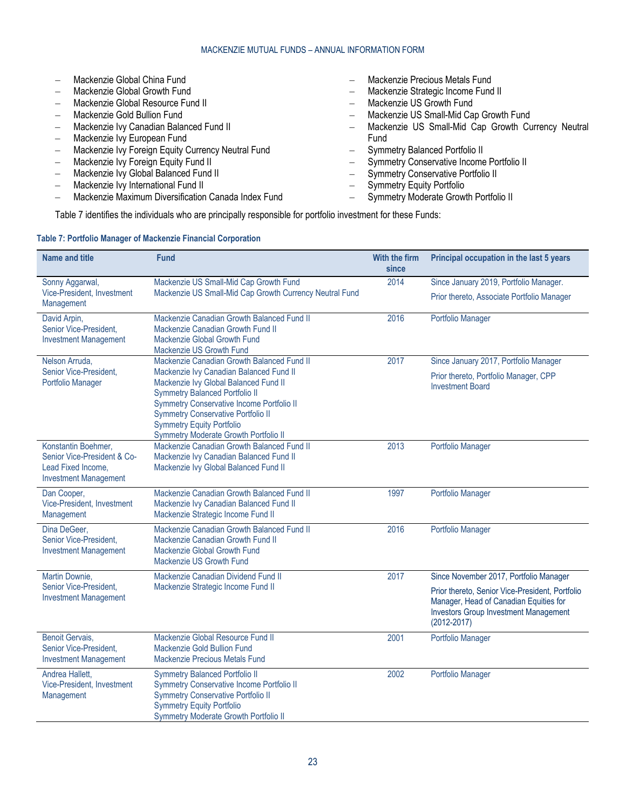|                          | Mackenzie Global China Fund                        | Mackenzie Precious Metals Fund                       |
|--------------------------|----------------------------------------------------|------------------------------------------------------|
|                          | Mackenzie Global Growth Fund                       | Mackenzie Strategic Income Fund II                   |
|                          | Mackenzie Global Resource Fund II                  | Mackenzie US Growth Fund                             |
|                          | Mackenzie Gold Bullion Fund                        | Mackenzie US Small-Mid Cap Growth Fund               |
|                          | Mackenzie Ivy Canadian Balanced Fund II            | - Mackenzie US Small-Mid Cap Growth Currency Neutral |
| $\equiv$                 | Mackenzie Ivy European Fund                        | <b>Fund</b>                                          |
|                          | Mackenzie Ivy Foreign Equity Currency Neutral Fund | - Symmetry Balanced Portfolio II                     |
| $\overline{\phantom{m}}$ | Mackenzie Ivy Foreign Equity Fund II               | - Symmetry Conservative Income Portfolio II          |
| $\equiv$                 | Mackenzie Ivy Global Balanced Fund II              | - Symmetry Conservative Portfolio II                 |
|                          | Mackenzie Ivy International Fund II                | - Symmetry Equity Portfolio                          |

- Mackenzie Maximum Diversification Canada Index Fund
- Symmetry Moderate Growth Portfolio II

[Table](#page-22-0) 7 identifies the individuals who are principally responsible for portfolio investment for these Funds:

# <span id="page-22-0"></span>**Table 7: Portfolio Manager of Mackenzie Financial Corporation**

| <b>Name and title</b>                                                                                    | <b>Fund</b>                                                                                                                                                                                                                                                                                      | With the firm<br>since | Principal occupation in the last 5 years                                                                                                                     |
|----------------------------------------------------------------------------------------------------------|--------------------------------------------------------------------------------------------------------------------------------------------------------------------------------------------------------------------------------------------------------------------------------------------------|------------------------|--------------------------------------------------------------------------------------------------------------------------------------------------------------|
| Sonny Aggarwal,                                                                                          | Mackenzie US Small-Mid Cap Growth Fund                                                                                                                                                                                                                                                           | 2014                   | Since January 2019, Portfolio Manager.                                                                                                                       |
| Vice-President, Investment<br>Management                                                                 | Mackenzie US Small-Mid Cap Growth Currency Neutral Fund                                                                                                                                                                                                                                          |                        | Prior thereto, Associate Portfolio Manager                                                                                                                   |
| David Arpin.<br>Senior Vice-President,<br><b>Investment Management</b>                                   | Mackenzie Canadian Growth Balanced Fund II<br>Mackenzie Canadian Growth Fund II<br>Mackenzie Global Growth Fund<br>Mackenzie US Growth Fund                                                                                                                                                      | 2016                   | Portfolio Manager                                                                                                                                            |
| Nelson Arruda,                                                                                           | Mackenzie Canadian Growth Balanced Fund II                                                                                                                                                                                                                                                       | 2017                   | Since January 2017, Portfolio Manager                                                                                                                        |
| Senior Vice-President,<br>Portfolio Manager                                                              | Mackenzie Ivy Canadian Balanced Fund II<br>Mackenzie Ivy Global Balanced Fund II<br><b>Symmetry Balanced Portfolio II</b><br>Symmetry Conservative Income Portfolio II<br><b>Symmetry Conservative Portfolio II</b><br><b>Symmetry Equity Portfolio</b><br>Symmetry Moderate Growth Portfolio II |                        | Prior thereto, Portfolio Manager, CPP<br><b>Investment Board</b>                                                                                             |
| Konstantin Boehmer,<br>Senior Vice-President & Co-<br>Lead Fixed Income,<br><b>Investment Management</b> | Mackenzie Canadian Growth Balanced Fund II<br>Mackenzie Ivy Canadian Balanced Fund II<br>Mackenzie Ivy Global Balanced Fund II                                                                                                                                                                   | 2013                   | Portfolio Manager                                                                                                                                            |
| Dan Cooper,<br>Vice-President, Investment<br>Management                                                  | Mackenzie Canadian Growth Balanced Fund II<br>Mackenzie Ivy Canadian Balanced Fund II<br>Mackenzie Strategic Income Fund II                                                                                                                                                                      | 1997                   | Portfolio Manager                                                                                                                                            |
| Dina DeGeer.<br>Senior Vice-President.<br><b>Investment Management</b>                                   | Mackenzie Canadian Growth Balanced Fund II<br>Mackenzie Canadian Growth Fund II<br>Mackenzie Global Growth Fund<br>Mackenzie US Growth Fund                                                                                                                                                      | 2016                   | <b>Portfolio Manager</b>                                                                                                                                     |
| Martin Downie,                                                                                           | Mackenzie Canadian Dividend Fund II                                                                                                                                                                                                                                                              | 2017                   | Since November 2017, Portfolio Manager                                                                                                                       |
| Senior Vice-President,<br><b>Investment Management</b>                                                   | Mackenzie Strategic Income Fund II                                                                                                                                                                                                                                                               |                        | Prior thereto, Senior Vice-President, Portfolio<br>Manager, Head of Canadian Equities for<br><b>Investors Group Investment Management</b><br>$(2012 - 2017)$ |
| Benoit Gervais,<br>Senior Vice-President,<br><b>Investment Management</b>                                | Mackenzie Global Resource Fund II<br>Mackenzie Gold Bullion Fund<br><b>Mackenzie Precious Metals Fund</b>                                                                                                                                                                                        | 2001                   | Portfolio Manager                                                                                                                                            |
| Andrea Hallett,<br>Vice-President, Investment<br>Management                                              | <b>Symmetry Balanced Portfolio II</b><br>Symmetry Conservative Income Portfolio II<br><b>Symmetry Conservative Portfolio II</b><br><b>Symmetry Equity Portfolio</b><br>Symmetry Moderate Growth Portfolio II                                                                                     | 2002                   | <b>Portfolio Manager</b>                                                                                                                                     |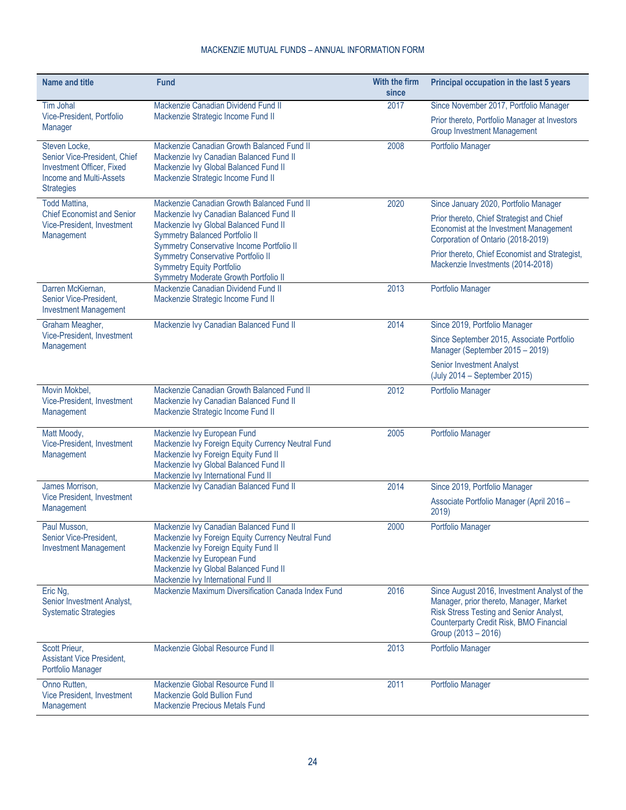| <b>Name and title</b>                                                                                                             | Fund                                                                                                                                                                                                                                                 | With the firm<br>since | Principal occupation in the last 5 years                                                                                                                                                             |
|-----------------------------------------------------------------------------------------------------------------------------------|------------------------------------------------------------------------------------------------------------------------------------------------------------------------------------------------------------------------------------------------------|------------------------|------------------------------------------------------------------------------------------------------------------------------------------------------------------------------------------------------|
| <b>Tim Johal</b><br>Vice-President, Portfolio<br><b>Manager</b>                                                                   | Mackenzie Canadian Dividend Fund II<br>Mackenzie Strategic Income Fund II                                                                                                                                                                            | 2017                   | Since November 2017, Portfolio Manager<br>Prior thereto, Portfolio Manager at Investors<br><b>Group Investment Management</b>                                                                        |
| Steven Locke,<br>Senior Vice-President, Chief<br><b>Investment Officer, Fixed</b><br>Income and Multi-Assets<br><b>Strategies</b> | Mackenzie Canadian Growth Balanced Fund II<br>Mackenzie Ivy Canadian Balanced Fund II<br>Mackenzie Ivy Global Balanced Fund II<br>Mackenzie Strategic Income Fund II                                                                                 | 2008                   | Portfolio Manager                                                                                                                                                                                    |
| <b>Todd Mattina,</b>                                                                                                              | Mackenzie Canadian Growth Balanced Fund II                                                                                                                                                                                                           | 2020                   | Since January 2020, Portfolio Manager                                                                                                                                                                |
| <b>Chief Economist and Senior</b><br>Vice-President, Investment<br>Management                                                     | Mackenzie Ivy Canadian Balanced Fund II<br>Mackenzie Ivy Global Balanced Fund II<br><b>Symmetry Balanced Portfolio II</b><br>Symmetry Conservative Income Portfolio II                                                                               |                        | Prior thereto, Chief Strategist and Chief<br>Economist at the Investment Management<br>Corporation of Ontario (2018-2019)<br>Prior thereto, Chief Economist and Strategist,                          |
|                                                                                                                                   | <b>Symmetry Conservative Portfolio II</b><br><b>Symmetry Equity Portfolio</b><br>Symmetry Moderate Growth Portfolio II                                                                                                                               |                        | Mackenzie Investments (2014-2018)                                                                                                                                                                    |
| Darren McKiernan,<br>Senior Vice-President,<br><b>Investment Management</b>                                                       | Mackenzie Canadian Dividend Fund II<br>Mackenzie Strategic Income Fund II                                                                                                                                                                            | 2013                   | Portfolio Manager                                                                                                                                                                                    |
| Graham Meagher,                                                                                                                   | Mackenzie Ivy Canadian Balanced Fund II                                                                                                                                                                                                              | 2014                   | Since 2019, Portfolio Manager                                                                                                                                                                        |
| Vice-President, Investment<br>Management                                                                                          |                                                                                                                                                                                                                                                      |                        | Since September 2015, Associate Portfolio<br>Manager (September 2015 - 2019)                                                                                                                         |
|                                                                                                                                   |                                                                                                                                                                                                                                                      |                        | <b>Senior Investment Analyst</b><br>(July 2014 - September 2015)                                                                                                                                     |
| Movin Mokbel,<br>Vice-President, Investment<br>Management                                                                         | Mackenzie Canadian Growth Balanced Fund II<br>Mackenzie Ivy Canadian Balanced Fund II<br>Mackenzie Strategic Income Fund II                                                                                                                          | 2012                   | Portfolio Manager                                                                                                                                                                                    |
| Matt Moody,<br>Vice-President, Investment<br>Management                                                                           | Mackenzie Ivy European Fund<br>Mackenzie Ivy Foreign Equity Currency Neutral Fund<br>Mackenzie Ivy Foreign Equity Fund II<br>Mackenzie Ivy Global Balanced Fund II<br>Mackenzie Ivy International Fund II                                            | 2005                   | Portfolio Manager                                                                                                                                                                                    |
| James Morrison,                                                                                                                   | Mackenzie Ivy Canadian Balanced Fund II                                                                                                                                                                                                              | 2014                   | Since 2019, Portfolio Manager                                                                                                                                                                        |
| Vice President, Investment<br>Management                                                                                          |                                                                                                                                                                                                                                                      |                        | Associate Portfolio Manager (April 2016 -<br>2019)                                                                                                                                                   |
| Paul Musson.<br>Senior Vice-President,<br><b>Investment Management</b>                                                            | Mackenzie Ivy Canadian Balanced Fund II<br>Mackenzie Ivy Foreign Equity Currency Neutral Fund<br>Mackenzie Ivy Foreign Equity Fund II<br>Mackenzie Ivy European Fund<br>Mackenzie Ivy Global Balanced Fund II<br>Mackenzie Ivy International Fund II | 2000                   | Portfolio Manager                                                                                                                                                                                    |
| Eric Ng,<br>Senior Investment Analyst,<br><b>Systematic Strategies</b>                                                            | Mackenzie Maximum Diversification Canada Index Fund                                                                                                                                                                                                  | 2016                   | Since August 2016, Investment Analyst of the<br>Manager, prior thereto, Manager, Market<br>Risk Stress Testing and Senior Analyst,<br>Counterparty Credit Risk, BMO Financial<br>Group (2013 - 2016) |
| Scott Prieur,<br><b>Assistant Vice President,</b><br>Portfolio Manager                                                            | Mackenzie Global Resource Fund II                                                                                                                                                                                                                    | 2013                   | Portfolio Manager                                                                                                                                                                                    |
| Onno Rutten,<br>Vice President, Investment<br>Management                                                                          | Mackenzie Global Resource Fund II<br>Mackenzie Gold Bullion Fund<br>Mackenzie Precious Metals Fund                                                                                                                                                   | 2011                   | Portfolio Manager                                                                                                                                                                                    |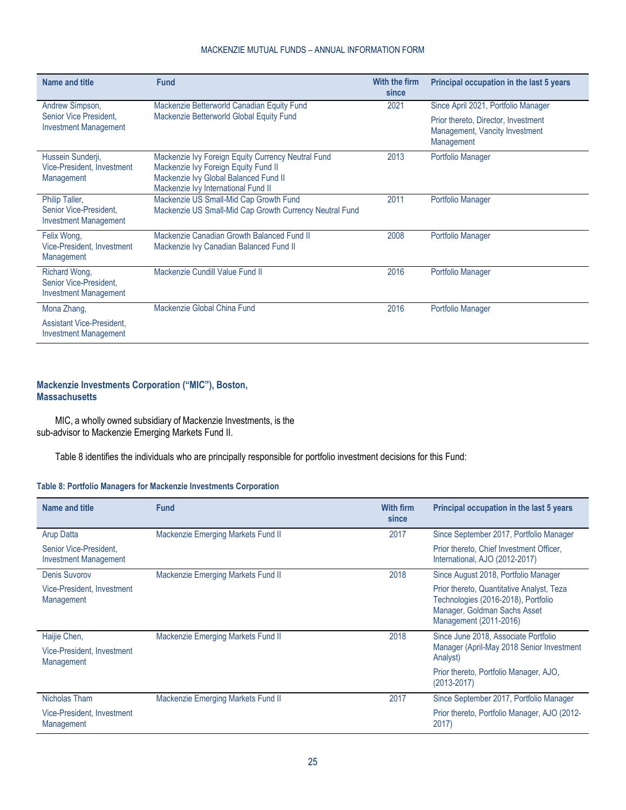| Name and title                                                           | <b>Fund</b>                                                                                                                                                                | With the firm<br>since | Principal occupation in the last 5 years                                            |
|--------------------------------------------------------------------------|----------------------------------------------------------------------------------------------------------------------------------------------------------------------------|------------------------|-------------------------------------------------------------------------------------|
| Andrew Simpson,                                                          | Mackenzie Betterworld Canadian Equity Fund                                                                                                                                 | 2021                   | Since April 2021, Portfolio Manager                                                 |
| Senior Vice President,<br><b>Investment Management</b>                   | Mackenzie Betterworld Global Equity Fund                                                                                                                                   |                        | Prior thereto, Director, Investment<br>Management, Vancity Investment<br>Management |
| Hussein Sunderji,<br>Vice-President, Investment<br>Management            | Mackenzie Ivy Foreign Equity Currency Neutral Fund<br>Mackenzie Ivy Foreign Equity Fund II<br>Mackenzie Ivy Global Balanced Fund II<br>Mackenzie Ivy International Fund II | 2013                   | Portfolio Manager                                                                   |
| Philip Taller,<br>Senior Vice-President,<br><b>Investment Management</b> | Mackenzie US Small-Mid Cap Growth Fund<br>Mackenzie US Small-Mid Cap Growth Currency Neutral Fund                                                                          | 2011                   | Portfolio Manager                                                                   |
| Felix Wong,<br>Vice-President, Investment<br>Management                  | Mackenzie Canadian Growth Balanced Fund II<br>Mackenzie Ivy Canadian Balanced Fund II                                                                                      | 2008                   | Portfolio Manager                                                                   |
| Richard Wong,<br>Senior Vice-President.<br><b>Investment Management</b>  | Mackenzie Cundill Value Fund II                                                                                                                                            | 2016                   | Portfolio Manager                                                                   |
| Mona Zhang,                                                              | Mackenzie Global China Fund                                                                                                                                                | 2016                   | Portfolio Manager                                                                   |
| <b>Assistant Vice-President.</b><br><b>Investment Management</b>         |                                                                                                                                                                            |                        |                                                                                     |

# **Mackenzie Investments Corporation ("MIC"), Boston, Massachusetts**

MIC, a wholly owned subsidiary of Mackenzie Investments, is the sub-advisor to Mackenzie Emerging Markets Fund II.

[Table](#page-24-0) 8 identifies the individuals who are principally responsible for portfolio investment decisions for this Fund:

#### <span id="page-24-0"></span>**Table 8: Portfolio Managers for Mackenzie Investments Corporation**

| Name and title                                           | <b>Fund</b>                        | With firm<br>since | Principal occupation in the last 5 years                                                                                                   |
|----------------------------------------------------------|------------------------------------|--------------------|--------------------------------------------------------------------------------------------------------------------------------------------|
| <b>Arup Datta</b>                                        | Mackenzie Emerging Markets Fund II | 2017               | Since September 2017, Portfolio Manager                                                                                                    |
| Senior Vice-President.<br><b>Investment Management</b>   |                                    |                    | Prior thereto, Chief Investment Officer,<br>International, AJO (2012-2017)                                                                 |
| <b>Denis Suvorov</b>                                     | Mackenzie Emerging Markets Fund II | 2018               | Since August 2018, Portfolio Manager                                                                                                       |
| Vice-President, Investment<br>Management                 |                                    |                    | Prior thereto, Quantitative Analyst, Teza<br>Technologies (2016-2018), Portfolio<br>Manager, Goldman Sachs Asset<br>Management (2011-2016) |
| Haijie Chen,<br>Vice-President, Investment<br>Management | Mackenzie Emerging Markets Fund II | 2018               | Since June 2018, Associate Portfolio<br>Manager (April-May 2018 Senior Investment<br>Analyst)                                              |
|                                                          |                                    |                    | Prior thereto, Portfolio Manager, AJO,<br>$(2013 - 2017)$                                                                                  |
| Nicholas Tham                                            | Mackenzie Emerging Markets Fund II | 2017               | Since September 2017, Portfolio Manager                                                                                                    |
| Vice-President, Investment<br>Management                 |                                    |                    | Prior thereto, Portfolio Manager, AJO (2012-<br>2017)                                                                                      |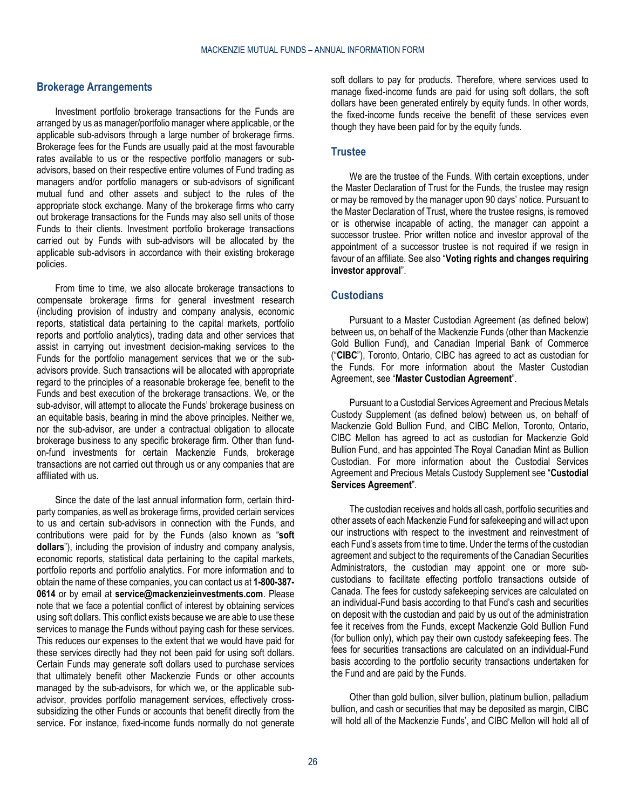#### <span id="page-25-0"></span>**Brokerage Arrangements**

Investment portfolio brokerage transactions for the Funds are arranged by us as manager/portfolio manager where applicable, or the applicable sub-advisors through a large number of brokerage firms. Brokerage fees for the Funds are usually paid at the most favourable rates available to us or the respective portfolio managers or subadvisors, based on their respective entire volumes of Fund trading as managers and/or portfolio managers or sub-advisors of significant mutual fund and other assets and subject to the rules of the appropriate stock exchange. Many of the brokerage firms who carry out brokerage transactions for the Funds may also sell units of those Funds to their clients. Investment portfolio brokerage transactions carried out by Funds with sub-advisors will be allocated by the applicable sub-advisors in accordance with their existing brokerage policies.

From time to time, we also allocate brokerage transactions to compensate brokerage firms for general investment research (including provision of industry and company analysis, economic reports, statistical data pertaining to the capital markets, portfolio reports and portfolio analytics), trading data and other services that assist in carrying out investment decision-making services to the Funds for the portfolio management services that we or the subadvisors provide. Such transactions will be allocated with appropriate regard to the principles of a reasonable brokerage fee, benefit to the Funds and best execution of the brokerage transactions. We, or the sub-advisor, will attempt to allocate the Funds' brokerage business on an equitable basis, bearing in mind the above principles. Neither we, nor the sub-advisor, are under a contractual obligation to allocate brokerage business to any specific brokerage firm. Other than fundon-fund investments for certain Mackenzie Funds, brokerage transactions are not carried out through us or any companies that are affiliated with us.

Since the date of the last annual information form, certain thirdparty companies, as well as brokerage firms, provided certain services to us and certain sub-advisors in connection with the Funds, and contributions were paid for by the Funds (also known as "**soft dollars**"), including the provision of industry and company analysis, economic reports, statistical data pertaining to the capital markets, portfolio reports and portfolio analytics. For more information and to obtain the name of these companies, you can contact us at **1-800-387- 0614** or by email at **[service@mackenzieinvestments.com](mailto:service@mackenzieinvestments.com)**. Please note that we face a potential conflict of interest by obtaining services using soft dollars. This conflict exists because we are able to use these services to manage the Funds without paying cash for these services. This reduces our expenses to the extent that we would have paid for these services directly had they not been paid for using soft dollars. Certain Funds may generate soft dollars used to purchase services that ultimately benefit other Mackenzie Funds or other accounts managed by the sub-advisors, for which we, or the applicable subadvisor, provides portfolio management services, effectively crosssubsidizing the other Funds or accounts that benefit directly from the service. For instance, fixed-income funds normally do not generate

soft dollars to pay for products. Therefore, where services used to manage fixed-income funds are paid for using soft dollars, the soft dollars have been generated entirely by equity funds. In other words, the fixed-income funds receive the benefit of these services even though they have been paid for by the equity funds.

#### <span id="page-25-1"></span>**Trustee**

We are the trustee of the Funds. With certain exceptions, under the Master Declaration of Trust for the Funds, the trustee may resign or may be removed by the manager upon 90 days' notice. Pursuant to the Master Declaration of Trust, where the trustee resigns, is removed or is otherwise incapable of acting, the manager can appoint a successor trustee. Prior written notice and investor approval of the appointment of a successor trustee is not required if we resign in favour of an affiliate. See also "**[Voting rights and changes requiring](#page-11-1)  [investor approval](#page-11-1)**".

#### <span id="page-25-2"></span>**Custodians**

Pursuant to a Master Custodian Agreement (as defined below) between us, on behalf of the Mackenzie Funds (other than Mackenzie Gold Bullion Fund), and Canadian Imperial Bank of Commerce ("**CIBC**"), Toronto, Ontario, CIBC has agreed to act as custodian for the Funds. For more information about the Master Custodian Agreement, see "**[Master Custodian Agreement](#page-41-3)**".

Pursuant to a Custodial Services Agreement and Precious Metals Custody Supplement (as defined below) between us, on behalf of Mackenzie Gold Bullion Fund, and CIBC Mellon, Toronto, Ontario, CIBC Mellon has agreed to act as custodian for Mackenzie Gold Bullion Fund, and has appointed The Royal Canadian Mint as Bullion Custodian. For more information about the Custodial Services Agreement and Precious Metals Custody Supplement see "**[Custodial](#page-42-0)  [Services Agreement](#page-42-0)**".

The custodian receives and holds all cash, portfolio securities and other assets of each Mackenzie Fund for safekeeping and will act upon our instructions with respect to the investment and reinvestment of each Fund's assets from time to time. Under the terms of the custodian agreement and subject to the requirements of the Canadian Securities Administrators, the custodian may appoint one or more subcustodians to facilitate effecting portfolio transactions outside of Canada. The fees for custody safekeeping services are calculated on an individual-Fund basis according to that Fund's cash and securities on deposit with the custodian and paid by us out of the administration fee it receives from the Funds, except Mackenzie Gold Bullion Fund (for bullion only), which pay their own custody safekeeping fees. The fees for securities transactions are calculated on an individual-Fund basis according to the portfolio security transactions undertaken for the Fund and are paid by the Funds.

Other than gold bullion, silver bullion, platinum bullion, palladium bullion, and cash or securities that may be deposited as margin, CIBC will hold all of the Mackenzie Funds', and CIBC Mellon will hold all of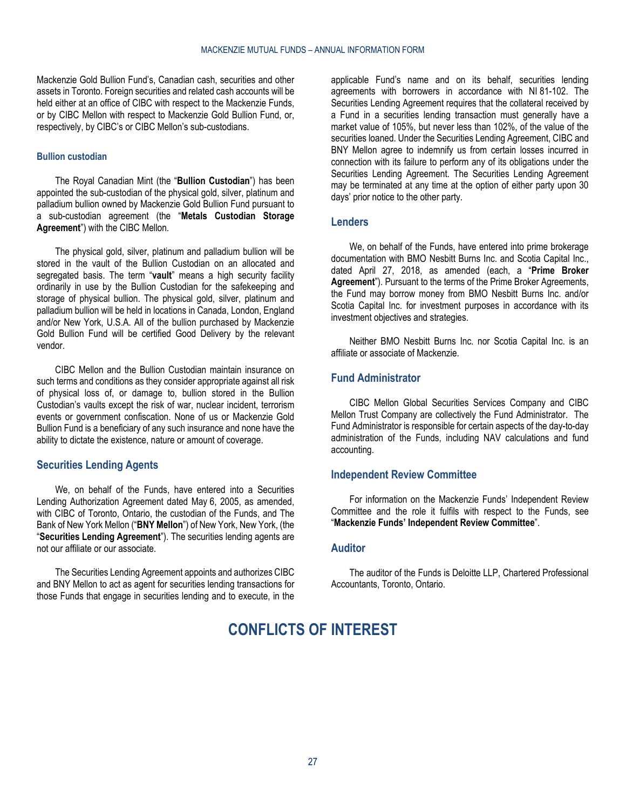Mackenzie Gold Bullion Fund's, Canadian cash, securities and other assets in Toronto. Foreign securities and related cash accounts will be held either at an office of CIBC with respect to the Mackenzie Funds. or by CIBC Mellon with respect to Mackenzie Gold Bullion Fund, or, respectively, by CIBC's or CIBC Mellon's sub-custodians.

#### **Bullion custodian**

The Royal Canadian Mint (the "**Bullion Custodian**") has been appointed the sub-custodian of the physical gold, silver, platinum and palladium bullion owned by Mackenzie Gold Bullion Fund pursuant to a sub-custodian agreement (the "**Metals Custodian Storage Agreement**") with the CIBC Mellon.

The physical gold, silver, platinum and palladium bullion will be stored in the vault of the Bullion Custodian on an allocated and segregated basis. The term "**vault**" means a high security facility ordinarily in use by the Bullion Custodian for the safekeeping and storage of physical bullion. The physical gold, silver, platinum and palladium bullion will be held in locations in Canada, London, England and/or New York, U.S.A. All of the bullion purchased by Mackenzie Gold Bullion Fund will be certified Good Delivery by the relevant vendor.

CIBC Mellon and the Bullion Custodian maintain insurance on such terms and conditions as they consider appropriate against all risk of physical loss of, or damage to, bullion stored in the Bullion Custodian's vaults except the risk of war, nuclear incident, terrorism events or government confiscation. None of us or Mackenzie Gold Bullion Fund is a beneficiary of any such insurance and none have the ability to dictate the existence, nature or amount of coverage.

#### <span id="page-26-0"></span>**Securities Lending Agents**

We, on behalf of the Funds, have entered into a Securities Lending Authorization Agreement dated May 6, 2005, as amended, with CIBC of Toronto, Ontario, the custodian of the Funds, and The Bank of New York Mellon ("**BNY Mellon**") of New York, New York, (the "**Securities Lending Agreement**"). The securities lending agents are not our affiliate or our associate.

<span id="page-26-5"></span>The Securities Lending Agreement appoints and authorizes CIBC and BNY Mellon to act as agent for securities lending transactions for those Funds that engage in securities lending and to execute, in the applicable Fund's name and on its behalf, securities lending agreements with borrowers in accordance with NI 81-102. The Securities Lending Agreement requires that the collateral received by a Fund in a securities lending transaction must generally have a market value of 105%, but never less than 102%, of the value of the securities loaned. Under the Securities Lending Agreement, CIBC and BNY Mellon agree to indemnify us from certain losses incurred in connection with its failure to perform any of its obligations under the Securities Lending Agreement. The Securities Lending Agreement may be terminated at any time at the option of either party upon 30 days' prior notice to the other party.

#### <span id="page-26-1"></span>**Lenders**

We, on behalf of the Funds, have entered into prime brokerage documentation with BMO Nesbitt Burns Inc. and Scotia Capital Inc., dated April 27, 2018, as amended (each, a "**Prime Broker Agreement**"). Pursuant to the terms of the Prime Broker Agreements, the Fund may borrow money from BMO Nesbitt Burns Inc. and/or Scotia Capital Inc. for investment purposes in accordance with its investment objectives and strategies.

Neither BMO Nesbitt Burns Inc. nor Scotia Capital Inc. is an affiliate or associate of Mackenzie.

# <span id="page-26-2"></span>**Fund Administrator**

CIBC Mellon Global Securities Services Company and CIBC Mellon Trust Company are collectively the Fund Administrator. The Fund Administrator is responsible for certain aspects of the day-to-day administration of the Funds, including NAV calculations and fund accounting.

### <span id="page-26-3"></span>**Independent Review Committee**

For information on the Mackenzie Funds' Independent Review Committee and the role it fulfils with respect to the Funds, see "**[Mackenzie Funds' Independent Review Committee](#page-31-0)**".

# <span id="page-26-4"></span>**Auditor**

The auditor of the Funds is Deloitte LLP, Chartered Professional Accountants, Toronto, Ontario.

# **CONFLICTS OF INTEREST**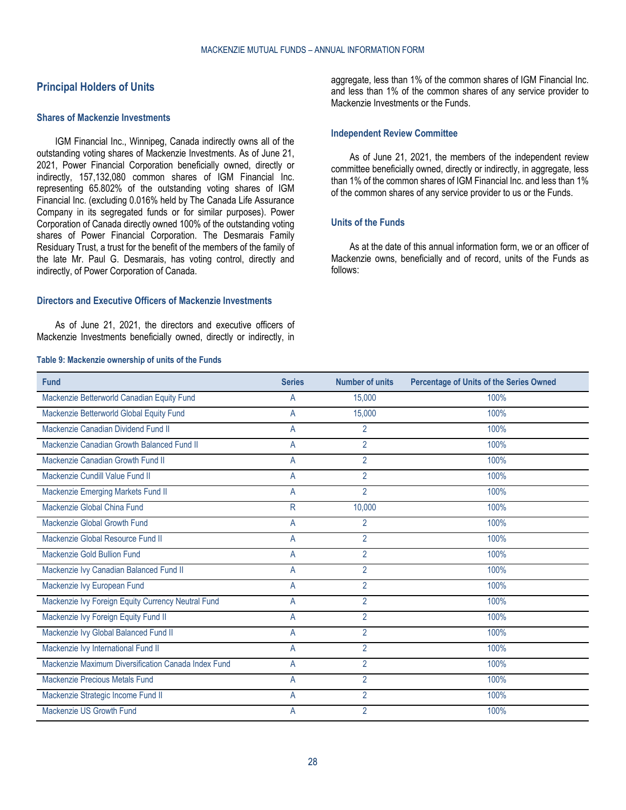# <span id="page-27-0"></span>**Principal Holders of Units**

#### **Shares of Mackenzie Investments**

IGM Financial Inc., Winnipeg, Canada indirectly owns all of the outstanding voting shares of Mackenzie Investments. As of June 21, 2021, Power Financial Corporation beneficially owned, directly or indirectly, 157,132,080 common shares of IGM Financial Inc. representing 65.802% of the outstanding voting shares of IGM Financial Inc. (excluding 0.016% held by The Canada Life Assurance Company in its segregated funds or for similar purposes). Power Corporation of Canada directly owned 100% of the outstanding voting shares of Power Financial Corporation. The Desmarais Family Residuary Trust, a trust for the benefit of the members of the family of the late Mr. Paul G. Desmarais, has voting control, directly and indirectly, of Power Corporation of Canada.

### **Directors and Executive Officers of Mackenzie Investments**

As of June 21, 2021, the directors and executive officers of Mackenzie Investments beneficially owned, directly or indirectly, in

#### **Table 9: Mackenzie ownership of units of the Funds**

aggregate, less than 1% of the common shares of IGM Financial Inc. and less than 1% of the common shares of any service provider to Mackenzie Investments or the Funds.

#### **Independent Review Committee**

As of June 21, 2021, the members of the independent review committee beneficially owned, directly or indirectly, in aggregate, less than 1% of the common shares of IGM Financial Inc. and less than 1% of the common shares of any service provider to us or the Funds.

#### **Units of the Funds**

As at the date of this annual information form, we or an officer of Mackenzie owns, beneficially and of record, units of the Funds as follows:

| <b>Fund</b>                                         | <b>Series</b> | <b>Number of units</b> | <b>Percentage of Units of the Series Owned</b> |
|-----------------------------------------------------|---------------|------------------------|------------------------------------------------|
| Mackenzie Betterworld Canadian Equity Fund          | A             | 15,000                 | 100%                                           |
| Mackenzie Betterworld Global Equity Fund            | A             | 15,000                 | 100%                                           |
| Mackenzie Canadian Dividend Fund II                 | A             | $\overline{2}$         | 100%                                           |
| Mackenzie Canadian Growth Balanced Fund II          | A             | $\overline{2}$         | 100%                                           |
| Mackenzie Canadian Growth Fund II                   | A             | $\overline{2}$         | 100%                                           |
| Mackenzie Cundill Value Fund II                     | A             | $\overline{2}$         | 100%                                           |
| Mackenzie Emerging Markets Fund II                  | A             | $\overline{2}$         | 100%                                           |
| Mackenzie Global China Fund                         | R             | 10,000                 | 100%                                           |
| Mackenzie Global Growth Fund                        | A             | $\overline{2}$         | 100%                                           |
| Mackenzie Global Resource Fund II                   | A             | $\overline{2}$         | 100%                                           |
| Mackenzie Gold Bullion Fund                         | A             | $\overline{2}$         | 100%                                           |
| Mackenzie Ivy Canadian Balanced Fund II             | A             | $\overline{2}$         | 100%                                           |
| Mackenzie Ivy European Fund                         | A             | $\overline{2}$         | 100%                                           |
| Mackenzie Ivy Foreign Equity Currency Neutral Fund  | A             | $\overline{2}$         | 100%                                           |
| Mackenzie Ivy Foreign Equity Fund II                | A             | $\overline{2}$         | 100%                                           |
| Mackenzie Ivy Global Balanced Fund II               | A             | $\overline{2}$         | 100%                                           |
| Mackenzie Ivy International Fund II                 | A             | $\overline{2}$         | 100%                                           |
| Mackenzie Maximum Diversification Canada Index Fund | A             | $\overline{2}$         | 100%                                           |
| <b>Mackenzie Precious Metals Fund</b>               | A             | $\overline{2}$         | 100%                                           |
| Mackenzie Strategic Income Fund II                  | A             | $\overline{2}$         | 100%                                           |
| Mackenzie US Growth Fund                            | A             | $\overline{2}$         | 100%                                           |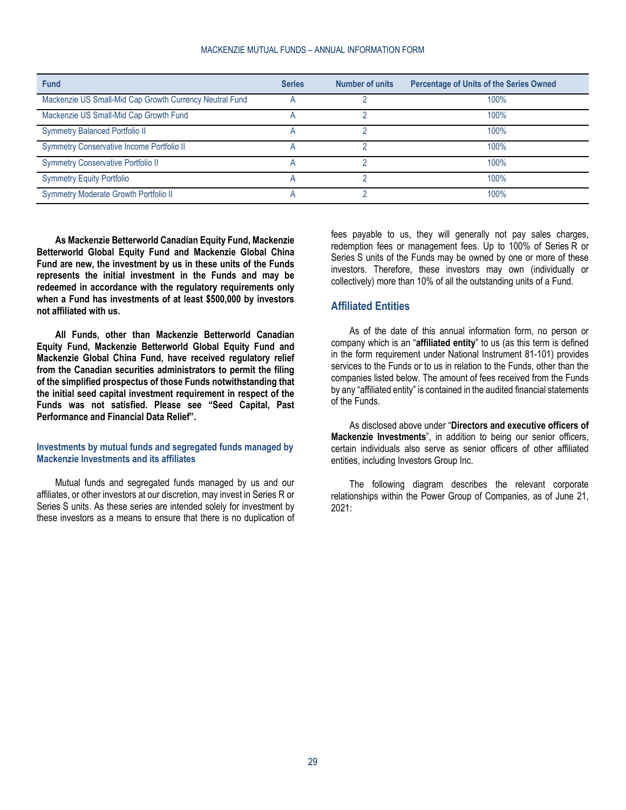| <b>Fund</b>                                             | <b>Series</b> | <b>Number of units</b> | <b>Percentage of Units of the Series Owned</b> |
|---------------------------------------------------------|---------------|------------------------|------------------------------------------------|
| Mackenzie US Small-Mid Cap Growth Currency Neutral Fund |               |                        | 100%                                           |
| Mackenzie US Small-Mid Cap Growth Fund                  |               |                        | 100%                                           |
| <b>Symmetry Balanced Portfolio II</b>                   |               |                        | 100%                                           |
| Symmetry Conservative Income Portfolio II               |               |                        | 100%                                           |
| <b>Symmetry Conservative Portfolio II</b>               |               |                        | 100%                                           |
| <b>Symmetry Equity Portfolio</b>                        |               |                        | 100%                                           |
| Symmetry Moderate Growth Portfolio II                   |               |                        | 100%                                           |

**As Mackenzie Betterworld Canadian Equity Fund, Mackenzie Betterworld Global Equity Fund and Mackenzie Global China Fund are new, the investment by us in these units of the Funds represents the initial investment in the Funds and may be redeemed in accordance with the regulatory requirements only when a Fund has investments of at least \$500,000 by investors not affiliated with us.** 

**All Funds, other than Mackenzie Betterworld Canadian Equity Fund, Mackenzie Betterworld Global Equity Fund and Mackenzie Global China Fund, have received regulatory relief from the Canadian securities administrators to permit the filing of the simplified prospectus of those Funds notwithstanding that the initial seed capital investment requirement in respect of the Funds was not satisfied. Please see ["Seed Capital, Past](#page-9-0)  [Performance and Financial Data Relief"](#page-9-0).**

### **Investments by mutual funds and segregated funds managed by Mackenzie Investments and its affiliates**

Mutual funds and segregated funds managed by us and our affiliates, or other investors at our discretion, may invest in Series R or Series S units. As these series are intended solely for investment by these investors as a means to ensure that there is no duplication of fees payable to us, they will generally not pay sales charges, redemption fees or management fees. Up to 100% of Series R or Series S units of the Funds may be owned by one or more of these investors. Therefore, these investors may own (individually or collectively) more than 10% of all the outstanding units of a Fund.

### <span id="page-28-0"></span>**Affiliated Entities**

As of the date of this annual information form, no person or company which is an "**affiliated entity**" to us (as this term is defined in the form requirement under National Instrument 81-101) provides services to the Funds or to us in relation to the Funds, other than the companies listed below. The amount of fees received from the Funds by any "affiliated entity" is contained in the audited financial statements of the Funds.

As disclosed above under "**[Directors and executive officers of](#page-20-2)  [Mackenzie Investments](#page-20-2)**", in addition to being our senior officers, certain individuals also serve as senior officers of other affiliated entities, including Investors Group Inc.

The following diagram describes the relevant corporate relationships within the Power Group of Companies, as of June 21, 2021: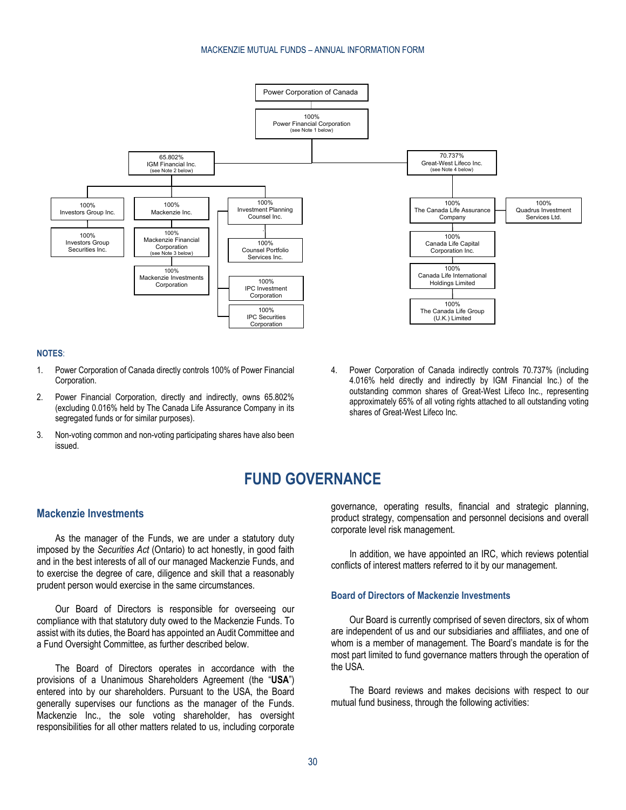

#### **NOTES**:

- 1. Power Corporation of Canada directly controls 100% of Power Financial Corporation.
- 2. Power Financial Corporation, directly and indirectly, owns 65.802% (excluding 0.016% held by The Canada Life Assurance Company in its segregated funds or for similar purposes).
- <span id="page-29-0"></span>3. Non-voting common and non-voting participating shares have also been issued.
- 4. Power Corporation of Canada indirectly controls 70.737% (including 4.016% held directly and indirectly by IGM Financial Inc.) of the outstanding common shares of Great-West Lifeco Inc., representing approximately 65% of all voting rights attached to all outstanding voting shares of Great-West Lifeco Inc.

# **FUND GOVERNANCE**

# <span id="page-29-1"></span>**Mackenzie Investments**

As the manager of the Funds, we are under a statutory duty imposed by the *Securities Act* (Ontario) to act honestly, in good faith and in the best interests of all of our managed Mackenzie Funds, and to exercise the degree of care, diligence and skill that a reasonably prudent person would exercise in the same circumstances.

Our Board of Directors is responsible for overseeing our compliance with that statutory duty owed to the Mackenzie Funds. To assist with its duties, the Board has appointed an Audit Committee and a Fund Oversight Committee, as further described below.

The Board of Directors operates in accordance with the provisions of a Unanimous Shareholders Agreement (the "**USA**") entered into by our shareholders. Pursuant to the USA, the Board generally supervises our functions as the manager of the Funds. Mackenzie Inc., the sole voting shareholder, has oversight responsibilities for all other matters related to us, including corporate

governance, operating results, financial and strategic planning, product strategy, compensation and personnel decisions and overall corporate level risk management.

In addition, we have appointed an IRC, which reviews potential conflicts of interest matters referred to it by our management.

#### **Board of Directors of Mackenzie Investments**

Our Board is currently comprised of seven directors, six of whom are independent of us and our subsidiaries and affiliates, and one of whom is a member of management. The Board's mandate is for the most part limited to fund governance matters through the operation of the USA.

The Board reviews and makes decisions with respect to our mutual fund business, through the following activities: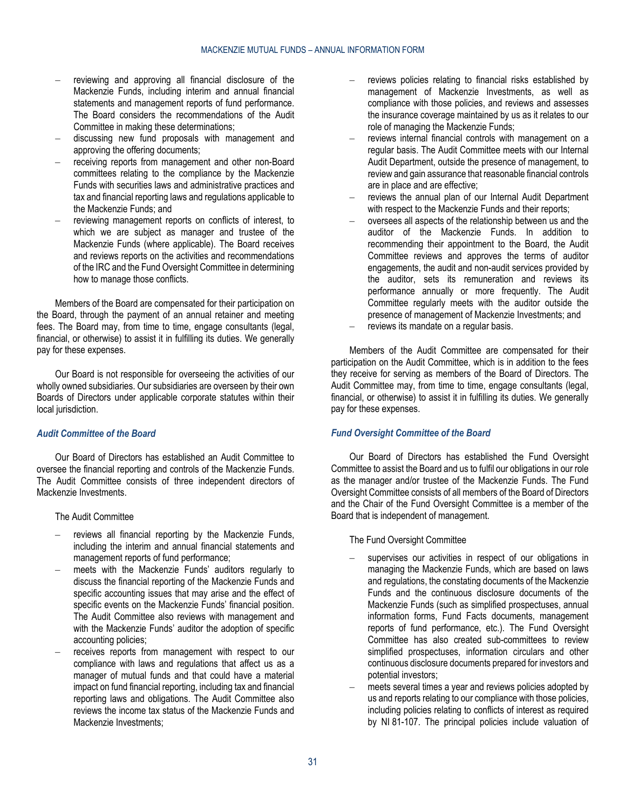- reviewing and approving all financial disclosure of the Mackenzie Funds, including interim and annual financial statements and management reports of fund performance. The Board considers the recommendations of the Audit Committee in making these determinations;
- discussing new fund proposals with management and approving the offering documents;
- receiving reports from management and other non-Board committees relating to the compliance by the Mackenzie Funds with securities laws and administrative practices and tax and financial reporting laws and regulations applicable to the Mackenzie Funds; and
- reviewing management reports on conflicts of interest, to which we are subject as manager and trustee of the Mackenzie Funds (where applicable). The Board receives and reviews reports on the activities and recommendations of the IRC and the Fund Oversight Committee in determining how to manage those conflicts.

Members of the Board are compensated for their participation on the Board, through the payment of an annual retainer and meeting fees. The Board may, from time to time, engage consultants (legal, financial, or otherwise) to assist it in fulfilling its duties. We generally pay for these expenses.

Our Board is not responsible for overseeing the activities of our wholly owned subsidiaries. Our subsidiaries are overseen by their own Boards of Directors under applicable corporate statutes within their local jurisdiction.

# *Audit Committee of the Board*

Our Board of Directors has established an Audit Committee to oversee the financial reporting and controls of the Mackenzie Funds. The Audit Committee consists of three independent directors of Mackenzie Investments.

The Audit Committee

- reviews all financial reporting by the Mackenzie Funds, including the interim and annual financial statements and management reports of fund performance;
- meets with the Mackenzie Funds' auditors regularly to discuss the financial reporting of the Mackenzie Funds and specific accounting issues that may arise and the effect of specific events on the Mackenzie Funds' financial position. The Audit Committee also reviews with management and with the Mackenzie Funds' auditor the adoption of specific accounting policies;
- receives reports from management with respect to our compliance with laws and regulations that affect us as a manager of mutual funds and that could have a material impact on fund financial reporting, including tax and financial reporting laws and obligations. The Audit Committee also reviews the income tax status of the Mackenzie Funds and Mackenzie Investments;
- reviews policies relating to financial risks established by management of Mackenzie Investments, as well as compliance with those policies, and reviews and assesses the insurance coverage maintained by us as it relates to our role of managing the Mackenzie Funds;
- reviews internal financial controls with management on a regular basis. The Audit Committee meets with our Internal Audit Department, outside the presence of management, to review and gain assurance that reasonable financial controls are in place and are effective;
- reviews the annual plan of our Internal Audit Department with respect to the Mackenzie Funds and their reports;
- oversees all aspects of the relationship between us and the auditor of the Mackenzie Funds. In addition to recommending their appointment to the Board, the Audit Committee reviews and approves the terms of auditor engagements, the audit and non-audit services provided by the auditor, sets its remuneration and reviews its performance annually or more frequently. The Audit Committee regularly meets with the auditor outside the presence of management of Mackenzie Investments; and
- reviews its mandate on a regular basis.

Members of the Audit Committee are compensated for their participation on the Audit Committee, which is in addition to the fees they receive for serving as members of the Board of Directors. The Audit Committee may, from time to time, engage consultants (legal, financial, or otherwise) to assist it in fulfilling its duties. We generally pay for these expenses.

# *Fund Oversight Committee of the Board*

Our Board of Directors has established the Fund Oversight Committee to assist the Board and us to fulfil our obligations in our role as the manager and/or trustee of the Mackenzie Funds. The Fund Oversight Committee consists of all members of the Board of Directors and the Chair of the Fund Oversight Committee is a member of the Board that is independent of management.

The Fund Oversight Committee

- supervises our activities in respect of our obligations in managing the Mackenzie Funds, which are based on laws and regulations, the constating documents of the Mackenzie Funds and the continuous disclosure documents of the Mackenzie Funds (such as simplified prospectuses, annual information forms, Fund Facts documents, management reports of fund performance, etc.). The Fund Oversight Committee has also created sub-committees to review simplified prospectuses, information circulars and other continuous disclosure documents prepared for investors and potential investors;
- meets several times a year and reviews policies adopted by us and reports relating to our compliance with those policies, including policies relating to conflicts of interest as required by NI 81-107. The principal policies include valuation of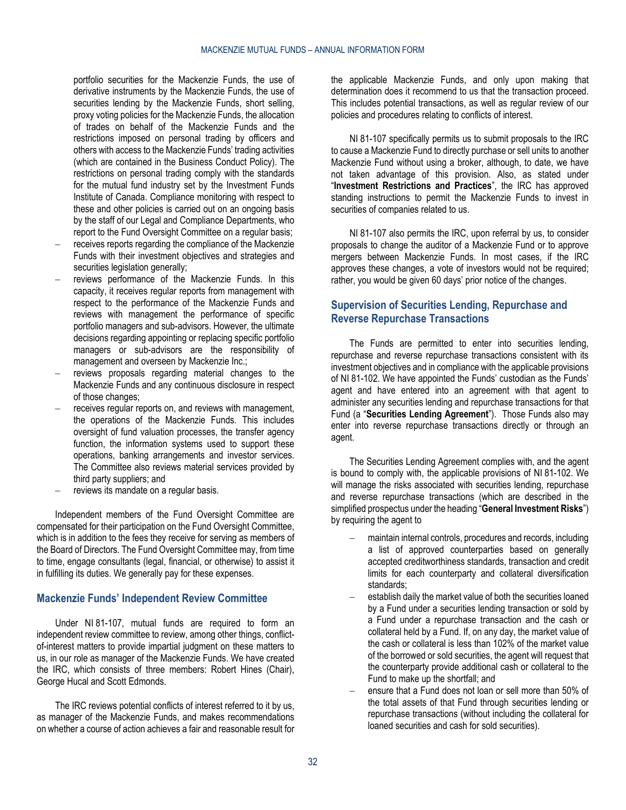portfolio securities for the Mackenzie Funds, the use of derivative instruments by the Mackenzie Funds, the use of securities lending by the Mackenzie Funds, short selling, proxy voting policies for the Mackenzie Funds, the allocation of trades on behalf of the Mackenzie Funds and the restrictions imposed on personal trading by officers and others with access to the Mackenzie Funds' trading activities (which are contained in the Business Conduct Policy). The restrictions on personal trading comply with the standards for the mutual fund industry set by the Investment Funds Institute of Canada. Compliance monitoring with respect to these and other policies is carried out on an ongoing basis by the staff of our Legal and Compliance Departments, who report to the Fund Oversight Committee on a regular basis:

- receives reports regarding the compliance of the Mackenzie Funds with their investment objectives and strategies and securities legislation generally:
- reviews performance of the Mackenzie Funds. In this capacity, it receives regular reports from management with respect to the performance of the Mackenzie Funds and reviews with management the performance of specific portfolio managers and sub-advisors. However, the ultimate decisions regarding appointing or replacing specific portfolio managers or sub-advisors are the responsibility of management and overseen by Mackenzie Inc.;
- reviews proposals regarding material changes to the Mackenzie Funds and any continuous disclosure in respect of those changes;
- receives regular reports on, and reviews with management, the operations of the Mackenzie Funds. This includes oversight of fund valuation processes, the transfer agency function, the information systems used to support these operations, banking arrangements and investor services. The Committee also reviews material services provided by third party suppliers; and
- reviews its mandate on a regular basis.

Independent members of the Fund Oversight Committee are compensated for their participation on the Fund Oversight Committee, which is in addition to the fees they receive for serving as members of the Board of Directors. The Fund Oversight Committee may, from time to time, engage consultants (legal, financial, or otherwise) to assist it in fulfilling its duties. We generally pay for these expenses.

# <span id="page-31-0"></span>**Mackenzie Funds' Independent Review Committee**

Under NI 81-107, mutual funds are required to form an independent review committee to review, among other things, conflictof-interest matters to provide impartial judgment on these matters to us, in our role as manager of the Mackenzie Funds. We have created the IRC, which consists of three members: Robert Hines (Chair), George Hucal and Scott Edmonds.

The IRC reviews potential conflicts of interest referred to it by us, as manager of the Mackenzie Funds, and makes recommendations on whether a course of action achieves a fair and reasonable result for

the applicable Mackenzie Funds, and only upon making that determination does it recommend to us that the transaction proceed. This includes potential transactions, as well as regular review of our policies and procedures relating to conflicts of interest.

NI 81-107 specifically permits us to submit proposals to the IRC to cause a Mackenzie Fund to directly purchase or sell units to another Mackenzie Fund without using a broker, although, to date, we have not taken advantage of this provision. Also, as stated under "**[Investment Restrictions and Practices](#page-6-0)**", the IRC has approved standing instructions to permit the Mackenzie Funds to invest in securities of companies related to us.

NI 81-107 also permits the IRC, upon referral by us, to consider proposals to change the auditor of a Mackenzie Fund or to approve mergers between Mackenzie Funds. In most cases, if the IRC approves these changes, a vote of investors would not be required; rather, you would be given 60 days' prior notice of the changes.

# <span id="page-31-1"></span>**Supervision of Securities Lending, Repurchase and Reverse Repurchase Transactions**

The Funds are permitted to enter into securities lending, repurchase and reverse repurchase transactions consistent with its investment objectives and in compliance with the applicable provisions of NI 81-102. We have appointed the Funds' custodian as the Funds' agent and have entered into an agreement with that agent to administer any securities lending and repurchase transactions for that Fund (a "**Securities Lending Agreement**"). Those Funds also may enter into reverse repurchase transactions directly or through an agent.

The Securities Lending Agreement complies with, and the agent is bound to comply with, the applicable provisions of NI 81-102. We will manage the risks associated with securities lending, repurchase and reverse repurchase transactions (which are described in the simplified prospectus under the heading "**General Investment Risks**") by requiring the agent to

- maintain internal controls, procedures and records, including a list of approved counterparties based on generally accepted creditworthiness standards, transaction and credit limits for each counterparty and collateral diversification standards;
- establish daily the market value of both the securities loaned by a Fund under a securities lending transaction or sold by a Fund under a repurchase transaction and the cash or collateral held by a Fund. If, on any day, the market value of the cash or collateral is less than 102% of the market value of the borrowed or sold securities, the agent will request that the counterparty provide additional cash or collateral to the Fund to make up the shortfall; and
- ensure that a Fund does not loan or sell more than 50% of the total assets of that Fund through securities lending or repurchase transactions (without including the collateral for loaned securities and cash for sold securities).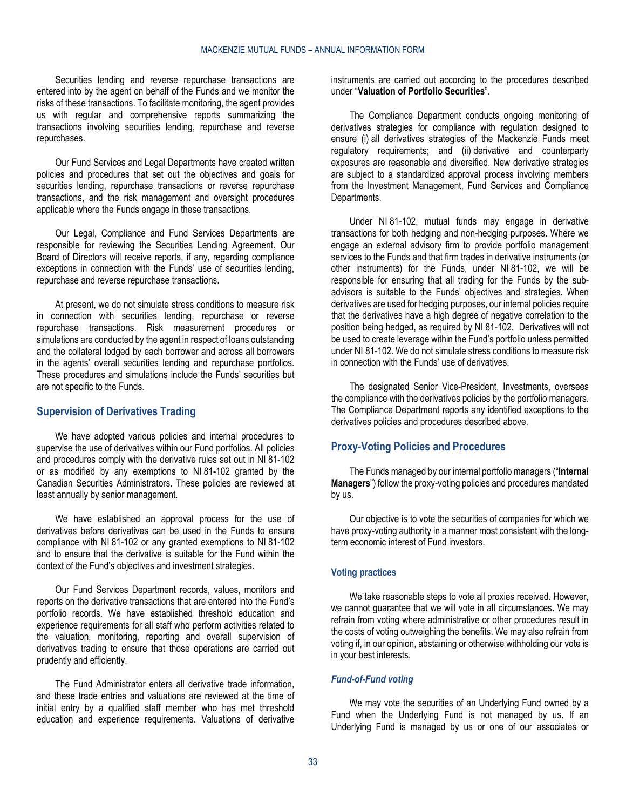Securities lending and reverse repurchase transactions are entered into by the agent on behalf of the Funds and we monitor the risks of these transactions. To facilitate monitoring, the agent provides us with regular and comprehensive reports summarizing the transactions involving securities lending, repurchase and reverse repurchases.

Our Fund Services and Legal Departments have created written policies and procedures that set out the objectives and goals for securities lending, repurchase transactions or reverse repurchase transactions, and the risk management and oversight procedures applicable where the Funds engage in these transactions.

Our Legal, Compliance and Fund Services Departments are responsible for reviewing the Securities Lending Agreement. Our Board of Directors will receive reports, if any, regarding compliance exceptions in connection with the Funds' use of securities lending, repurchase and reverse repurchase transactions.

At present, we do not simulate stress conditions to measure risk in connection with securities lending, repurchase or reverse repurchase transactions. Risk measurement procedures or simulations are conducted by the agent in respect of loans outstanding and the collateral lodged by each borrower and across all borrowers in the agents' overall securities lending and repurchase portfolios. These procedures and simulations include the Funds' securities but are not specific to the Funds.

### <span id="page-32-0"></span>**Supervision of Derivatives Trading**

We have adopted various policies and internal procedures to supervise the use of derivatives within our Fund portfolios. All policies and procedures comply with the derivative rules set out in NI 81-102 or as modified by any exemptions to NI 81-102 granted by the Canadian Securities Administrators. These policies are reviewed at least annually by senior management.

We have established an approval process for the use of derivatives before derivatives can be used in the Funds to ensure compliance with NI 81-102 or any granted exemptions to NI 81-102 and to ensure that the derivative is suitable for the Fund within the context of the Fund's objectives and investment strategies.

Our Fund Services Department records, values, monitors and reports on the derivative transactions that are entered into the Fund's portfolio records. We have established threshold education and experience requirements for all staff who perform activities related to the valuation, monitoring, reporting and overall supervision of derivatives trading to ensure that those operations are carried out prudently and efficiently.

The Fund Administrator enters all derivative trade information, and these trade entries and valuations are reviewed at the time of initial entry by a qualified staff member who has met threshold education and experience requirements. Valuations of derivative instruments are carried out according to the procedures described under "**[Valuation of Portfolio Securities](#page-12-0)**".

The Compliance Department conducts ongoing monitoring of derivatives strategies for compliance with regulation designed to ensure (i) all derivatives strategies of the Mackenzie Funds meet regulatory requirements; and (ii) derivative and counterparty exposures are reasonable and diversified. New derivative strategies are subject to a standardized approval process involving members from the Investment Management, Fund Services and Compliance Departments.

Under NI 81-102, mutual funds may engage in derivative transactions for both hedging and non-hedging purposes. Where we engage an external advisory firm to provide portfolio management services to the Funds and that firm trades in derivative instruments (or other instruments) for the Funds, under NI 81-102, we will be responsible for ensuring that all trading for the Funds by the subadvisors is suitable to the Funds' objectives and strategies. When derivatives are used for hedging purposes, our internal policies require that the derivatives have a high degree of negative correlation to the position being hedged, as required by NI 81-102. Derivatives will not be used to create leverage within the Fund's portfolio unless permitted under NI 81-102. We do not simulate stress conditions to measure risk in connection with the Funds' use of derivatives.

The designated Senior Vice-President, Investments, oversees the compliance with the derivatives policies by the portfolio managers. The Compliance Department reports any identified exceptions to the derivatives policies and procedures described above.

# <span id="page-32-1"></span>**Proxy-Voting Policies and Procedures**

The Funds managed by our internal portfolio managers ("**Internal Managers**") follow the proxy-voting policies and procedures mandated by us.

Our objective is to vote the securities of companies for which we have proxy-voting authority in a manner most consistent with the longterm economic interest of Fund investors.

### **Voting practices**

We take reasonable steps to vote all proxies received. However, we cannot guarantee that we will vote in all circumstances. We may refrain from voting where administrative or other procedures result in the costs of voting outweighing the benefits. We may also refrain from voting if, in our opinion, abstaining or otherwise withholding our vote is in your best interests.

#### *Fund-of-Fund voting*

We may vote the securities of an Underlying Fund owned by a Fund when the Underlying Fund is not managed by us. If an Underlying Fund is managed by us or one of our associates or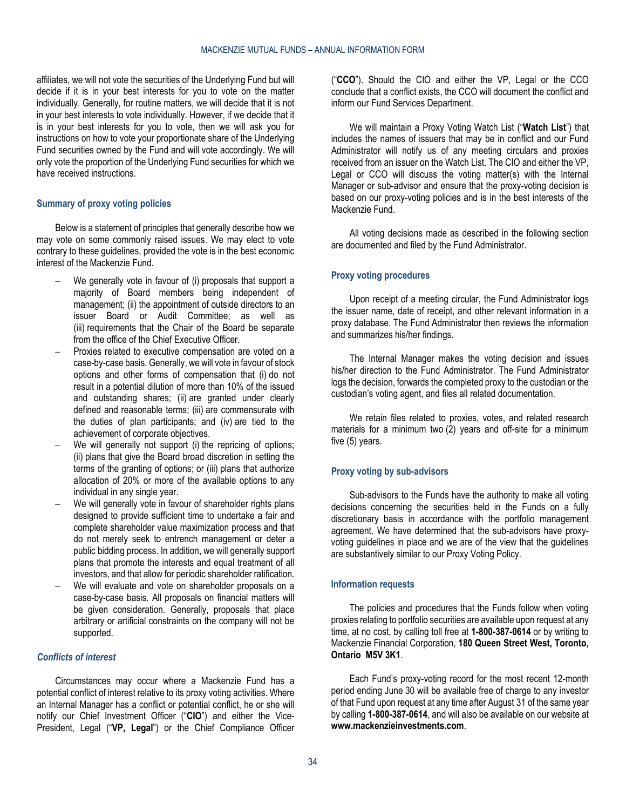affiliates, we will not vote the securities of the Underlying Fund but will decide if it is in your best interests for you to vote on the matter individually. Generally, for routine matters, we will decide that it is not in your best interests to vote individually. However, if we decide that it is in your best interests for you to vote, then we will ask you for instructions on how to vote your proportionate share of the Underlying Fund securities owned by the Fund and will vote accordingly. We will only vote the proportion of the Underlying Fund securities for which we have received instructions.

#### **Summary of proxy voting policies**

Below is a statement of principles that generally describe how we may vote on some commonly raised issues. We may elect to vote contrary to these guidelines, provided the vote is in the best economic interest of the Mackenzie Fund.

- We generally vote in favour of (i) proposals that support a majority of Board members being independent of management; (ii) the appointment of outside directors to an issuer Board or Audit Committee; as well as (iii) requirements that the Chair of the Board be separate from the office of the Chief Executive Officer.
- Proxies related to executive compensation are voted on a case-by-case basis. Generally, we will vote in favour of stock options and other forms of compensation that (i) do not result in a potential dilution of more than 10% of the issued and outstanding shares; (ii) are granted under clearly defined and reasonable terms; (iii) are commensurate with the duties of plan participants; and (iv) are tied to the achievement of corporate objectives.
- We will generally not support (i) the repricing of options; (ii) plans that give the Board broad discretion in setting the terms of the granting of options; or (iii) plans that authorize allocation of 20% or more of the available options to any individual in any single year.
- We will generally vote in favour of shareholder rights plans designed to provide sufficient time to undertake a fair and complete shareholder value maximization process and that do not merely seek to entrench management or deter a public bidding process. In addition, we will generally support plans that promote the interests and equal treatment of all investors, and that allow for periodic shareholder ratification.
- We will evaluate and vote on shareholder proposals on a case-by-case basis. All proposals on financial matters will be given consideration. Generally, proposals that place arbitrary or artificial constraints on the company will not be supported.

# *Conflicts of interest*

Circumstances may occur where a Mackenzie Fund has a potential conflict of interest relative to its proxy voting activities. Where an Internal Manager has a conflict or potential conflict, he or she will notify our Chief Investment Officer ("**CIO**") and either the Vice-President, Legal ("**VP, Legal**") or the Chief Compliance Officer ("**CCO**"). Should the CIO and either the VP, Legal or the CCO conclude that a conflict exists, the CCO will document the conflict and inform our Fund Services Department.

We will maintain a Proxy Voting Watch List ("**Watch List**") that includes the names of issuers that may be in conflict and our Fund Administrator will notify us of any meeting circulars and proxies received from an issuer on the Watch List. The CIO and either the VP, Legal or CCO will discuss the voting matter(s) with the Internal Manager or sub-advisor and ensure that the proxy-voting decision is based on our proxy-voting policies and is in the best interests of the Mackenzie Fund.

All voting decisions made as described in the following section are documented and filed by the Fund Administrator.

#### **Proxy voting procedures**

Upon receipt of a meeting circular, the Fund Administrator logs the issuer name, date of receipt, and other relevant information in a proxy database. The Fund Administrator then reviews the information and summarizes his/her findings.

The Internal Manager makes the voting decision and issues his/her direction to the Fund Administrator. The Fund Administrator logs the decision, forwards the completed proxy to the custodian or the custodian's voting agent, and files all related documentation.

We retain files related to proxies, votes, and related research materials for a minimum two (2) years and off-site for a minimum five (5) years.

# **Proxy voting by sub-advisors**

Sub-advisors to the Funds have the authority to make all voting decisions concerning the securities held in the Funds on a fully discretionary basis in accordance with the portfolio management agreement. We have determined that the sub-advisors have proxyvoting guidelines in place and we are of the view that the guidelines are substantively similar to our Proxy Voting Policy.

#### **Information requests**

The policies and procedures that the Funds follow when voting proxies relating to portfolio securities are available upon request at any time, at no cost, by calling toll free at **1-800-387-0614** or by writing to Mackenzie Financial Corporation, **180 Queen Street West, Toronto, Ontario M5V 3K1**.

Each Fund's proxy-voting record for the most recent 12-month period ending June 30 will be available free of charge to any investor of that Fund upon request at any time after August 31 of the same year by calling **1-800-387-0614**, and will also be available on our website at **[www.mackenzieinvestments.com](http://www.mackenzieinvestments.com/)**.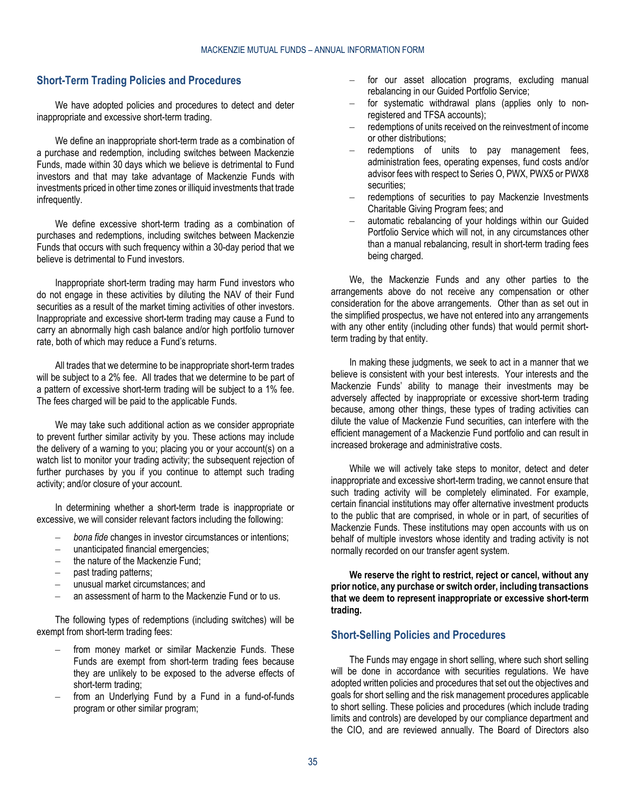# <span id="page-34-0"></span>**Short-Term Trading Policies and Procedures**

We have adopted policies and procedures to detect and deter inappropriate and excessive short-term trading.

We define an inappropriate short-term trade as a combination of a purchase and redemption, including switches between Mackenzie Funds, made within 30 days which we believe is detrimental to Fund investors and that may take advantage of Mackenzie Funds with investments priced in other time zones or illiquid investments that trade infrequently.

We define excessive short-term trading as a combination of purchases and redemptions, including switches between Mackenzie Funds that occurs with such frequency within a 30-day period that we believe is detrimental to Fund investors.

Inappropriate short-term trading may harm Fund investors who do not engage in these activities by diluting the NAV of their Fund securities as a result of the market timing activities of other investors. Inappropriate and excessive short-term trading may cause a Fund to carry an abnormally high cash balance and/or high portfolio turnover rate, both of which may reduce a Fund's returns.

All trades that we determine to be inappropriate short-term trades will be subject to a 2% fee. All trades that we determine to be part of a pattern of excessive short-term trading will be subject to a 1% fee. The fees charged will be paid to the applicable Funds.

We may take such additional action as we consider appropriate to prevent further similar activity by you. These actions may include the delivery of a warning to you; placing you or your account(s) on a watch list to monitor your trading activity; the subsequent rejection of further purchases by you if you continue to attempt such trading activity; and/or closure of your account.

In determining whether a short-term trade is inappropriate or excessive, we will consider relevant factors including the following:

- *bona fide* changes in investor circumstances or intentions;
- unanticipated financial emergencies;
- the nature of the Mackenzie Fund;
- past trading patterns;
- unusual market circumstances; and
- an assessment of harm to the Mackenzie Fund or to us.

The following types of redemptions (including switches) will be exempt from short-term trading fees:

- from money market or similar Mackenzie Funds. These Funds are exempt from short-term trading fees because they are unlikely to be exposed to the adverse effects of short-term trading;
- from an Underlying Fund by a Fund in a fund-of-funds program or other similar program;
- for our asset allocation programs, excluding manual rebalancing in our Guided Portfolio Service;
- for systematic withdrawal plans (applies only to nonregistered and TFSA accounts);
- redemptions of units received on the reinvestment of income or other distributions;
- redemptions of units to pay management fees, administration fees, operating expenses, fund costs and/or advisor fees with respect to Series O, PWX, PWX5 or PWX8 securities;
- redemptions of securities to pay Mackenzie Investments Charitable Giving Program fees; and
- automatic rebalancing of your holdings within our Guided Portfolio Service which will not, in any circumstances other than a manual rebalancing, result in short-term trading fees being charged.

We, the Mackenzie Funds and any other parties to the arrangements above do not receive any compensation or other consideration for the above arrangements. Other than as set out in the simplified prospectus, we have not entered into any arrangements with any other entity (including other funds) that would permit shortterm trading by that entity.

In making these judgments, we seek to act in a manner that we believe is consistent with your best interests. Your interests and the Mackenzie Funds' ability to manage their investments may be adversely affected by inappropriate or excessive short-term trading because, among other things, these types of trading activities can dilute the value of Mackenzie Fund securities, can interfere with the efficient management of a Mackenzie Fund portfolio and can result in increased brokerage and administrative costs.

While we will actively take steps to monitor, detect and deter inappropriate and excessive short-term trading, we cannot ensure that such trading activity will be completely eliminated. For example, certain financial institutions may offer alternative investment products to the public that are comprised, in whole or in part, of securities of Mackenzie Funds. These institutions may open accounts with us on behalf of multiple investors whose identity and trading activity is not normally recorded on our transfer agent system.

**We reserve the right to restrict, reject or cancel, without any prior notice, any purchase or switch order, including transactions that we deem to represent inappropriate or excessive short-term trading.**

# <span id="page-34-1"></span>**Short-Selling Policies and Procedures**

The Funds may engage in short selling, where such short selling will be done in accordance with securities regulations. We have adopted written policies and procedures that set out the objectives and goals for short selling and the risk management procedures applicable to short selling. These policies and procedures (which include trading limits and controls) are developed by our compliance department and the CIO, and are reviewed annually. The Board of Directors also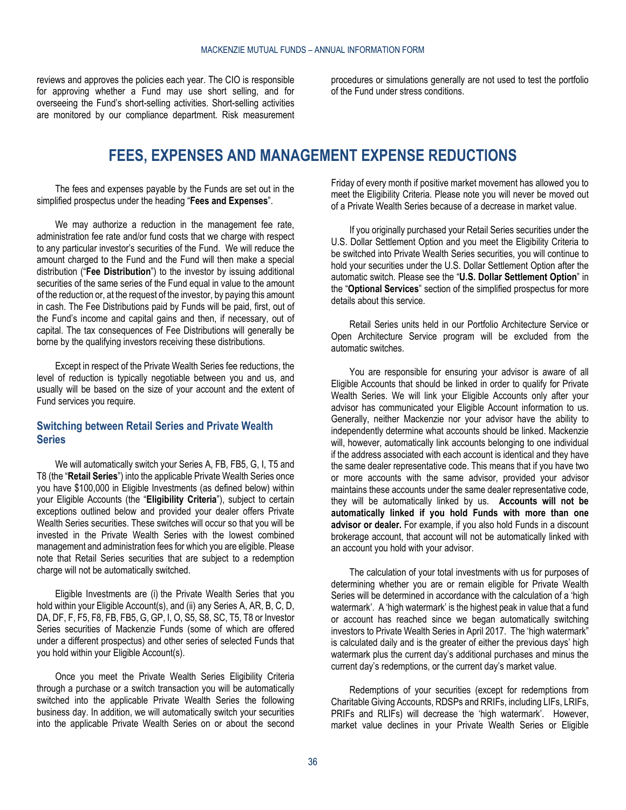<span id="page-35-0"></span>reviews and approves the policies each year. The CIO is responsible for approving whether a Fund may use short selling, and for overseeing the Fund's short-selling activities. Short-selling activities are monitored by our compliance department. Risk measurement

procedures or simulations generally are not used to test the portfolio of the Fund under stress conditions.

# **FEES, EXPENSES AND MANAGEMENT EXPENSE REDUCTIONS**

The fees and expenses payable by the Funds are set out in the simplified prospectus under the heading "**Fees and Expenses**".

We may authorize a reduction in the management fee rate, administration fee rate and/or fund costs that we charge with respect to any particular investor's securities of the Fund. We will reduce the amount charged to the Fund and the Fund will then make a special distribution ("**Fee Distribution**") to the investor by issuing additional securities of the same series of the Fund equal in value to the amount of the reduction or, at the request of the investor, by paying this amount in cash. The Fee Distributions paid by Funds will be paid, first, out of the Fund's income and capital gains and then, if necessary, out of capital. The tax consequences of Fee Distributions will generally be borne by the qualifying investors receiving these distributions.

Except in respect of the Private Wealth Series fee reductions, the level of reduction is typically negotiable between you and us, and usually will be based on the size of your account and the extent of Fund services you require.

### <span id="page-35-1"></span>**Switching between Retail Series and Private Wealth Series**

We will automatically switch your Series A, FB, FB5, G, I, T5 and T8 (the "**Retail Series**") into the applicable Private Wealth Series once you have \$100,000 in Eligible Investments (as defined below) within your Eligible Accounts (the "**Eligibility Criteria**"), subject to certain exceptions outlined below and provided your dealer offers Private Wealth Series securities. These switches will occur so that you will be invested in the Private Wealth Series with the lowest combined management and administration fees for which you are eligible. Please note that Retail Series securities that are subject to a redemption charge will not be automatically switched.

Eligible Investments are (i) the Private Wealth Series that you hold within your Eligible Account(s), and (ii) any Series A, AR, B, C, D, DA, DF, F, F5, F8, FB, FB5, G, GP, I, O, S5, S8, SC, T5, T8 or Investor Series securities of Mackenzie Funds (some of which are offered under a different prospectus) and other series of selected Funds that you hold within your Eligible Account(s).

Once you meet the Private Wealth Series Eligibility Criteria through a purchase or a switch transaction you will be automatically switched into the applicable Private Wealth Series the following business day. In addition, we will automatically switch your securities into the applicable Private Wealth Series on or about the second

Friday of every month if positive market movement has allowed you to meet the Eligibility Criteria. Please note you will never be moved out of a Private Wealth Series because of a decrease in market value.

If you originally purchased your Retail Series securities under the U.S. Dollar Settlement Option and you meet the Eligibility Criteria to be switched into Private Wealth Series securities, you will continue to hold your securities under the U.S. Dollar Settlement Option after the automatic switch. Please see the "**U.S. Dollar Settlement Option**" in the "**Optional Services**" section of the simplified prospectus for more details about this service.

Retail Series units held in our Portfolio Architecture Service or Open Architecture Service program will be excluded from the automatic switches.

You are responsible for ensuring your advisor is aware of all Eligible Accounts that should be linked in order to qualify for Private Wealth Series. We will link your Eligible Accounts only after your advisor has communicated your Eligible Account information to us. Generally, neither Mackenzie nor your advisor have the ability to independently determine what accounts should be linked. Mackenzie will, however, automatically link accounts belonging to one individual if the address associated with each account is identical and they have the same dealer representative code. This means that if you have two or more accounts with the same advisor, provided your advisor maintains these accounts under the same dealer representative code, they will be automatically linked by us. **Accounts will not be automatically linked if you hold Funds with more than one advisor or dealer.** For example, if you also hold Funds in a discount brokerage account, that account will not be automatically linked with an account you hold with your advisor.

The calculation of your total investments with us for purposes of determining whether you are or remain eligible for Private Wealth Series will be determined in accordance with the calculation of a 'high watermark'. A 'high watermark' is the highest peak in value that a fund or account has reached since we began automatically switching investors to Private Wealth Series in April 2017. The 'high watermark" is calculated daily and is the greater of either the previous days' high watermark plus the current day's additional purchases and minus the current day's redemptions, or the current day's market value.

Redemptions of your securities (except for redemptions from Charitable Giving Accounts, RDSPs and RRIFs, including LIFs, LRIFs, PRIFs and RLIFs) will decrease the 'high watermark'. However, market value declines in your Private Wealth Series or Eligible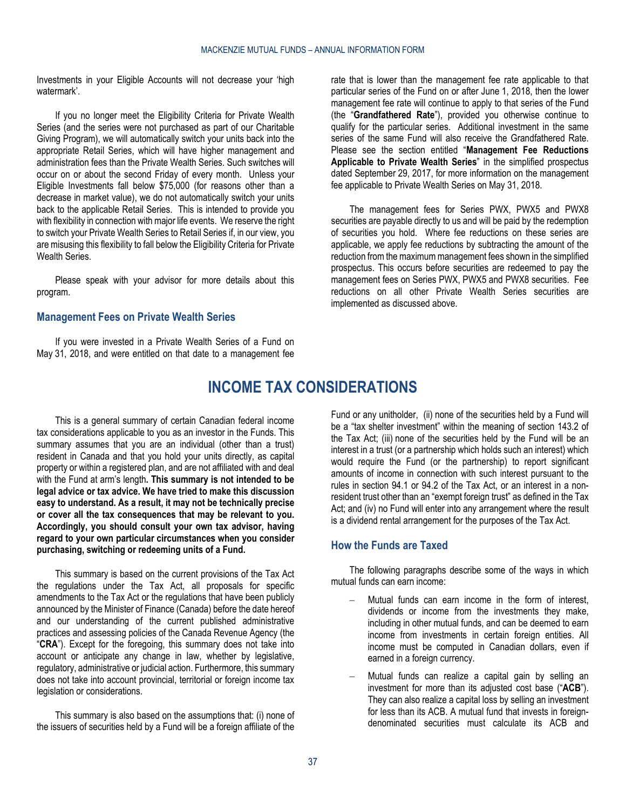Investments in your Eligible Accounts will not decrease your 'high watermark'.

If you no longer meet the Eligibility Criteria for Private Wealth Series (and the series were not purchased as part of our Charitable Giving Program), we will automatically switch your units back into the appropriate Retail Series, which will have higher management and administration fees than the Private Wealth Series. Such switches will occur on or about the second Friday of every month. Unless your Eligible Investments fall below \$75,000 (for reasons other than a decrease in market value), we do not automatically switch your units back to the applicable Retail Series. This is intended to provide you with flexibility in connection with major life events. We reserve the right to switch your Private Wealth Series to Retail Series if, in our view, you are misusing this flexibility to fall below the Eligibility Criteria for Private Wealth Series.

Please speak with your advisor for more details about this program.

### <span id="page-36-0"></span>**Management Fees on Private Wealth Series**

<span id="page-36-1"></span>If you were invested in a Private Wealth Series of a Fund on May 31, 2018, and were entitled on that date to a management fee rate that is lower than the management fee rate applicable to that particular series of the Fund on or after June 1, 2018, then the lower management fee rate will continue to apply to that series of the Fund (the "**Grandfathered Rate**"), provided you otherwise continue to qualify for the particular series. Additional investment in the same series of the same Fund will also receive the Grandfathered Rate. Please see the section entitled "**Management Fee Reductions Applicable to Private Wealth Series**" in the simplified prospectus dated September 29, 2017, for more information on the management fee applicable to Private Wealth Series on May 31, 2018.

The management fees for Series PWX, PWX5 and PWX8 securities are payable directly to us and will be paid by the redemption of securities you hold. Where fee reductions on these series are applicable, we apply fee reductions by subtracting the amount of the reduction from the maximum management fees shown in the simplified prospectus. This occurs before securities are redeemed to pay the management fees on Series PWX, PWX5 and PWX8 securities. Fee reductions on all other Private Wealth Series securities are implemented as discussed above.

# **INCOME TAX CONSIDERATIONS**

This is a general summary of certain Canadian federal income tax considerations applicable to you as an investor in the Funds. This summary assumes that you are an individual (other than a trust) resident in Canada and that you hold your units directly, as capital property or within a registered plan, and are not affiliated with and deal with the Fund at arm's length**. This summary is not intended to be legal advice or tax advice. We have tried to make this discussion easy to understand. As a result, it may not be technically precise or cover all the tax consequences that may be relevant to you. Accordingly, you should consult your own tax advisor, having regard to your own particular circumstances when you consider purchasing, switching or redeeming units of a Fund.**

This summary is based on the current provisions of the Tax Act the regulations under the Tax Act, all proposals for specific amendments to the Tax Act or the regulations that have been publicly announced by the Minister of Finance (Canada) before the date hereof and our understanding of the current published administrative practices and assessing policies of the Canada Revenue Agency (the "**CRA**"). Except for the foregoing, this summary does not take into account or anticipate any change in law, whether by legislative, regulatory, administrative or judicial action. Furthermore, this summary does not take into account provincial, territorial or foreign income tax legislation or considerations.

This summary is also based on the assumptions that: (i) none of the issuers of securities held by a Fund will be a foreign affiliate of the

Fund or any unitholder, (ii) none of the securities held by a Fund will be a "tax shelter investment" within the meaning of section 143.2 of the Tax Act; (iii) none of the securities held by the Fund will be an interest in a trust (or a partnership which holds such an interest) which would require the Fund (or the partnership) to report significant amounts of income in connection with such interest pursuant to the rules in section 94.1 or 94.2 of the Tax Act, or an interest in a nonresident trust other than an "exempt foreign trust" as defined in the Tax Act; and (iv) no Fund will enter into any arrangement where the result is a dividend rental arrangement for the purposes of the Tax Act.

### <span id="page-36-2"></span>**How the Funds are Taxed**

The following paragraphs describe some of the ways in which mutual funds can earn income:

- Mutual funds can earn income in the form of interest, dividends or income from the investments they make, including in other mutual funds, and can be deemed to earn income from investments in certain foreign entities. All income must be computed in Canadian dollars, even if earned in a foreign currency.
- Mutual funds can realize a capital gain by selling an investment for more than its adjusted cost base ("**ACB**"). They can also realize a capital loss by selling an investment for less than its ACB. A mutual fund that invests in foreigndenominated securities must calculate its ACB and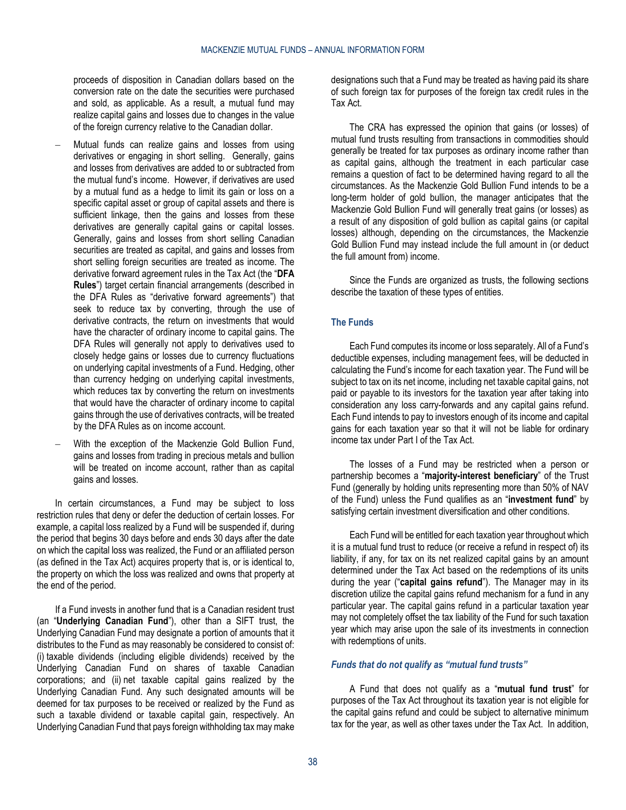proceeds of disposition in Canadian dollars based on the conversion rate on the date the securities were purchased and sold, as applicable. As a result, a mutual fund may realize capital gains and losses due to changes in the value of the foreign currency relative to the Canadian dollar.

- Mutual funds can realize gains and losses from using derivatives or engaging in short selling. Generally, gains and losses from derivatives are added to or subtracted from the mutual fund's income. However, if derivatives are used by a mutual fund as a hedge to limit its gain or loss on a specific capital asset or group of capital assets and there is sufficient linkage, then the gains and losses from these derivatives are generally capital gains or capital losses. Generally, gains and losses from short selling Canadian securities are treated as capital, and gains and losses from short selling foreign securities are treated as income. The derivative forward agreement rules in the Tax Act (the "**DFA Rules**") target certain financial arrangements (described in the DFA Rules as "derivative forward agreements") that seek to reduce tax by converting, through the use of derivative contracts, the return on investments that would have the character of ordinary income to capital gains. The DFA Rules will generally not apply to derivatives used to closely hedge gains or losses due to currency fluctuations on underlying capital investments of a Fund. Hedging, other than currency hedging on underlying capital investments, which reduces tax by converting the return on investments that would have the character of ordinary income to capital gains through the use of derivatives contracts, will be treated by the DFA Rules as on income account.
- With the exception of the Mackenzie Gold Bullion Fund, gains and losses from trading in precious metals and bullion will be treated on income account, rather than as capital gains and losses.

In certain circumstances, a Fund may be subject to loss restriction rules that deny or defer the deduction of certain losses. For example, a capital loss realized by a Fund will be suspended if, during the period that begins 30 days before and ends 30 days after the date on which the capital loss was realized, the Fund or an affiliated person (as defined in the Tax Act) acquires property that is, or is identical to, the property on which the loss was realized and owns that property at the end of the period.

If a Fund invests in another fund that is a Canadian resident trust (an "**Underlying Canadian Fund**"), other than a SIFT trust, the Underlying Canadian Fund may designate a portion of amounts that it distributes to the Fund as may reasonably be considered to consist of: (i) taxable dividends (including eligible dividends) received by the Underlying Canadian Fund on shares of taxable Canadian corporations; and (ii) net taxable capital gains realized by the Underlying Canadian Fund. Any such designated amounts will be deemed for tax purposes to be received or realized by the Fund as such a taxable dividend or taxable capital gain, respectively. An Underlying Canadian Fund that pays foreign withholding tax may make

designations such that a Fund may be treated as having paid its share of such foreign tax for purposes of the foreign tax credit rules in the Tax Act.

The CRA has expressed the opinion that gains (or losses) of mutual fund trusts resulting from transactions in commodities should generally be treated for tax purposes as ordinary income rather than as capital gains, although the treatment in each particular case remains a question of fact to be determined having regard to all the circumstances. As the Mackenzie Gold Bullion Fund intends to be a long-term holder of gold bullion, the manager anticipates that the Mackenzie Gold Bullion Fund will generally treat gains (or losses) as a result of any disposition of gold bullion as capital gains (or capital losses) although, depending on the circumstances, the Mackenzie Gold Bullion Fund may instead include the full amount in (or deduct the full amount from) income.

Since the Funds are organized as trusts, the following sections describe the taxation of these types of entities.

### **The Funds**

Each Fund computes its income or loss separately. All of a Fund's deductible expenses, including management fees, will be deducted in calculating the Fund's income for each taxation year. The Fund will be subject to tax on its net income, including net taxable capital gains, not paid or payable to its investors for the taxation year after taking into consideration any loss carry-forwards and any capital gains refund. Each Fund intends to pay to investors enough of its income and capital gains for each taxation year so that it will not be liable for ordinary income tax under Part I of the Tax Act.

The losses of a Fund may be restricted when a person or partnership becomes a "**majority-interest beneficiary**" of the Trust Fund (generally by holding units representing more than 50% of NAV of the Fund) unless the Fund qualifies as an "**investment fund**" by satisfying certain investment diversification and other conditions.

Each Fund will be entitled for each taxation year throughout which it is a mutual fund trust to reduce (or receive a refund in respect of) its liability, if any, for tax on its net realized capital gains by an amount determined under the Tax Act based on the redemptions of its units during the year ("**capital gains refund**"). The Manager may in its discretion utilize the capital gains refund mechanism for a fund in any particular year. The capital gains refund in a particular taxation year may not completely offset the tax liability of the Fund for such taxation year which may arise upon the sale of its investments in connection with redemptions of units.

#### *Funds that do not qualify as "mutual fund trusts"*

A Fund that does not qualify as a "**mutual fund trust**" for purposes of the Tax Act throughout its taxation year is not eligible for the capital gains refund and could be subject to alternative minimum tax for the year, as well as other taxes under the Tax Act. In addition,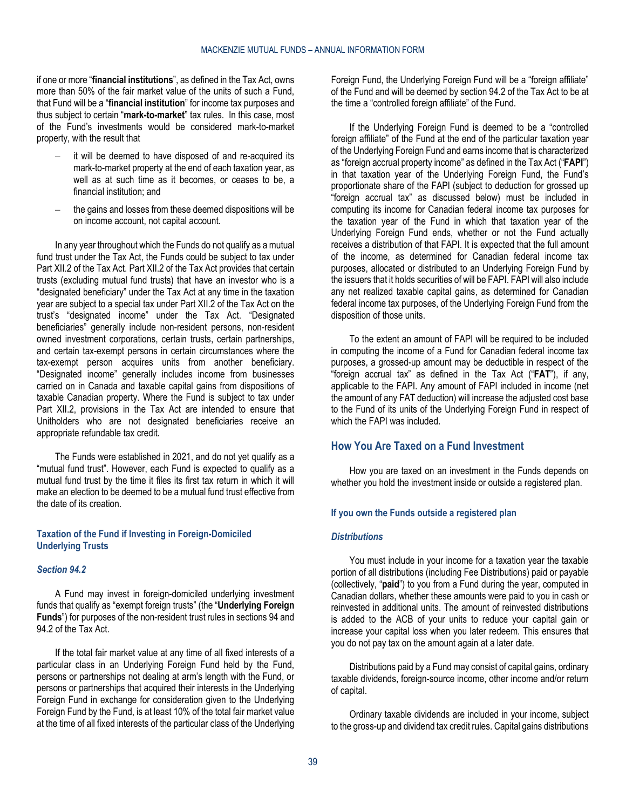if one or more "**financial institutions**", as defined in the Tax Act, owns more than 50% of the fair market value of the units of such a Fund, that Fund will be a "**financial institution**" for income tax purposes and thus subject to certain "**mark-to-market**" tax rules. In this case, most of the Fund's investments would be considered mark-to-market property, with the result that

- it will be deemed to have disposed of and re-acquired its mark-to-market property at the end of each taxation year, as well as at such time as it becomes, or ceases to be, a financial institution; and
- the gains and losses from these deemed dispositions will be on income account, not capital account.

In any year throughout which the Funds do not qualify as a mutual fund trust under the Tax Act, the Funds could be subject to tax under Part XII.2 of the Tax Act. Part XII.2 of the Tax Act provides that certain trusts (excluding mutual fund trusts) that have an investor who is a "designated beneficiary" under the Tax Act at any time in the taxation year are subject to a special tax under Part XII.2 of the Tax Act on the trust's "designated income" under the Tax Act. "Designated beneficiaries" generally include non-resident persons, non-resident owned investment corporations, certain trusts, certain partnerships, and certain tax-exempt persons in certain circumstances where the tax-exempt person acquires units from another beneficiary. "Designated income" generally includes income from businesses carried on in Canada and taxable capital gains from dispositions of taxable Canadian property. Where the Fund is subject to tax under Part XII.2, provisions in the Tax Act are intended to ensure that Unitholders who are not designated beneficiaries receive an appropriate refundable tax credit.

The Funds were established in 2021, and do not yet qualify as a "mutual fund trust". However, each Fund is expected to qualify as a mutual fund trust by the time it files its first tax return in which it will make an election to be deemed to be a mutual fund trust effective from the date of its creation.

#### **Taxation of the Fund if Investing in Foreign-Domiciled Underlying Trusts**

#### *Section 94.2*

A Fund may invest in foreign-domiciled underlying investment funds that qualify as "exempt foreign trusts" (the "**Underlying Foreign Funds**") for purposes of the non-resident trust rules in sections 94 and 94.2 of the Tax Act.

If the total fair market value at any time of all fixed interests of a particular class in an Underlying Foreign Fund held by the Fund, persons or partnerships not dealing at arm's length with the Fund, or persons or partnerships that acquired their interests in the Underlying Foreign Fund in exchange for consideration given to the Underlying Foreign Fund by the Fund, is at least 10% of the total fair market value at the time of all fixed interests of the particular class of the Underlying

Foreign Fund, the Underlying Foreign Fund will be a "foreign affiliate" of the Fund and will be deemed by section 94.2 of the Tax Act to be at the time a "controlled foreign affiliate" of the Fund.

If the Underlying Foreign Fund is deemed to be a "controlled foreign affiliate" of the Fund at the end of the particular taxation year of the Underlying Foreign Fund and earns income that is characterized as "foreign accrual property income" as defined in the Tax Act ("**FAPI**") in that taxation year of the Underlying Foreign Fund, the Fund's proportionate share of the FAPI (subject to deduction for grossed up "foreign accrual tax" as discussed below) must be included in computing its income for Canadian federal income tax purposes for the taxation year of the Fund in which that taxation year of the Underlying Foreign Fund ends, whether or not the Fund actually receives a distribution of that FAPI. It is expected that the full amount of the income, as determined for Canadian federal income tax purposes, allocated or distributed to an Underlying Foreign Fund by the issuers that it holds securities of will be FAPI. FAPI will also include any net realized taxable capital gains, as determined for Canadian federal income tax purposes, of the Underlying Foreign Fund from the disposition of those units.

To the extent an amount of FAPI will be required to be included in computing the income of a Fund for Canadian federal income tax purposes, a grossed-up amount may be deductible in respect of the "foreign accrual tax" as defined in the Tax Act ("**FAT**"), if any, applicable to the FAPI. Any amount of FAPI included in income (net the amount of any FAT deduction) will increase the adjusted cost base to the Fund of its units of the Underlying Foreign Fund in respect of which the FAPI was included.

### <span id="page-38-0"></span>**How You Are Taxed on a Fund Investment**

How you are taxed on an investment in the Funds depends on whether you hold the investment inside or outside a registered plan.

#### **If you own the Funds outside a registered plan**

#### *Distributions*

You must include in your income for a taxation year the taxable portion of all distributions (including Fee Distributions) paid or payable (collectively, "**paid**") to you from a Fund during the year, computed in Canadian dollars, whether these amounts were paid to you in cash or reinvested in additional units. The amount of reinvested distributions is added to the ACB of your units to reduce your capital gain or increase your capital loss when you later redeem. This ensures that you do not pay tax on the amount again at a later date.

Distributions paid by a Fund may consist of capital gains, ordinary taxable dividends, foreign-source income, other income and/or return of capital.

Ordinary taxable dividends are included in your income, subject to the gross-up and dividend tax credit rules. Capital gains distributions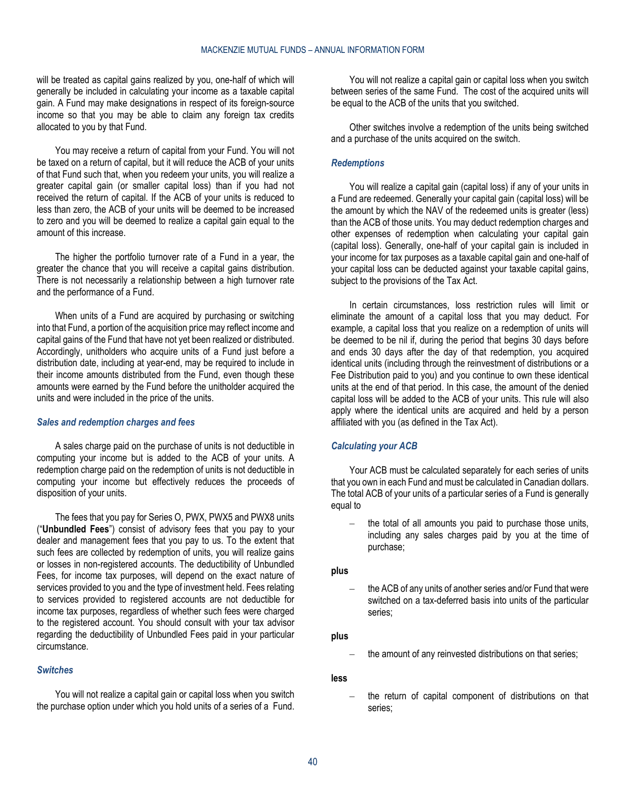will be treated as capital gains realized by you, one-half of which will generally be included in calculating your income as a taxable capital gain. A Fund may make designations in respect of its foreign-source income so that you may be able to claim any foreign tax credits allocated to you by that Fund.

You may receive a return of capital from your Fund. You will not be taxed on a return of capital, but it will reduce the ACB of your units of that Fund such that, when you redeem your units, you will realize a greater capital gain (or smaller capital loss) than if you had not received the return of capital. If the ACB of your units is reduced to less than zero, the ACB of your units will be deemed to be increased to zero and you will be deemed to realize a capital gain equal to the amount of this increase.

The higher the portfolio turnover rate of a Fund in a year, the greater the chance that you will receive a capital gains distribution. There is not necessarily a relationship between a high turnover rate and the performance of a Fund.

When units of a Fund are acquired by purchasing or switching into that Fund, a portion of the acquisition price may reflect income and capital gains of the Fund that have not yet been realized or distributed. Accordingly, unitholders who acquire units of a Fund just before a distribution date, including at year-end, may be required to include in their income amounts distributed from the Fund, even though these amounts were earned by the Fund before the unitholder acquired the units and were included in the price of the units.

#### *Sales and redemption charges and fees*

A sales charge paid on the purchase of units is not deductible in computing your income but is added to the ACB of your units. A redemption charge paid on the redemption of units is not deductible in computing your income but effectively reduces the proceeds of disposition of your units.

The fees that you pay for Series O, PWX, PWX5 and PWX8 units ("**Unbundled Fees**") consist of advisory fees that you pay to your dealer and management fees that you pay to us. To the extent that such fees are collected by redemption of units, you will realize gains or losses in non-registered accounts. The deductibility of Unbundled Fees, for income tax purposes, will depend on the exact nature of services provided to you and the type of investment held. Fees relating to services provided to registered accounts are not deductible for income tax purposes, regardless of whether such fees were charged to the registered account. You should consult with your tax advisor regarding the deductibility of Unbundled Fees paid in your particular circumstance.

#### *Switches*

You will not realize a capital gain or capital loss when you switch the purchase option under which you hold units of a series of a Fund.

You will not realize a capital gain or capital loss when you switch between series of the same Fund. The cost of the acquired units will be equal to the ACB of the units that you switched.

Other switches involve a redemption of the units being switched and a purchase of the units acquired on the switch.

#### *Redemptions*

You will realize a capital gain (capital loss) if any of your units in a Fund are redeemed. Generally your capital gain (capital loss) will be the amount by which the NAV of the redeemed units is greater (less) than the ACB of those units. You may deduct redemption charges and other expenses of redemption when calculating your capital gain (capital loss). Generally, one-half of your capital gain is included in your income for tax purposes as a taxable capital gain and one-half of your capital loss can be deducted against your taxable capital gains, subject to the provisions of the Tax Act.

In certain circumstances, loss restriction rules will limit or eliminate the amount of a capital loss that you may deduct. For example, a capital loss that you realize on a redemption of units will be deemed to be nil if, during the period that begins 30 days before and ends 30 days after the day of that redemption, you acquired identical units (including through the reinvestment of distributions or a Fee Distribution paid to you) and you continue to own these identical units at the end of that period. In this case, the amount of the denied capital loss will be added to the ACB of your units. This rule will also apply where the identical units are acquired and held by a person affiliated with you (as defined in the Tax Act).

#### *Calculating your ACB*

Your ACB must be calculated separately for each series of units that you own in each Fund and must be calculated in Canadian dollars. The total ACB of your units of a particular series of a Fund is generally equal to

the total of all amounts you paid to purchase those units, including any sales charges paid by you at the time of purchase;

#### **plus**

– the ACB of any units of another series and/or Fund that were switched on a tax-deferred basis into units of the particular series;

#### **plus**

the amount of any reinvested distributions on that series;

#### **less**

– the return of capital component of distributions on that series;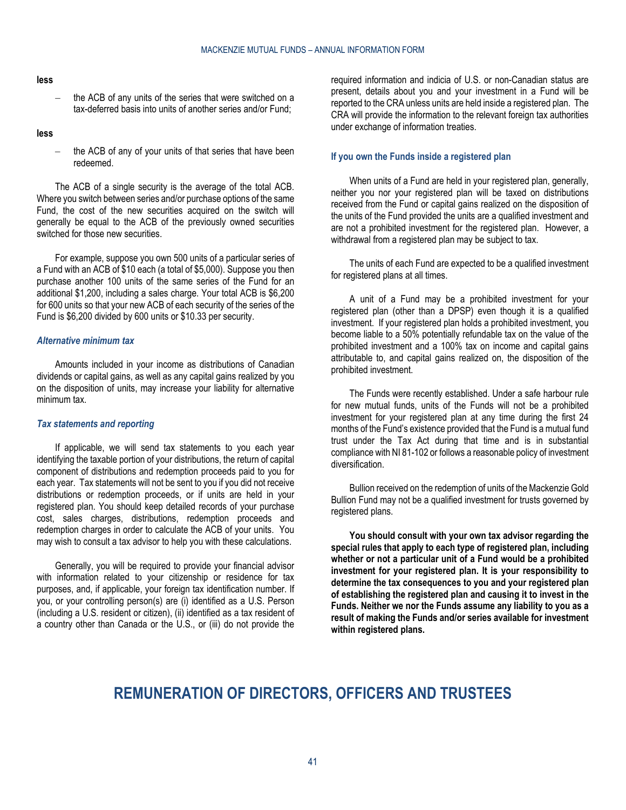#### **less**

the ACB of any units of the series that were switched on a tax-deferred basis into units of another series and/or Fund;

**less**

the ACB of any of your units of that series that have been redeemed.

The ACB of a single security is the average of the total ACB. Where you switch between series and/or purchase options of the same Fund, the cost of the new securities acquired on the switch will generally be equal to the ACB of the previously owned securities switched for those new securities.

For example, suppose you own 500 units of a particular series of a Fund with an ACB of \$10 each (a total of \$5,000). Suppose you then purchase another 100 units of the same series of the Fund for an additional \$1,200, including a sales charge. Your total ACB is \$6,200 for 600 units so that your new ACB of each security of the series of the Fund is \$6,200 divided by 600 units or \$10.33 per security.

#### *Alternative minimum tax*

Amounts included in your income as distributions of Canadian dividends or capital gains, as well as any capital gains realized by you on the disposition of units, may increase your liability for alternative minimum tax.

#### *Tax statements and reporting*

If applicable, we will send tax statements to you each year identifying the taxable portion of your distributions, the return of capital component of distributions and redemption proceeds paid to you for each year. Tax statements will not be sent to you if you did not receive distributions or redemption proceeds, or if units are held in your registered plan. You should keep detailed records of your purchase cost, sales charges, distributions, redemption proceeds and redemption charges in order to calculate the ACB of your units. You may wish to consult a tax advisor to help you with these calculations.

Generally, you will be required to provide your financial advisor with information related to your citizenship or residence for tax purposes, and, if applicable, your foreign tax identification number. If you, or your controlling person(s) are (i) identified as a U.S. Person (including a U.S. resident or citizen), (ii) identified as a tax resident of a country other than Canada or the U.S., or (iii) do not provide the required information and indicia of U.S. or non-Canadian status are present, details about you and your investment in a Fund will be reported to the CRA unless units are held inside a registered plan. The CRA will provide the information to the relevant foreign tax authorities under exchange of information treaties.

#### **If you own the Funds inside a registered plan**

When units of a Fund are held in your registered plan, generally, neither you nor your registered plan will be taxed on distributions received from the Fund or capital gains realized on the disposition of the units of the Fund provided the units are a qualified investment and are not a prohibited investment for the registered plan. However, a withdrawal from a registered plan may be subject to tax.

The units of each Fund are expected to be a qualified investment for registered plans at all times.

A unit of a Fund may be a prohibited investment for your registered plan (other than a DPSP) even though it is a qualified investment. If your registered plan holds a prohibited investment, you become liable to a 50% potentially refundable tax on the value of the prohibited investment and a 100% tax on income and capital gains attributable to, and capital gains realized on, the disposition of the prohibited investment.

The Funds were recently established. Under a safe harbour rule for new mutual funds, units of the Funds will not be a prohibited investment for your registered plan at any time during the first 24 months of the Fund's existence provided that the Fund is a mutual fund trust under the Tax Act during that time and is in substantial compliance with NI 81-102 or follows a reasonable policy of investment diversification.

Bullion received on the redemption of units of the Mackenzie Gold Bullion Fund may not be a qualified investment for trusts governed by registered plans.

**You should consult with your own tax advisor regarding the special rules that apply to each type of registered plan, including whether or not a particular unit of a Fund would be a prohibited investment for your registered plan. It is your responsibility to determine the tax consequences to you and your registered plan of establishing the registered plan and causing it to invest in the Funds. Neither we nor the Funds assume any liability to you as a result of making the Funds and/or series available for investment within registered plans.**

# <span id="page-40-0"></span>**REMUNERATION OF DIRECTORS, OFFICERS AND TRUSTEES**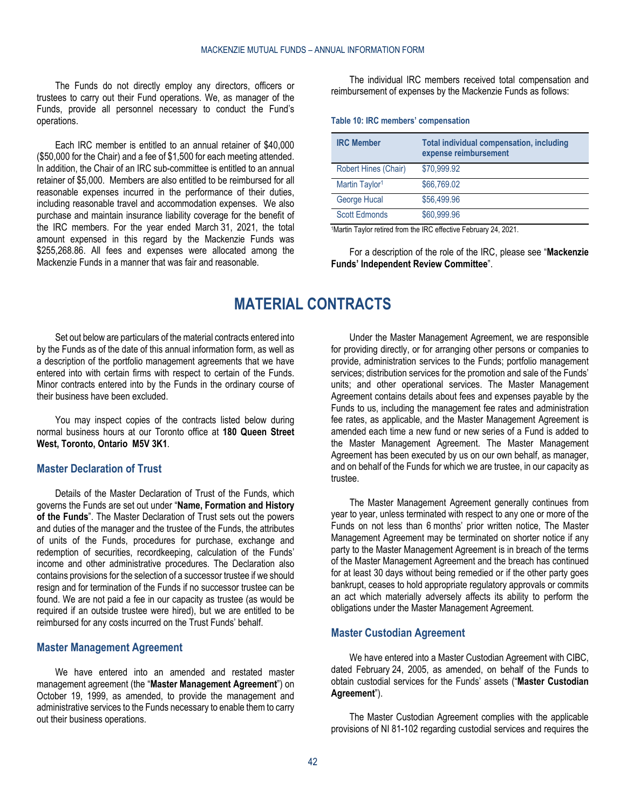The Funds do not directly employ any directors, officers or trustees to carry out their Fund operations. We, as manager of the Funds, provide all personnel necessary to conduct the Fund's operations.

Each IRC member is entitled to an annual retainer of \$40,000 (\$50,000 for the Chair) and a fee of \$1,500 for each meeting attended. In addition, the Chair of an IRC sub-committee is entitled to an annual retainer of \$5,000. Members are also entitled to be reimbursed for all reasonable expenses incurred in the performance of their duties, including reasonable travel and accommodation expenses. We also purchase and maintain insurance liability coverage for the benefit of the IRC members. For the year ended March 31, 2021, the total amount expensed in this regard by the Mackenzie Funds was \$255,268.86. All fees and expenses were allocated among the Mackenzie Funds in a manner that was fair and reasonable.

The individual IRC members received total compensation and reimbursement of expenses by the Mackenzie Funds as follows:

#### **Table 10: IRC members' compensation**

| <b>IRC Member</b>          | Total individual compensation, including<br>expense reimbursement |
|----------------------------|-------------------------------------------------------------------|
| Robert Hines (Chair)       | \$70,999.92                                                       |
| Martin Taylor <sup>1</sup> | \$66,769.02                                                       |
| George Hucal               | \$56,499.96                                                       |
| <b>Scott Edmonds</b>       | \$60,999.96                                                       |

1Martin Taylor retired from the IRC effective February 24, 2021.

For a description of the role of the IRC, please see "**[Mackenzie](#page-31-0)  [Funds' Independent Review Committee](#page-31-0)**".

# **MATERIAL CONTRACTS**

<span id="page-41-0"></span>Set out below are particulars of the material contracts entered into by the Funds as of the date of this annual information form, as well as a description of the portfolio management agreements that we have entered into with certain firms with respect to certain of the Funds. Minor contracts entered into by the Funds in the ordinary course of their business have been excluded.

You may inspect copies of the contracts listed below during normal business hours at our Toronto office at **180 Queen Street West, Toronto, Ontario M5V 3K1**.

#### <span id="page-41-1"></span>**Master Declaration of Trust**

Details of the Master Declaration of Trust of the Funds, which governs the Funds are set out under "**[Name, Formation and History](#page-2-0)  [of the Funds](#page-2-0)**". The Master Declaration of Trust sets out the powers and duties of the manager and the trustee of the Funds, the attributes of units of the Funds, procedures for purchase, exchange and redemption of securities, recordkeeping, calculation of the Funds' income and other administrative procedures. The Declaration also contains provisions for the selection of a successor trustee if we should resign and for termination of the Funds if no successor trustee can be found. We are not paid a fee in our capacity as trustee (as would be required if an outside trustee were hired), but we are entitled to be reimbursed for any costs incurred on the Trust Funds' behalf.

#### <span id="page-41-2"></span>**Master Management Agreement**

We have entered into an amended and restated master management agreement (the "**Master Management Agreement**") on October 19, 1999, as amended, to provide the management and administrative services to the Funds necessary to enable them to carry out their business operations.

Under the Master Management Agreement, we are responsible for providing directly, or for arranging other persons or companies to provide, administration services to the Funds; portfolio management services; distribution services for the promotion and sale of the Funds' units; and other operational services. The Master Management Agreement contains details about fees and expenses payable by the Funds to us, including the management fee rates and administration fee rates, as applicable, and the Master Management Agreement is amended each time a new fund or new series of a Fund is added to the Master Management Agreement. The Master Management Agreement has been executed by us on our own behalf, as manager, and on behalf of the Funds for which we are trustee, in our capacity as trustee.

The Master Management Agreement generally continues from year to year, unless terminated with respect to any one or more of the Funds on not less than 6 months' prior written notice, The Master Management Agreement may be terminated on shorter notice if any party to the Master Management Agreement is in breach of the terms of the Master Management Agreement and the breach has continued for at least 30 days without being remedied or if the other party goes bankrupt, ceases to hold appropriate regulatory approvals or commits an act which materially adversely affects its ability to perform the obligations under the Master Management Agreement.

#### <span id="page-41-3"></span>**Master Custodian Agreement**

We have entered into a Master Custodian Agreement with CIBC, dated February 24, 2005, as amended, on behalf of the Funds to obtain custodial services for the Funds' assets ("**Master Custodian Agreement**").

The Master Custodian Agreement complies with the applicable provisions of NI 81-102 regarding custodial services and requires the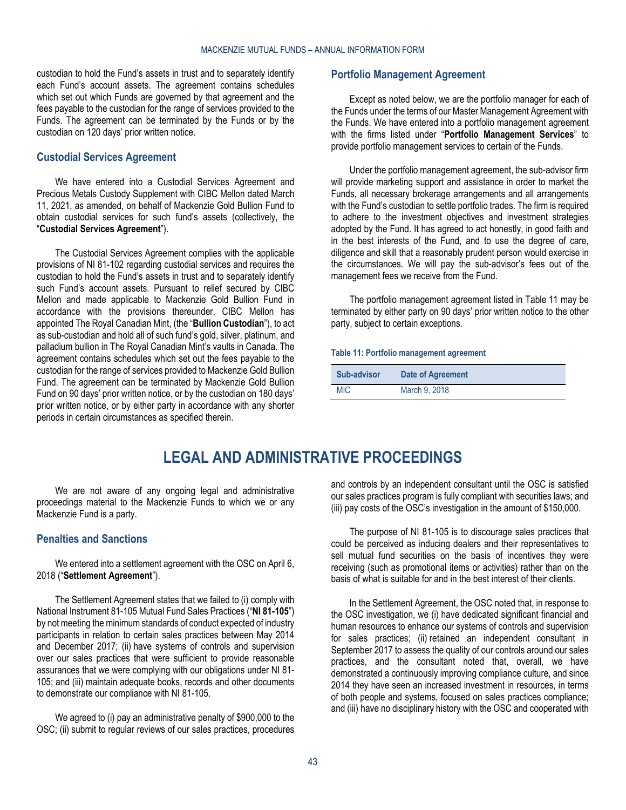custodian to hold the Fund's assets in trust and to separately identify each Fund's account assets. The agreement contains schedules which set out which Funds are governed by that agreement and the fees payable to the custodian for the range of services provided to the Funds. The agreement can be terminated by the Funds or by the custodian on 120 days' prior written notice.

## <span id="page-42-0"></span>**Custodial Services Agreement**

We have entered into a Custodial Services Agreement and Precious Metals Custody Supplement with CIBC Mellon dated March 11, 2021, as amended, on behalf of Mackenzie Gold Bullion Fund to obtain custodial services for such fund's assets (collectively, the "**Custodial Services Agreement**").

The Custodial Services Agreement complies with the applicable provisions of NI 81-102 regarding custodial services and requires the custodian to hold the Fund's assets in trust and to separately identify such Fund's account assets. Pursuant to relief secured by CIBC Mellon and made applicable to Mackenzie Gold Bullion Fund in accordance with the provisions thereunder, CIBC Mellon has appointed The Royal Canadian Mint, (the "**Bullion Custodian**"), to act as sub-custodian and hold all of such fund's gold, silver, platinum, and palladium bullion in The Royal Canadian Mint's vaults in Canada. The agreement contains schedules which set out the fees payable to the custodian for the range of services provided to Mackenzie Gold Bullion Fund. The agreement can be terminated by Mackenzie Gold Bullion Fund on 90 days' prior written notice, or by the custodian on 180 days' prior written notice, or by either party in accordance with any shorter periods in certain circumstances as specified therein.

# <span id="page-42-1"></span>**Portfolio Management Agreement**

Except as noted below, we are the portfolio manager for each of the Funds under the terms of our Master Management Agreement with the Funds. We have entered into a portfolio management agreement with the firms listed under "**Portfolio [Management Services](#page-21-0)**" to provide portfolio management services to certain of the Funds.

Under the portfolio management agreement, the sub-advisor firm will provide marketing support and assistance in order to market the Funds, all necessary brokerage arrangements and all arrangements with the Fund's custodian to settle portfolio trades. The firm is required to adhere to the investment objectives and investment strategies adopted by the Fund. It has agreed to act honestly, in good faith and in the best interests of the Fund, and to use the degree of care, diligence and skill that a reasonably prudent person would exercise in the circumstances. We will pay the sub-advisor's fees out of the management fees we receive from the Fund.

The portfolio management agreement listed in [Table](#page-42-4) 11 may be terminated by either party on 90 days' prior written notice to the other party, subject to certain exceptions.

#### <span id="page-42-4"></span>**Table 11: Portfolio management agreement**

| <b>Sub-advisor</b> | Date of Agreement |
|--------------------|-------------------|
| <b>MIC</b>         | March 9, 2018     |

# **LEGAL AND ADMINISTRATIVE PROCEEDINGS**

<span id="page-42-2"></span>We are not aware of any ongoing legal and administrative proceedings material to the Mackenzie Funds to which we or any Mackenzie Fund is a party.

# <span id="page-42-3"></span>**Penalties and Sanctions**

We entered into a settlement agreement with the OSC on April 6, 2018 ("**Settlement Agreement**").

The Settlement Agreement states that we failed to (i) comply with National Instrument 81-105 Mutual Fund Sales Practices ("**NI 81-105**") by not meeting the minimum standards of conduct expected of industry participants in relation to certain sales practices between May 2014 and December 2017; (ii) have systems of controls and supervision over our sales practices that were sufficient to provide reasonable assurances that we were complying with our obligations under NI 81- 105; and (iii) maintain adequate books, records and other documents to demonstrate our compliance with NI 81-105.

We agreed to (i) pay an administrative penalty of \$900,000 to the OSC; (ii) submit to regular reviews of our sales practices, procedures and controls by an independent consultant until the OSC is satisfied our sales practices program is fully compliant with securities laws; and (iii) pay costs of the OSC's investigation in the amount of \$150,000.

The purpose of NI 81-105 is to discourage sales practices that could be perceived as inducing dealers and their representatives to sell mutual fund securities on the basis of incentives they were receiving (such as promotional items or activities) rather than on the basis of what is suitable for and in the best interest of their clients.

In the Settlement Agreement, the OSC noted that, in response to the OSC investigation, we (i) have dedicated significant financial and human resources to enhance our systems of controls and supervision for sales practices; (ii) retained an independent consultant in September 2017 to assess the quality of our controls around our sales practices, and the consultant noted that, overall, we have demonstrated a continuously improving compliance culture, and since 2014 they have seen an increased investment in resources, in terms of both people and systems, focused on sales practices compliance; and (iii) have no disciplinary history with the OSC and cooperated with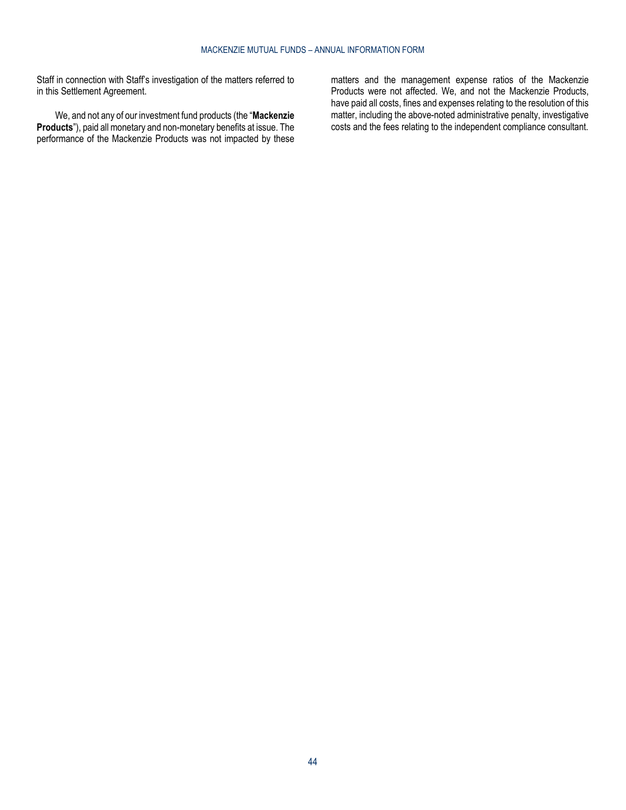Staff in connection with Staff's investigation of the matters referred to in this Settlement Agreement.

We, and not any of our investment fund products (the "**Mackenzie Products**"), paid all monetary and non-monetary benefits at issue. The performance of the Mackenzie Products was not impacted by these

matters and the management expense ratios of the Mackenzie Products were not affected. We, and not the Mackenzie Products, have paid all costs, fines and expenses relating to the resolution of this matter, including the above-noted administrative penalty, investigative costs and the fees relating to the independent compliance consultant.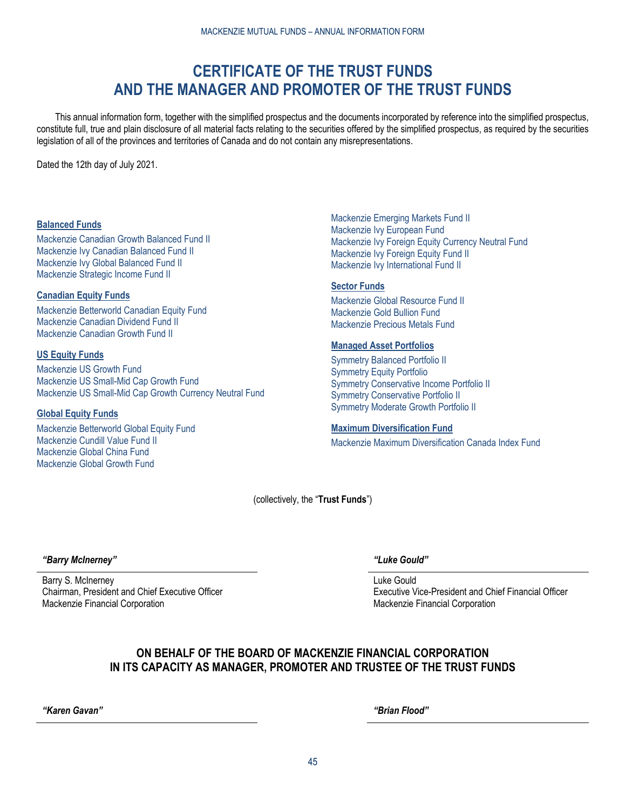# **CERTIFICATE OF THE TRUST FUNDS AND THE MANAGER AND PROMOTER OF THE TRUST FUNDS**

<span id="page-44-0"></span>This annual information form, together with the simplified prospectus and the documents incorporated by reference into the simplified prospectus, constitute full, true and plain disclosure of all material facts relating to the securities offered by the simplified prospectus, as required by the securities legislation of all of the provinces and territories of Canada and do not contain any misrepresentations.

Dated the 12th day of July 2021.

# **Balanced Funds**

Mackenzie Canadian Growth Balanced Fund II Mackenzie Ivy Canadian Balanced Fund II Mackenzie Ivy Global Balanced Fund II Mackenzie Strategic Income Fund II

# **Canadian Equity Funds**

Mackenzie Betterworld Canadian Equity Fund Mackenzie Canadian Dividend Fund II Mackenzie Canadian Growth Fund II

# **US Equity Funds**

Mackenzie US Growth Fund Mackenzie US Small-Mid Cap Growth Fund Mackenzie US Small-Mid Cap Growth Currency Neutral Fund

# **Global Equity Funds**

Mackenzie Betterworld Global Equity Fund Mackenzie Cundill Value Fund II Mackenzie Global China Fund Mackenzie Global Growth Fund

Mackenzie Emerging Markets Fund II Mackenzie Ivy European Fund Mackenzie Ivy Foreign Equity Currency Neutral Fund Mackenzie Ivy Foreign Equity Fund II Mackenzie Ivy International Fund II

# **Sector Funds**

Mackenzie Global Resource Fund II Mackenzie Gold Bullion Fund Mackenzie Precious Metals Fund

# **Managed Asset Portfolios**

Symmetry Balanced Portfolio II Symmetry Equity Portfolio Symmetry Conservative Income Portfolio II Symmetry Conservative Portfolio II Symmetry Moderate Growth Portfolio II

# **Maximum Diversification Fund**

Mackenzie Maximum Diversification Canada Index Fund

(collectively, the "**Trust Funds**")

*"Barry McInerney" "Luke Gould"*

Barry S. McInerney Chairman, President and Chief Executive Officer Mackenzie Financial Corporation

Luke Gould Executive Vice-President and Chief Financial Officer Mackenzie Financial Corporation

# **ON BEHALF OF THE BOARD OF MACKENZIE FINANCIAL CORPORATION IN ITS CAPACITY AS MANAGER, PROMOTER AND TRUSTEE OF THE TRUST FUNDS**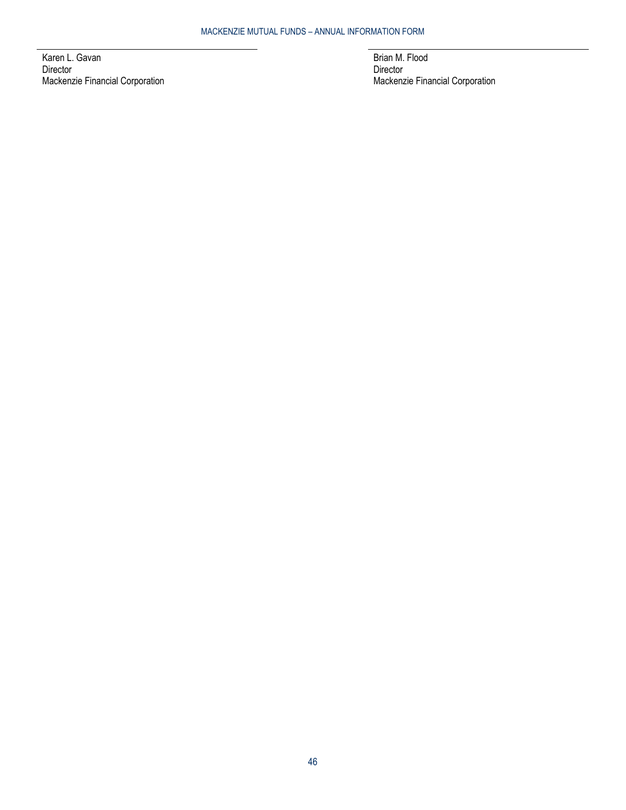Karen L. Gavan Director Mackenzie Financial Corporation Brian M. Flood Director Mackenzie Financial Corporation